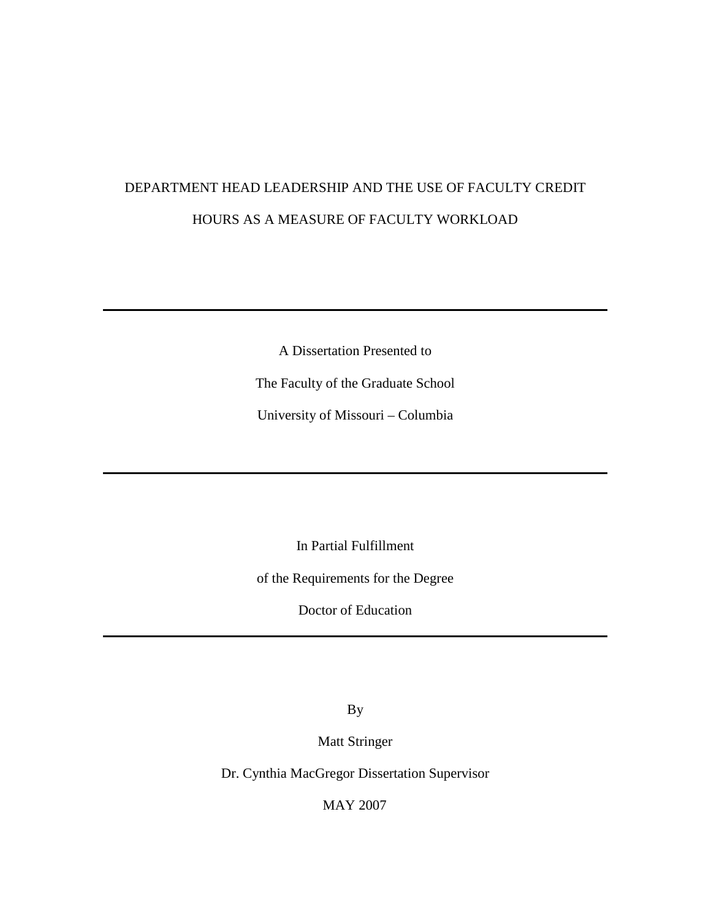# DEPARTMENT HEAD LEADERSHIP AND THE USE OF FACULTY CREDIT HOURS AS A MEASURE OF FACULTY WORKLOAD

A Dissertation Presented to

The Faculty of the Graduate School

University of Missouri – Columbia

In Partial Fulfillment

of the Requirements for the Degree

Doctor of Education

By

Matt Stringer

Dr. Cynthia MacGregor Dissertation Supervisor

MAY 2007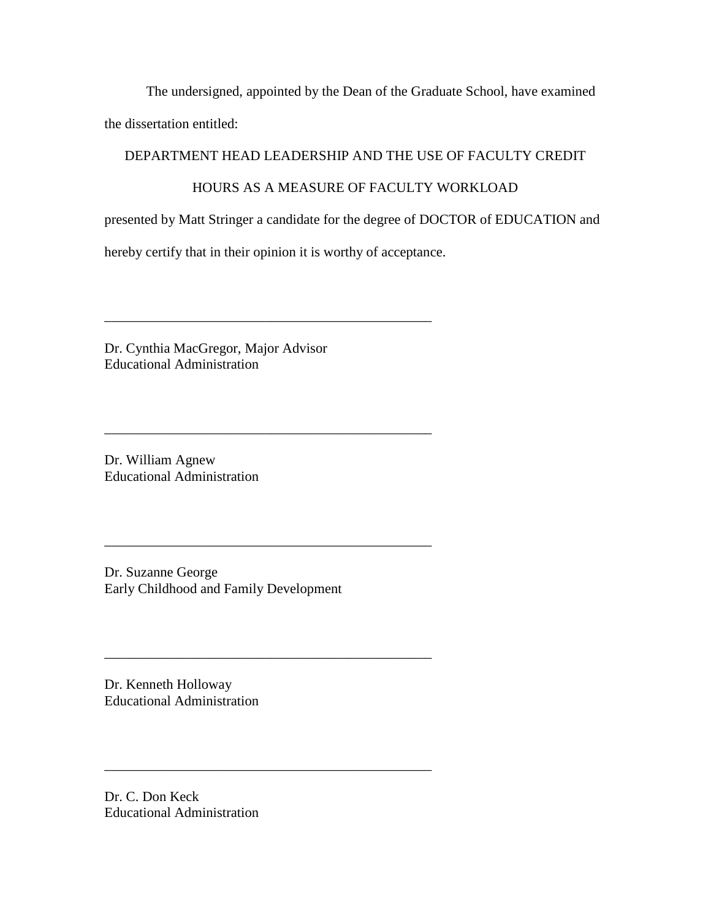The undersigned, appointed by the Dean of the Graduate School, have examined

the dissertation entitled:

# DEPARTMENT HEAD LEADERSHIP AND THE USE OF FACULTY CREDIT

# HOURS AS A MEASURE OF FACULTY WORKLOAD

presented by Matt Stringer a candidate for the degree of DOCTOR of EDUCATION and

hereby certify that in their opinion it is worthy of acceptance.

\_\_\_\_\_\_\_\_\_\_\_\_\_\_\_\_\_\_\_\_\_\_\_\_\_\_\_\_\_\_\_\_\_\_\_\_\_\_\_\_\_\_\_\_\_\_\_

\_\_\_\_\_\_\_\_\_\_\_\_\_\_\_\_\_\_\_\_\_\_\_\_\_\_\_\_\_\_\_\_\_\_\_\_\_\_\_\_\_\_\_\_\_\_\_

\_\_\_\_\_\_\_\_\_\_\_\_\_\_\_\_\_\_\_\_\_\_\_\_\_\_\_\_\_\_\_\_\_\_\_\_\_\_\_\_\_\_\_\_\_\_\_

\_\_\_\_\_\_\_\_\_\_\_\_\_\_\_\_\_\_\_\_\_\_\_\_\_\_\_\_\_\_\_\_\_\_\_\_\_\_\_\_\_\_\_\_\_\_\_

Dr. Cynthia MacGregor, Major Advisor Educational Administration

Dr. William Agnew Educational Administration

Dr. Suzanne George Early Childhood and Family Development

Dr. Kenneth Holloway Educational Administration

Dr. C. Don Keck Educational Administration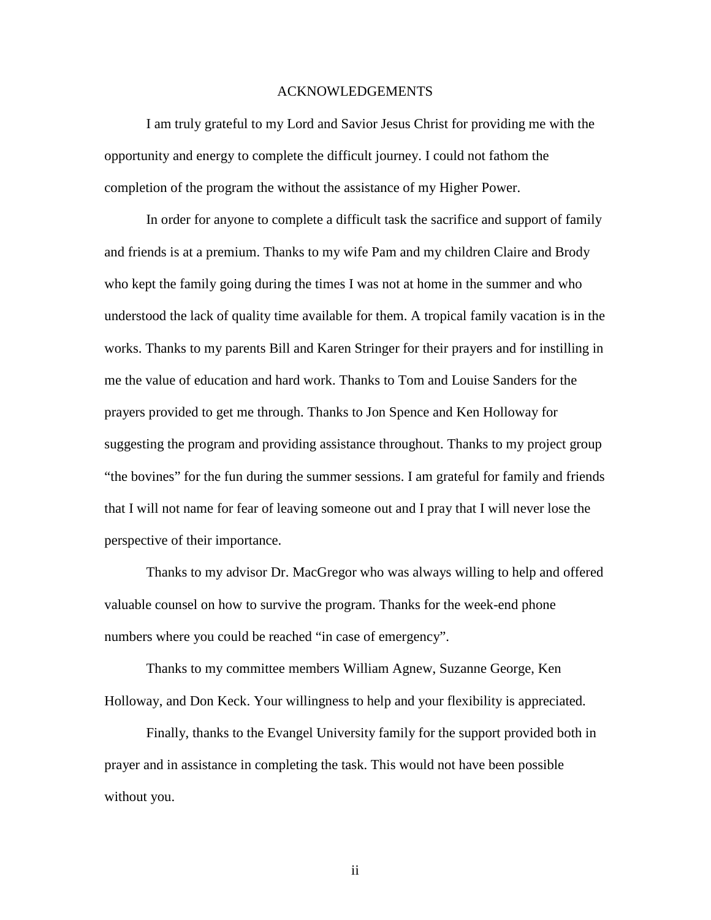#### ACKNOWLEDGEMENTS

 I am truly grateful to my Lord and Savior Jesus Christ for providing me with the opportunity and energy to complete the difficult journey. I could not fathom the completion of the program the without the assistance of my Higher Power.

 In order for anyone to complete a difficult task the sacrifice and support of family and friends is at a premium. Thanks to my wife Pam and my children Claire and Brody who kept the family going during the times I was not at home in the summer and who understood the lack of quality time available for them. A tropical family vacation is in the works. Thanks to my parents Bill and Karen Stringer for their prayers and for instilling in me the value of education and hard work. Thanks to Tom and Louise Sanders for the prayers provided to get me through. Thanks to Jon Spence and Ken Holloway for suggesting the program and providing assistance throughout. Thanks to my project group "the bovines" for the fun during the summer sessions. I am grateful for family and friends that I will not name for fear of leaving someone out and I pray that I will never lose the perspective of their importance.

 Thanks to my advisor Dr. MacGregor who was always willing to help and offered valuable counsel on how to survive the program. Thanks for the week-end phone numbers where you could be reached "in case of emergency".

 Thanks to my committee members William Agnew, Suzanne George, Ken Holloway, and Don Keck. Your willingness to help and your flexibility is appreciated.

 Finally, thanks to the Evangel University family for the support provided both in prayer and in assistance in completing the task. This would not have been possible without you.

ii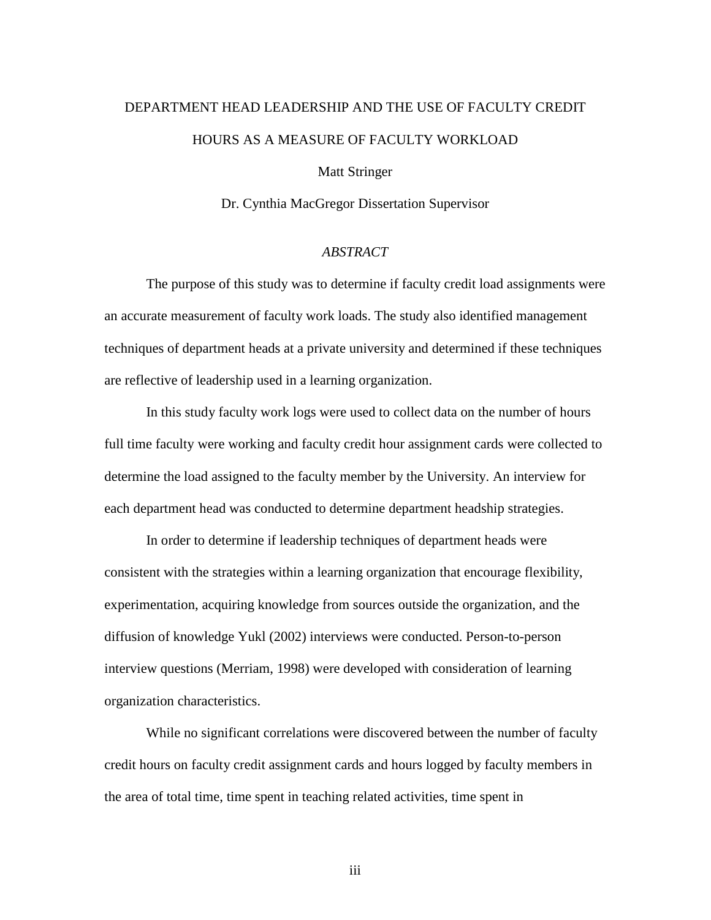# DEPARTMENT HEAD LEADERSHIP AND THE USE OF FACULTY CREDIT HOURS AS A MEASURE OF FACULTY WORKLOAD

Matt Stringer

Dr. Cynthia MacGregor Dissertation Supervisor

# *ABSTRACT*

 The purpose of this study was to determine if faculty credit load assignments were an accurate measurement of faculty work loads. The study also identified management techniques of department heads at a private university and determined if these techniques are reflective of leadership used in a learning organization.

 In this study faculty work logs were used to collect data on the number of hours full time faculty were working and faculty credit hour assignment cards were collected to determine the load assigned to the faculty member by the University. An interview for each department head was conducted to determine department headship strategies.

 In order to determine if leadership techniques of department heads were consistent with the strategies within a learning organization that encourage flexibility, experimentation, acquiring knowledge from sources outside the organization, and the diffusion of knowledge Yukl (2002) interviews were conducted. Person-to-person interview questions (Merriam, 1998) were developed with consideration of learning organization characteristics.

 While no significant correlations were discovered between the number of faculty credit hours on faculty credit assignment cards and hours logged by faculty members in the area of total time, time spent in teaching related activities, time spent in

iii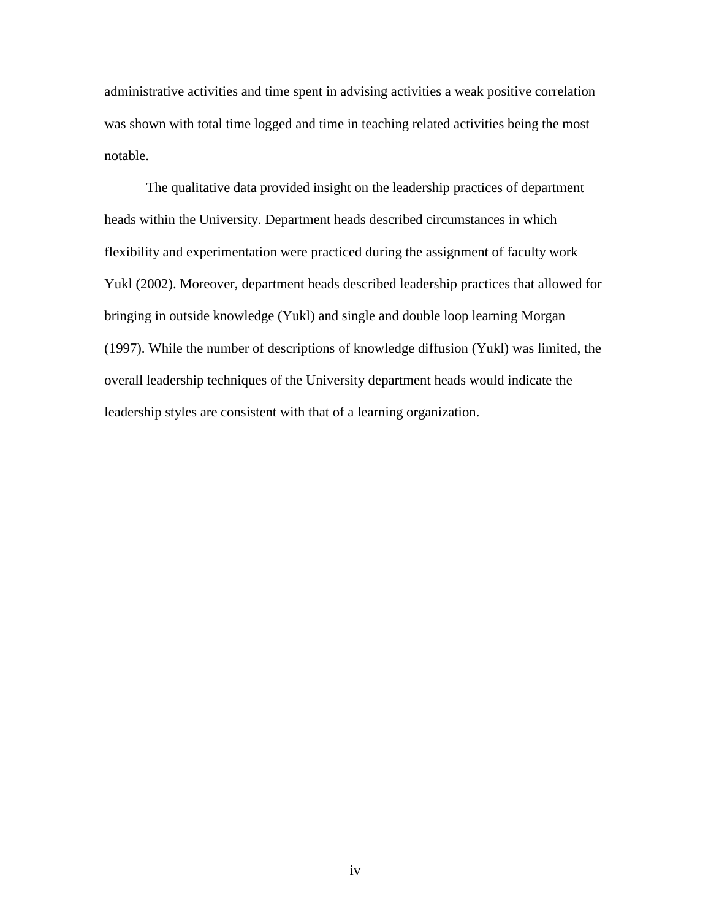administrative activities and time spent in advising activities a weak positive correlation was shown with total time logged and time in teaching related activities being the most notable.

 The qualitative data provided insight on the leadership practices of department heads within the University. Department heads described circumstances in which flexibility and experimentation were practiced during the assignment of faculty work Yukl (2002). Moreover, department heads described leadership practices that allowed for bringing in outside knowledge (Yukl) and single and double loop learning Morgan (1997). While the number of descriptions of knowledge diffusion (Yukl) was limited, the overall leadership techniques of the University department heads would indicate the leadership styles are consistent with that of a learning organization.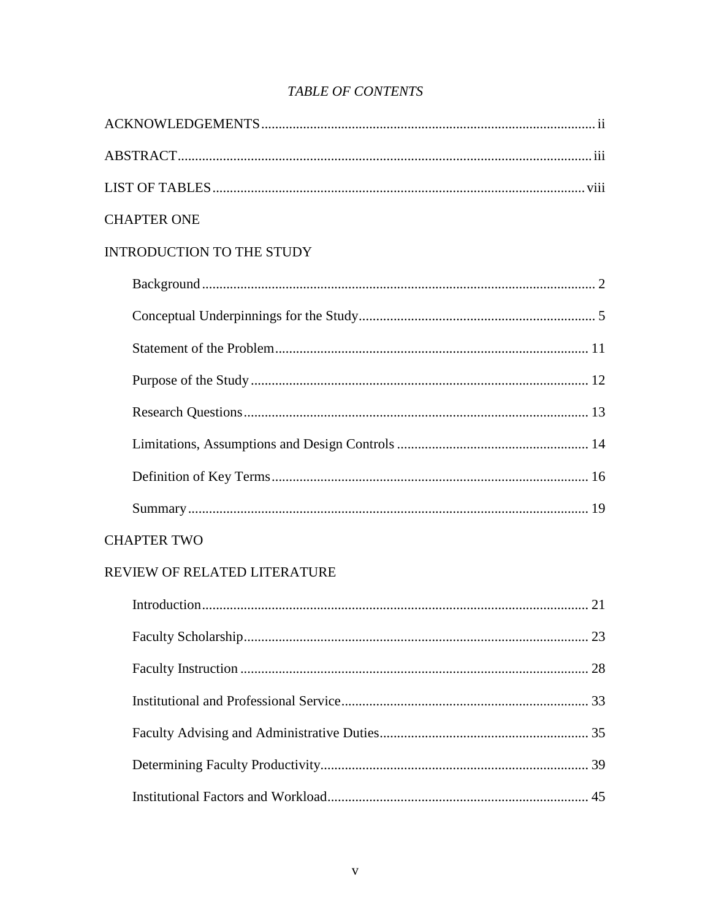# **TABLE OF CONTENTS**

| <b>CHAPTER ONE</b>               |
|----------------------------------|
| <b>INTRODUCTION TO THE STUDY</b> |
|                                  |
|                                  |
|                                  |
|                                  |
|                                  |
|                                  |
|                                  |
|                                  |
|                                  |
| <b>CHAPTER TWO</b>               |
| REVIEW OF RELATED LITERATURE     |
|                                  |
|                                  |
|                                  |
|                                  |
|                                  |
|                                  |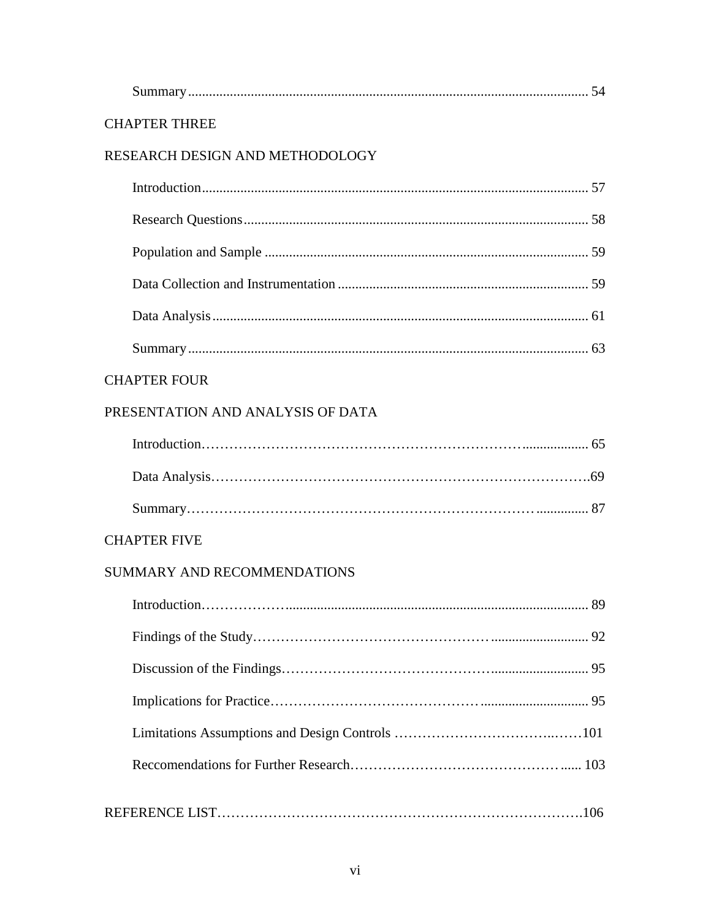| <b>CHAPTER THREE</b>              |  |
|-----------------------------------|--|
| RESEARCH DESIGN AND METHODOLOGY   |  |
|                                   |  |
|                                   |  |
|                                   |  |
|                                   |  |
|                                   |  |
|                                   |  |
| <b>CHAPTER FOUR</b>               |  |
| PRESENTATION AND ANALYSIS OF DATA |  |
|                                   |  |
|                                   |  |
|                                   |  |
| <b>CHAPTER FIVE</b>               |  |
| SUMMARY AND RECOMMENDATIONS       |  |
|                                   |  |
|                                   |  |
|                                   |  |
|                                   |  |
|                                   |  |
|                                   |  |
|                                   |  |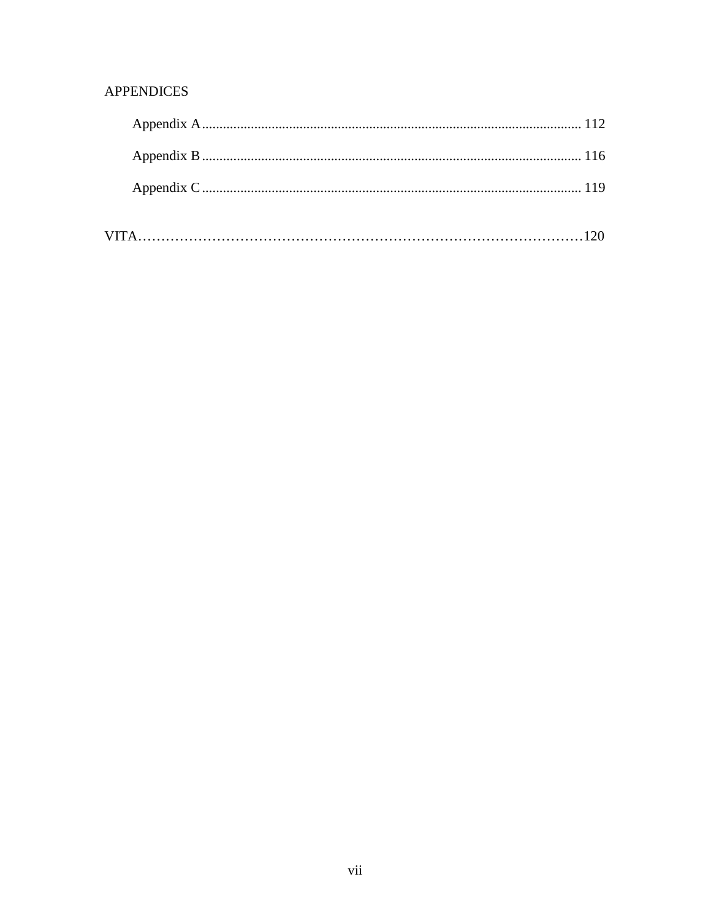# **APPENDICES**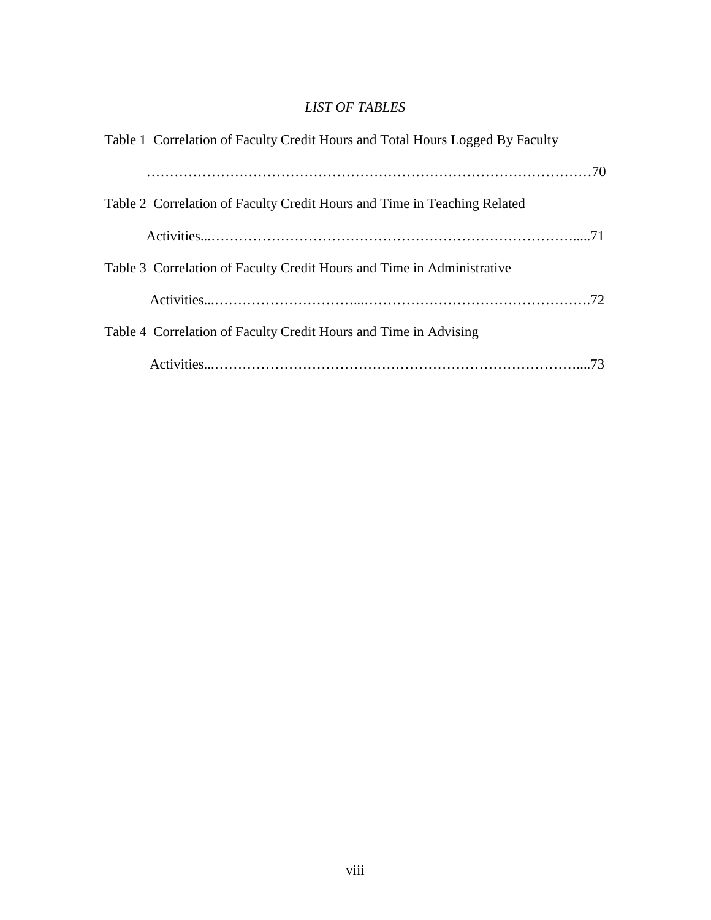# *LIST OF TABLES*

| Table 1 Correlation of Faculty Credit Hours and Total Hours Logged By Faculty |
|-------------------------------------------------------------------------------|
|                                                                               |
| Table 2 Correlation of Faculty Credit Hours and Time in Teaching Related      |
|                                                                               |
| Table 3 Correlation of Faculty Credit Hours and Time in Administrative        |
|                                                                               |
| Table 4 Correlation of Faculty Credit Hours and Time in Advising              |
|                                                                               |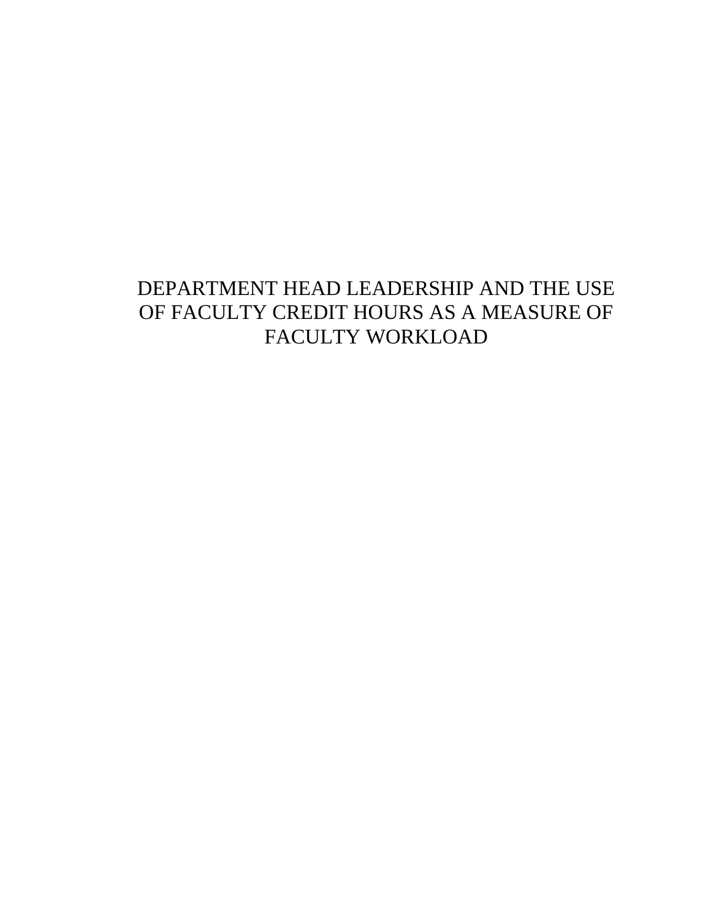# DEPARTMENT HEAD LEADERSHIP AND THE USE OF FACULTY CREDIT HOURS AS A MEASURE OF FACULTY WORKLOAD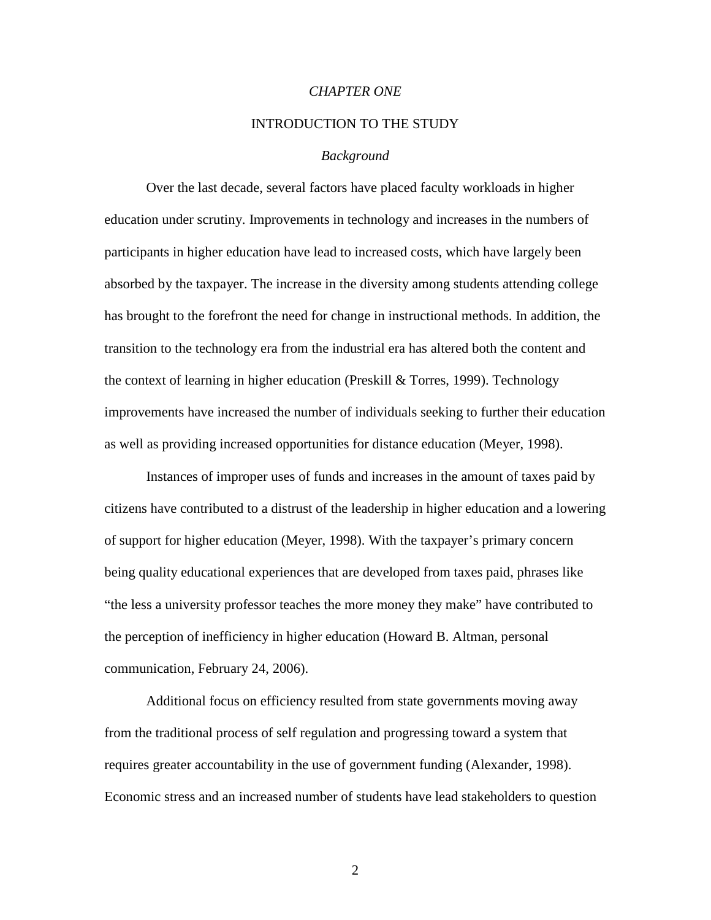# *CHAPTER ONE*

#### INTRODUCTION TO THE STUDY

#### *Background*

 Over the last decade, several factors have placed faculty workloads in higher education under scrutiny. Improvements in technology and increases in the numbers of participants in higher education have lead to increased costs, which have largely been absorbed by the taxpayer. The increase in the diversity among students attending college has brought to the forefront the need for change in instructional methods. In addition, the transition to the technology era from the industrial era has altered both the content and the context of learning in higher education (Preskill & Torres, 1999). Technology improvements have increased the number of individuals seeking to further their education as well as providing increased opportunities for distance education (Meyer, 1998).

Instances of improper uses of funds and increases in the amount of taxes paid by citizens have contributed to a distrust of the leadership in higher education and a lowering of support for higher education (Meyer, 1998). With the taxpayer's primary concern being quality educational experiences that are developed from taxes paid, phrases like "the less a university professor teaches the more money they make" have contributed to the perception of inefficiency in higher education (Howard B. Altman, personal communication, February 24, 2006).

Additional focus on efficiency resulted from state governments moving away from the traditional process of self regulation and progressing toward a system that requires greater accountability in the use of government funding (Alexander, 1998). Economic stress and an increased number of students have lead stakeholders to question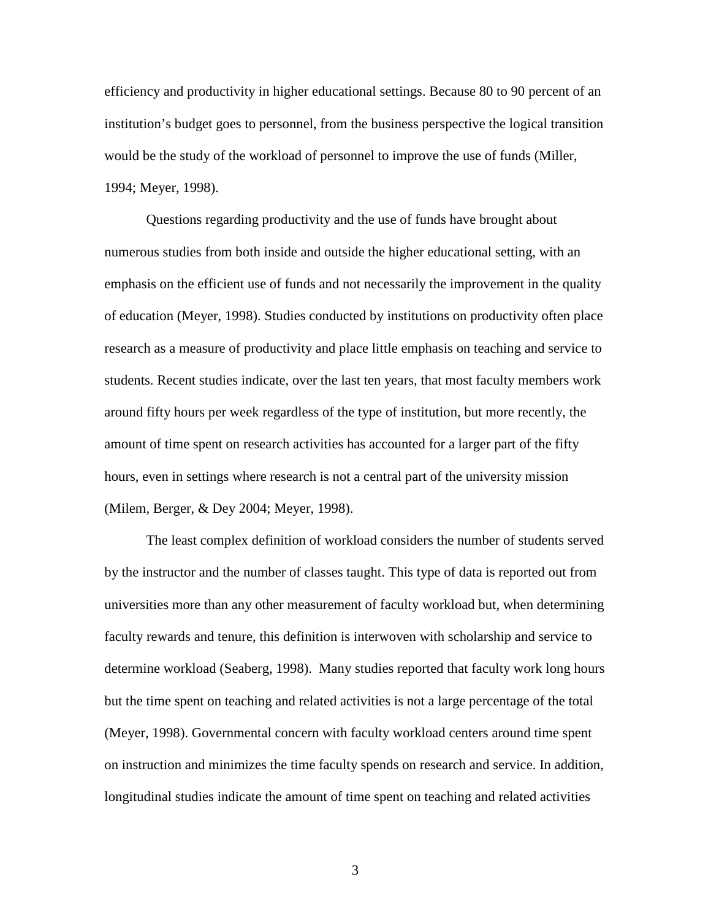efficiency and productivity in higher educational settings. Because 80 to 90 percent of an institution's budget goes to personnel, from the business perspective the logical transition would be the study of the workload of personnel to improve the use of funds (Miller, 1994; Meyer, 1998).

Questions regarding productivity and the use of funds have brought about numerous studies from both inside and outside the higher educational setting, with an emphasis on the efficient use of funds and not necessarily the improvement in the quality of education (Meyer, 1998). Studies conducted by institutions on productivity often place research as a measure of productivity and place little emphasis on teaching and service to students. Recent studies indicate, over the last ten years, that most faculty members work around fifty hours per week regardless of the type of institution, but more recently, the amount of time spent on research activities has accounted for a larger part of the fifty hours, even in settings where research is not a central part of the university mission (Milem, Berger, & Dey 2004; Meyer, 1998).

The least complex definition of workload considers the number of students served by the instructor and the number of classes taught. This type of data is reported out from universities more than any other measurement of faculty workload but, when determining faculty rewards and tenure, this definition is interwoven with scholarship and service to determine workload (Seaberg, 1998). Many studies reported that faculty work long hours but the time spent on teaching and related activities is not a large percentage of the total (Meyer, 1998). Governmental concern with faculty workload centers around time spent on instruction and minimizes the time faculty spends on research and service. In addition, longitudinal studies indicate the amount of time spent on teaching and related activities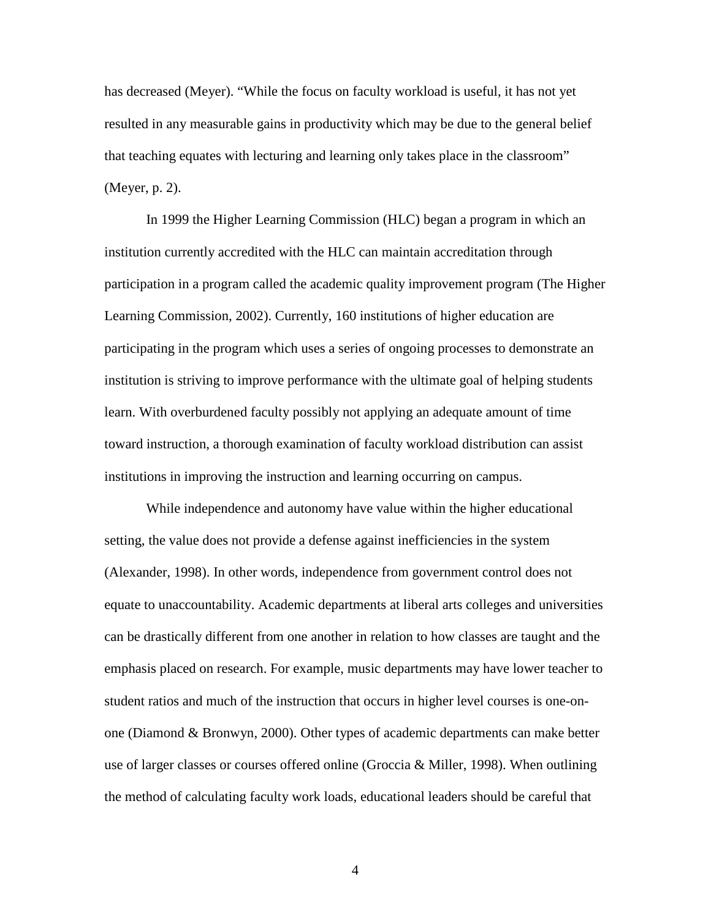has decreased (Meyer). "While the focus on faculty workload is useful, it has not yet resulted in any measurable gains in productivity which may be due to the general belief that teaching equates with lecturing and learning only takes place in the classroom" (Meyer, p. 2).

In 1999 the Higher Learning Commission (HLC) began a program in which an institution currently accredited with the HLC can maintain accreditation through participation in a program called the academic quality improvement program (The Higher Learning Commission, 2002). Currently, 160 institutions of higher education are participating in the program which uses a series of ongoing processes to demonstrate an institution is striving to improve performance with the ultimate goal of helping students learn. With overburdened faculty possibly not applying an adequate amount of time toward instruction, a thorough examination of faculty workload distribution can assist institutions in improving the instruction and learning occurring on campus.

 While independence and autonomy have value within the higher educational setting, the value does not provide a defense against inefficiencies in the system (Alexander, 1998). In other words, independence from government control does not equate to unaccountability. Academic departments at liberal arts colleges and universities can be drastically different from one another in relation to how classes are taught and the emphasis placed on research. For example, music departments may have lower teacher to student ratios and much of the instruction that occurs in higher level courses is one-onone (Diamond & Bronwyn, 2000). Other types of academic departments can make better use of larger classes or courses offered online (Groccia & Miller, 1998). When outlining the method of calculating faculty work loads, educational leaders should be careful that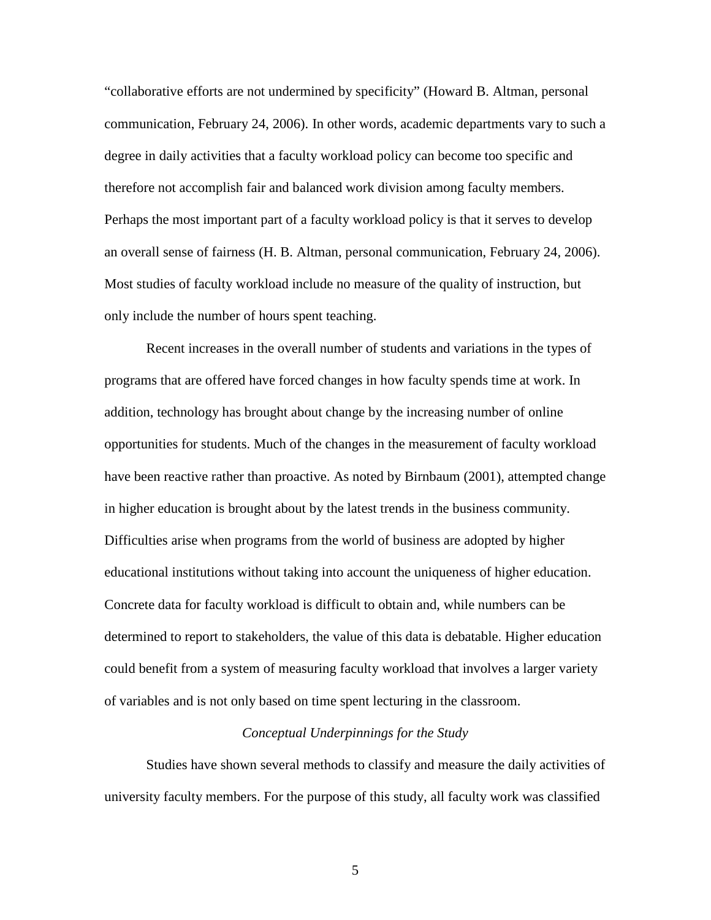"collaborative efforts are not undermined by specificity" (Howard B. Altman, personal communication, February 24, 2006). In other words, academic departments vary to such a degree in daily activities that a faculty workload policy can become too specific and therefore not accomplish fair and balanced work division among faculty members. Perhaps the most important part of a faculty workload policy is that it serves to develop an overall sense of fairness (H. B. Altman, personal communication, February 24, 2006). Most studies of faculty workload include no measure of the quality of instruction, but only include the number of hours spent teaching.

 Recent increases in the overall number of students and variations in the types of programs that are offered have forced changes in how faculty spends time at work. In addition, technology has brought about change by the increasing number of online opportunities for students. Much of the changes in the measurement of faculty workload have been reactive rather than proactive. As noted by Birnbaum (2001), attempted change in higher education is brought about by the latest trends in the business community. Difficulties arise when programs from the world of business are adopted by higher educational institutions without taking into account the uniqueness of higher education. Concrete data for faculty workload is difficult to obtain and, while numbers can be determined to report to stakeholders, the value of this data is debatable. Higher education could benefit from a system of measuring faculty workload that involves a larger variety of variables and is not only based on time spent lecturing in the classroom.

## *Conceptual Underpinnings for the Study*

 Studies have shown several methods to classify and measure the daily activities of university faculty members. For the purpose of this study, all faculty work was classified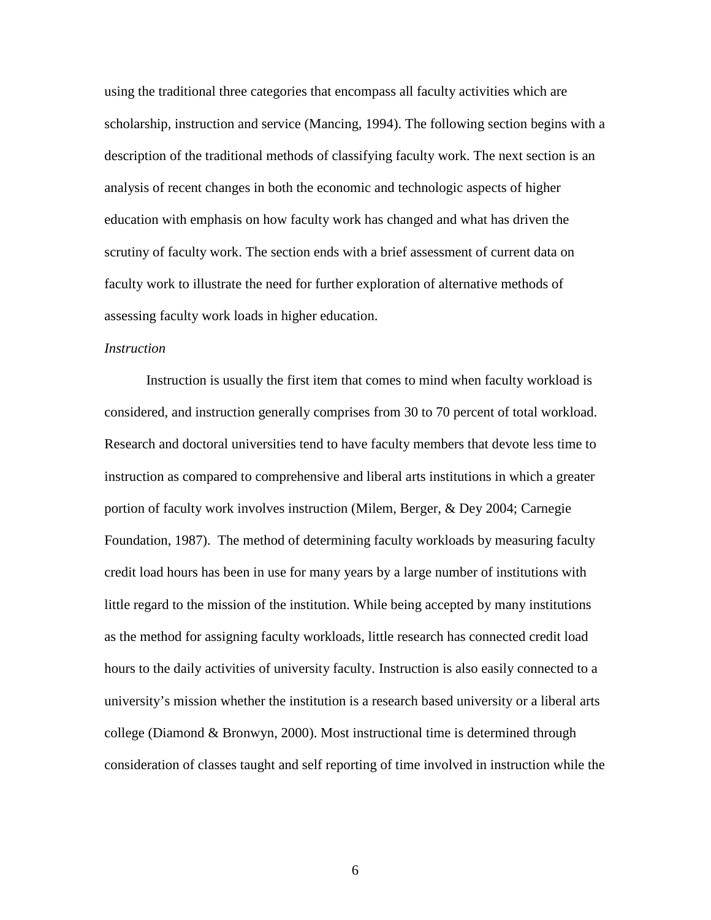using the traditional three categories that encompass all faculty activities which are scholarship, instruction and service (Mancing, 1994). The following section begins with a description of the traditional methods of classifying faculty work. The next section is an analysis of recent changes in both the economic and technologic aspects of higher education with emphasis on how faculty work has changed and what has driven the scrutiny of faculty work. The section ends with a brief assessment of current data on faculty work to illustrate the need for further exploration of alternative methods of assessing faculty work loads in higher education.

## *Instruction*

 Instruction is usually the first item that comes to mind when faculty workload is considered, and instruction generally comprises from 30 to 70 percent of total workload. Research and doctoral universities tend to have faculty members that devote less time to instruction as compared to comprehensive and liberal arts institutions in which a greater portion of faculty work involves instruction (Milem, Berger, & Dey 2004; Carnegie Foundation, 1987). The method of determining faculty workloads by measuring faculty credit load hours has been in use for many years by a large number of institutions with little regard to the mission of the institution. While being accepted by many institutions as the method for assigning faculty workloads, little research has connected credit load hours to the daily activities of university faculty. Instruction is also easily connected to a university's mission whether the institution is a research based university or a liberal arts college (Diamond & Bronwyn, 2000). Most instructional time is determined through consideration of classes taught and self reporting of time involved in instruction while the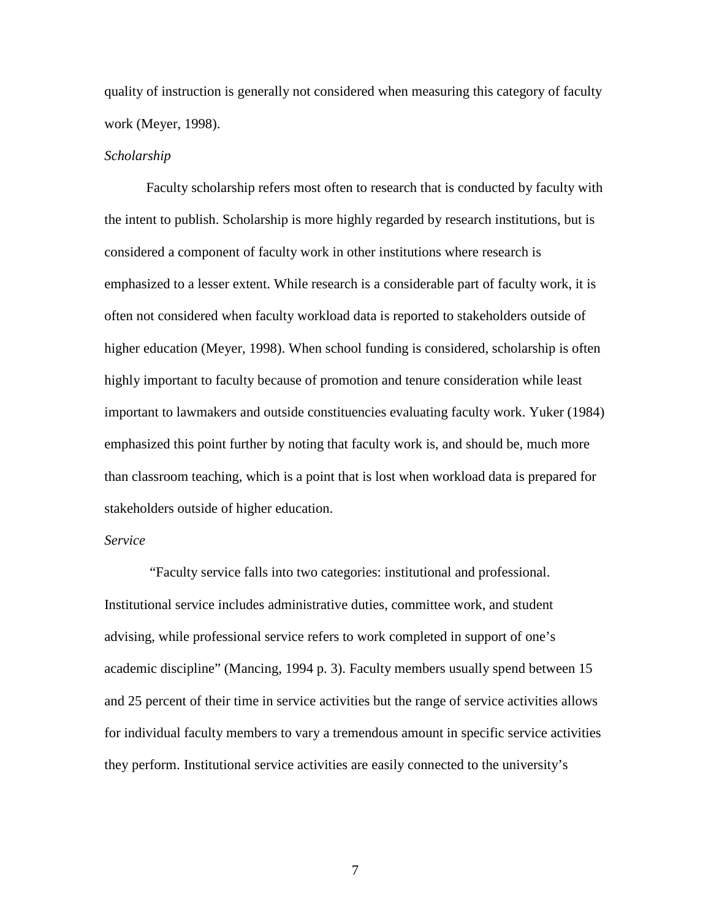quality of instruction is generally not considered when measuring this category of faculty work (Meyer, 1998).

#### *Scholarship*

Faculty scholarship refers most often to research that is conducted by faculty with the intent to publish. Scholarship is more highly regarded by research institutions, but is considered a component of faculty work in other institutions where research is emphasized to a lesser extent. While research is a considerable part of faculty work, it is often not considered when faculty workload data is reported to stakeholders outside of higher education (Meyer, 1998). When school funding is considered, scholarship is often highly important to faculty because of promotion and tenure consideration while least important to lawmakers and outside constituencies evaluating faculty work. Yuker (1984) emphasized this point further by noting that faculty work is, and should be, much more than classroom teaching, which is a point that is lost when workload data is prepared for stakeholders outside of higher education.

### *Service*

 "Faculty service falls into two categories: institutional and professional. Institutional service includes administrative duties, committee work, and student advising, while professional service refers to work completed in support of one's academic discipline" (Mancing, 1994 p. 3). Faculty members usually spend between 15 and 25 percent of their time in service activities but the range of service activities allows for individual faculty members to vary a tremendous amount in specific service activities they perform. Institutional service activities are easily connected to the university's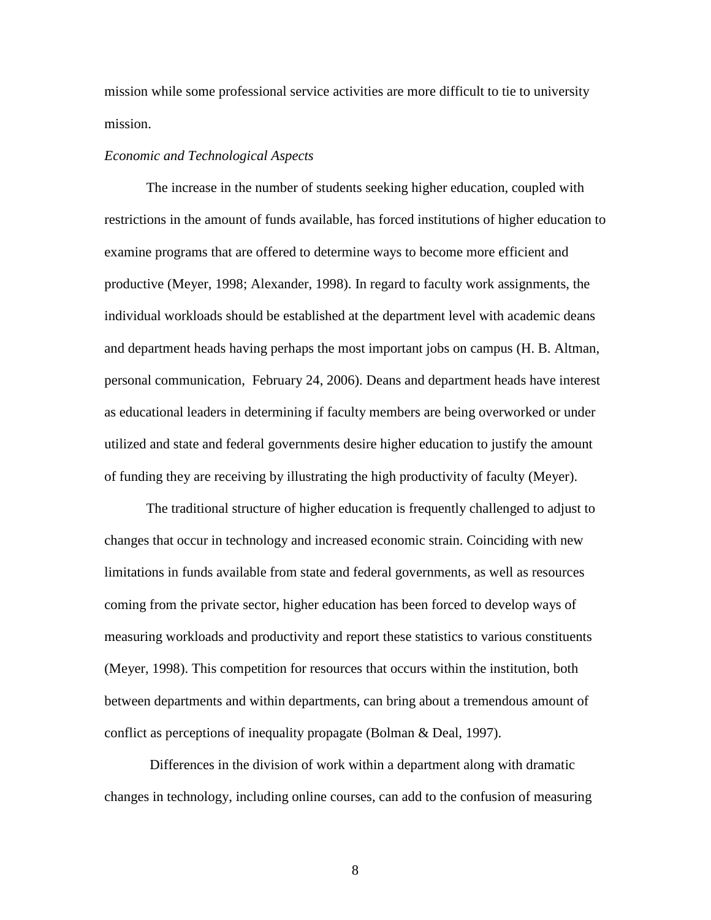mission while some professional service activities are more difficult to tie to university mission.

#### *Economic and Technological Aspects*

The increase in the number of students seeking higher education, coupled with restrictions in the amount of funds available, has forced institutions of higher education to examine programs that are offered to determine ways to become more efficient and productive (Meyer, 1998; Alexander, 1998). In regard to faculty work assignments, the individual workloads should be established at the department level with academic deans and department heads having perhaps the most important jobs on campus (H. B. Altman, personal communication, February 24, 2006). Deans and department heads have interest as educational leaders in determining if faculty members are being overworked or under utilized and state and federal governments desire higher education to justify the amount of funding they are receiving by illustrating the high productivity of faculty (Meyer).

The traditional structure of higher education is frequently challenged to adjust to changes that occur in technology and increased economic strain. Coinciding with new limitations in funds available from state and federal governments, as well as resources coming from the private sector, higher education has been forced to develop ways of measuring workloads and productivity and report these statistics to various constituents (Meyer, 1998). This competition for resources that occurs within the institution, both between departments and within departments, can bring about a tremendous amount of conflict as perceptions of inequality propagate (Bolman & Deal, 1997).

 Differences in the division of work within a department along with dramatic changes in technology, including online courses, can add to the confusion of measuring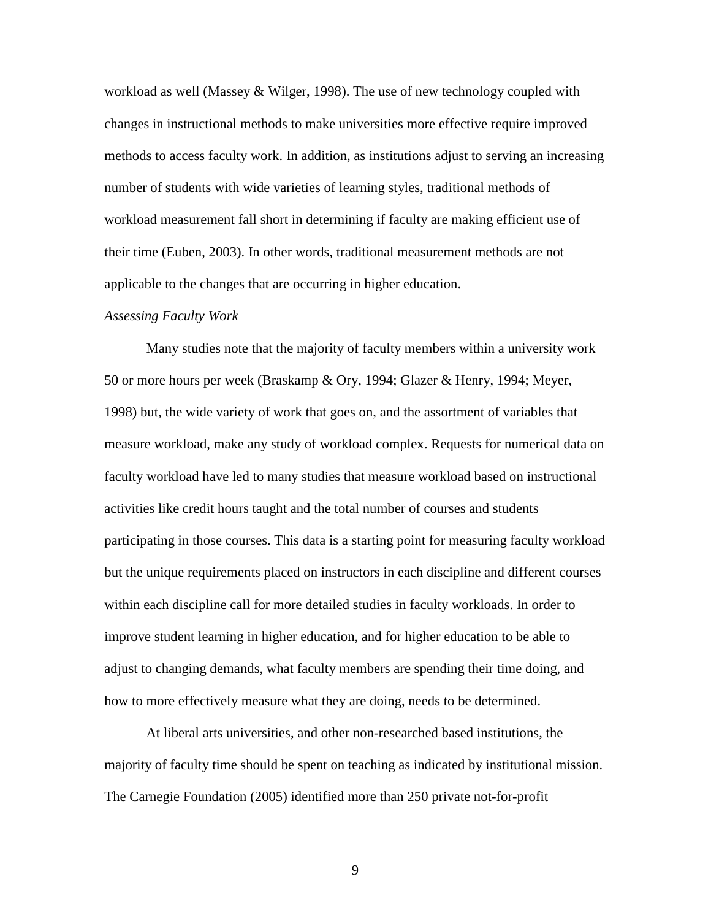workload as well (Massey & Wilger, 1998). The use of new technology coupled with changes in instructional methods to make universities more effective require improved methods to access faculty work. In addition, as institutions adjust to serving an increasing number of students with wide varieties of learning styles, traditional methods of workload measurement fall short in determining if faculty are making efficient use of their time (Euben, 2003). In other words, traditional measurement methods are not applicable to the changes that are occurring in higher education.

#### *Assessing Faculty Work*

Many studies note that the majority of faculty members within a university work 50 or more hours per week (Braskamp & Ory, 1994; Glazer & Henry, 1994; Meyer, 1998) but, the wide variety of work that goes on, and the assortment of variables that measure workload, make any study of workload complex. Requests for numerical data on faculty workload have led to many studies that measure workload based on instructional activities like credit hours taught and the total number of courses and students participating in those courses. This data is a starting point for measuring faculty workload but the unique requirements placed on instructors in each discipline and different courses within each discipline call for more detailed studies in faculty workloads. In order to improve student learning in higher education, and for higher education to be able to adjust to changing demands, what faculty members are spending their time doing, and how to more effectively measure what they are doing, needs to be determined.

At liberal arts universities, and other non-researched based institutions, the majority of faculty time should be spent on teaching as indicated by institutional mission. The Carnegie Foundation (2005) identified more than 250 private not-for-profit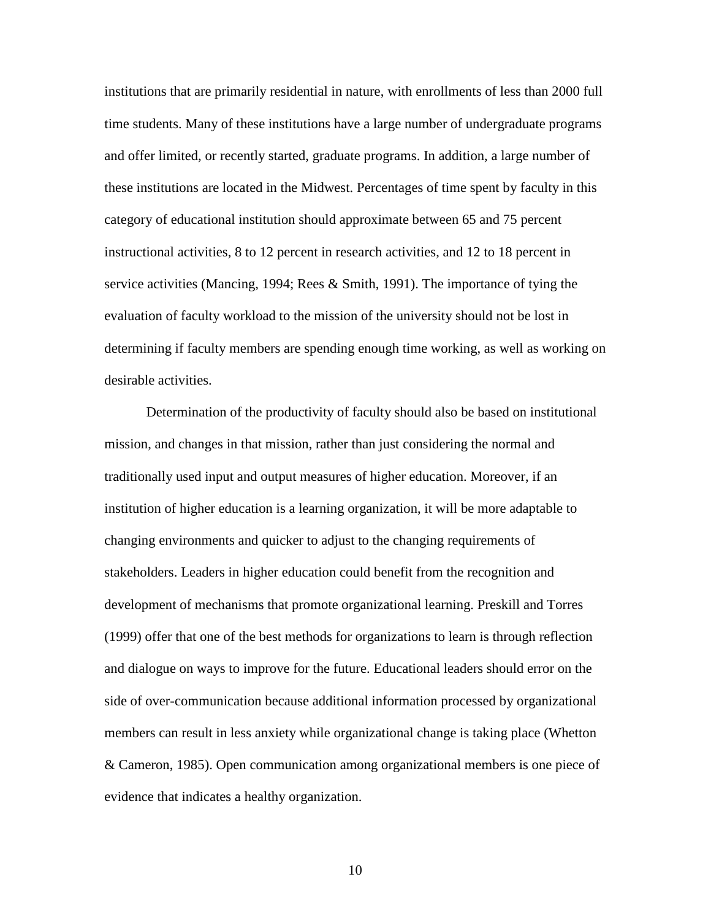institutions that are primarily residential in nature, with enrollments of less than 2000 full time students. Many of these institutions have a large number of undergraduate programs and offer limited, or recently started, graduate programs. In addition, a large number of these institutions are located in the Midwest. Percentages of time spent by faculty in this category of educational institution should approximate between 65 and 75 percent instructional activities, 8 to 12 percent in research activities, and 12 to 18 percent in service activities (Mancing, 1994; Rees & Smith, 1991). The importance of tying the evaluation of faculty workload to the mission of the university should not be lost in determining if faculty members are spending enough time working, as well as working on desirable activities.

Determination of the productivity of faculty should also be based on institutional mission, and changes in that mission, rather than just considering the normal and traditionally used input and output measures of higher education. Moreover, if an institution of higher education is a learning organization, it will be more adaptable to changing environments and quicker to adjust to the changing requirements of stakeholders. Leaders in higher education could benefit from the recognition and development of mechanisms that promote organizational learning. Preskill and Torres (1999) offer that one of the best methods for organizations to learn is through reflection and dialogue on ways to improve for the future. Educational leaders should error on the side of over-communication because additional information processed by organizational members can result in less anxiety while organizational change is taking place (Whetton & Cameron, 1985). Open communication among organizational members is one piece of evidence that indicates a healthy organization.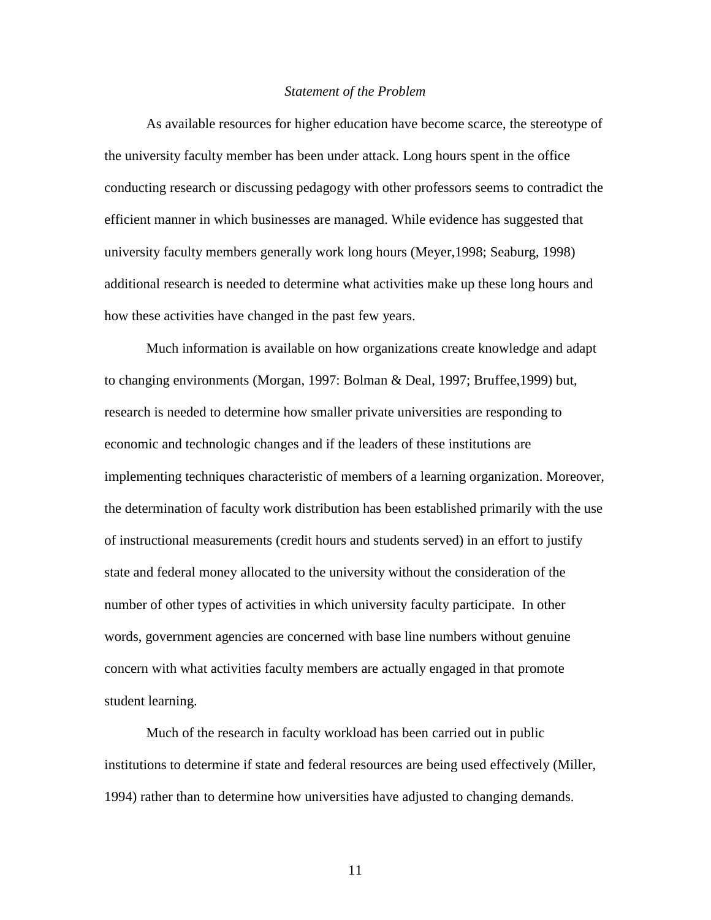#### *Statement of the Problem*

 As available resources for higher education have become scarce, the stereotype of the university faculty member has been under attack. Long hours spent in the office conducting research or discussing pedagogy with other professors seems to contradict the efficient manner in which businesses are managed. While evidence has suggested that university faculty members generally work long hours (Meyer,1998; Seaburg, 1998) additional research is needed to determine what activities make up these long hours and how these activities have changed in the past few years.

Much information is available on how organizations create knowledge and adapt to changing environments (Morgan, 1997: Bolman & Deal, 1997; Bruffee,1999) but, research is needed to determine how smaller private universities are responding to economic and technologic changes and if the leaders of these institutions are implementing techniques characteristic of members of a learning organization. Moreover, the determination of faculty work distribution has been established primarily with the use of instructional measurements (credit hours and students served) in an effort to justify state and federal money allocated to the university without the consideration of the number of other types of activities in which university faculty participate. In other words, government agencies are concerned with base line numbers without genuine concern with what activities faculty members are actually engaged in that promote student learning.

 Much of the research in faculty workload has been carried out in public institutions to determine if state and federal resources are being used effectively (Miller, 1994) rather than to determine how universities have adjusted to changing demands.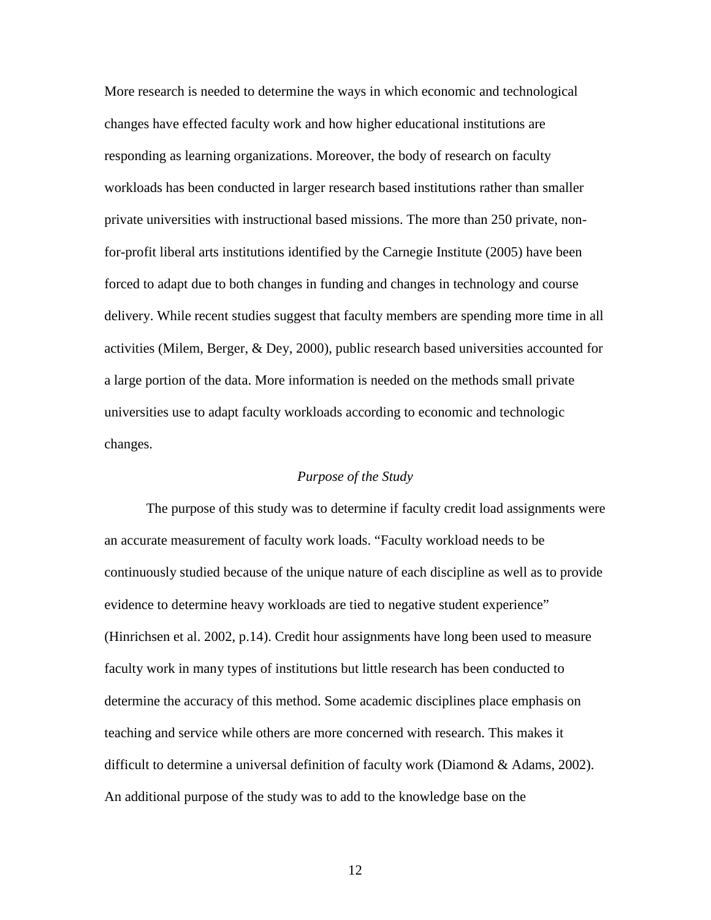More research is needed to determine the ways in which economic and technological changes have effected faculty work and how higher educational institutions are responding as learning organizations. Moreover, the body of research on faculty workloads has been conducted in larger research based institutions rather than smaller private universities with instructional based missions. The more than 250 private, nonfor-profit liberal arts institutions identified by the Carnegie Institute (2005) have been forced to adapt due to both changes in funding and changes in technology and course delivery. While recent studies suggest that faculty members are spending more time in all activities (Milem, Berger, & Dey, 2000), public research based universities accounted for a large portion of the data. More information is needed on the methods small private universities use to adapt faculty workloads according to economic and technologic changes.

# *Purpose of the Study*

 The purpose of this study was to determine if faculty credit load assignments were an accurate measurement of faculty work loads. "Faculty workload needs to be continuously studied because of the unique nature of each discipline as well as to provide evidence to determine heavy workloads are tied to negative student experience" (Hinrichsen et al. 2002, p.14). Credit hour assignments have long been used to measure faculty work in many types of institutions but little research has been conducted to determine the accuracy of this method. Some academic disciplines place emphasis on teaching and service while others are more concerned with research. This makes it difficult to determine a universal definition of faculty work (Diamond & Adams, 2002). An additional purpose of the study was to add to the knowledge base on the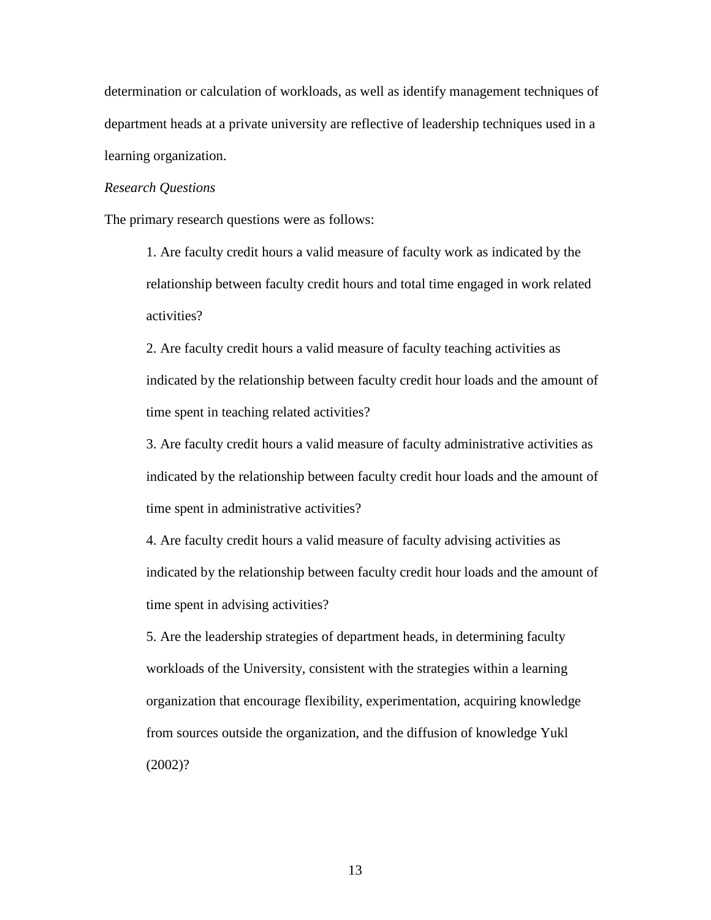determination or calculation of workloads, as well as identify management techniques of department heads at a private university are reflective of leadership techniques used in a learning organization.

## *Research Questions*

The primary research questions were as follows:

1. Are faculty credit hours a valid measure of faculty work as indicated by the relationship between faculty credit hours and total time engaged in work related activities?

2. Are faculty credit hours a valid measure of faculty teaching activities as indicated by the relationship between faculty credit hour loads and the amount of time spent in teaching related activities?

3. Are faculty credit hours a valid measure of faculty administrative activities as indicated by the relationship between faculty credit hour loads and the amount of time spent in administrative activities?

4. Are faculty credit hours a valid measure of faculty advising activities as indicated by the relationship between faculty credit hour loads and the amount of time spent in advising activities?

5. Are the leadership strategies of department heads, in determining faculty workloads of the University, consistent with the strategies within a learning organization that encourage flexibility, experimentation, acquiring knowledge from sources outside the organization, and the diffusion of knowledge Yukl (2002)?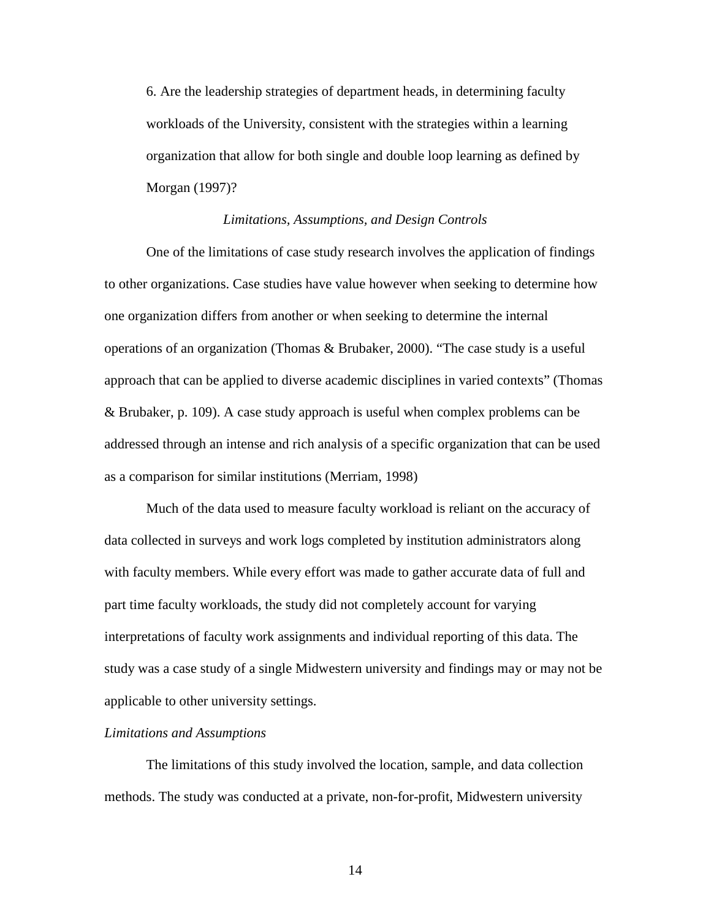6. Are the leadership strategies of department heads, in determining faculty workloads of the University, consistent with the strategies within a learning organization that allow for both single and double loop learning as defined by Morgan (1997)?

#### *Limitations, Assumptions, and Design Controls*

 One of the limitations of case study research involves the application of findings to other organizations. Case studies have value however when seeking to determine how one organization differs from another or when seeking to determine the internal operations of an organization (Thomas & Brubaker, 2000). "The case study is a useful approach that can be applied to diverse academic disciplines in varied contexts" (Thomas & Brubaker, p. 109). A case study approach is useful when complex problems can be addressed through an intense and rich analysis of a specific organization that can be used as a comparison for similar institutions (Merriam, 1998)

Much of the data used to measure faculty workload is reliant on the accuracy of data collected in surveys and work logs completed by institution administrators along with faculty members. While every effort was made to gather accurate data of full and part time faculty workloads, the study did not completely account for varying interpretations of faculty work assignments and individual reporting of this data. The study was a case study of a single Midwestern university and findings may or may not be applicable to other university settings.

#### *Limitations and Assumptions*

The limitations of this study involved the location, sample, and data collection methods. The study was conducted at a private, non-for-profit, Midwestern university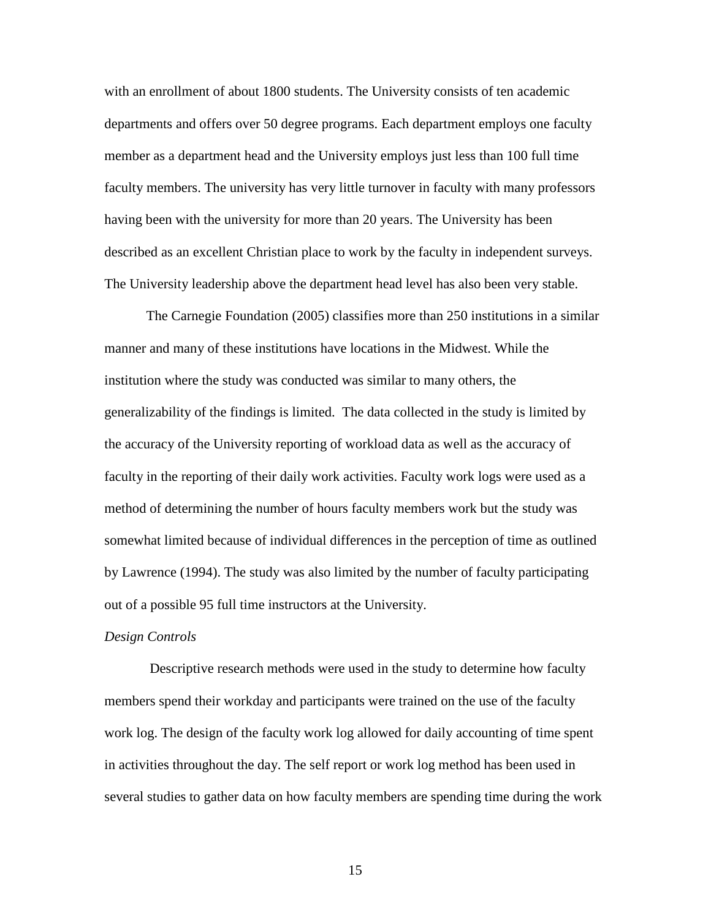with an enrollment of about 1800 students. The University consists of ten academic departments and offers over 50 degree programs. Each department employs one faculty member as a department head and the University employs just less than 100 full time faculty members. The university has very little turnover in faculty with many professors having been with the university for more than 20 years. The University has been described as an excellent Christian place to work by the faculty in independent surveys. The University leadership above the department head level has also been very stable.

The Carnegie Foundation (2005) classifies more than 250 institutions in a similar manner and many of these institutions have locations in the Midwest. While the institution where the study was conducted was similar to many others, the generalizability of the findings is limited. The data collected in the study is limited by the accuracy of the University reporting of workload data as well as the accuracy of faculty in the reporting of their daily work activities. Faculty work logs were used as a method of determining the number of hours faculty members work but the study was somewhat limited because of individual differences in the perception of time as outlined by Lawrence (1994). The study was also limited by the number of faculty participating out of a possible 95 full time instructors at the University.

#### *Design Controls*

 Descriptive research methods were used in the study to determine how faculty members spend their workday and participants were trained on the use of the faculty work log. The design of the faculty work log allowed for daily accounting of time spent in activities throughout the day. The self report or work log method has been used in several studies to gather data on how faculty members are spending time during the work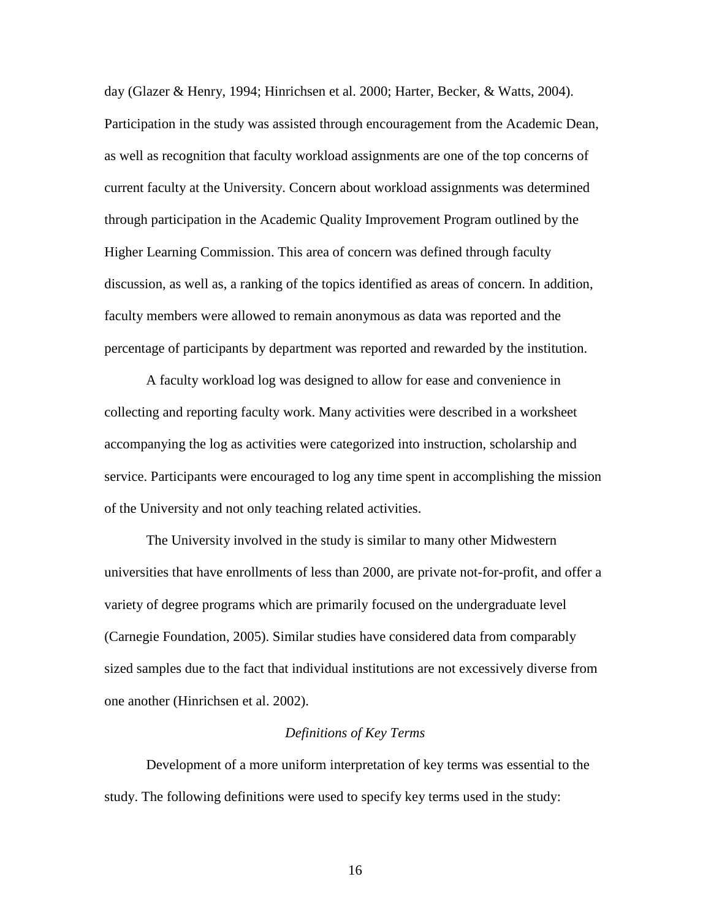day (Glazer & Henry, 1994; Hinrichsen et al. 2000; Harter, Becker, & Watts, 2004). Participation in the study was assisted through encouragement from the Academic Dean, as well as recognition that faculty workload assignments are one of the top concerns of current faculty at the University. Concern about workload assignments was determined through participation in the Academic Quality Improvement Program outlined by the Higher Learning Commission. This area of concern was defined through faculty discussion, as well as, a ranking of the topics identified as areas of concern. In addition, faculty members were allowed to remain anonymous as data was reported and the percentage of participants by department was reported and rewarded by the institution.

 A faculty workload log was designed to allow for ease and convenience in collecting and reporting faculty work. Many activities were described in a worksheet accompanying the log as activities were categorized into instruction, scholarship and service. Participants were encouraged to log any time spent in accomplishing the mission of the University and not only teaching related activities.

 The University involved in the study is similar to many other Midwestern universities that have enrollments of less than 2000, are private not-for-profit, and offer a variety of degree programs which are primarily focused on the undergraduate level (Carnegie Foundation, 2005). Similar studies have considered data from comparably sized samples due to the fact that individual institutions are not excessively diverse from one another (Hinrichsen et al. 2002).

#### *Definitions of Key Terms*

 Development of a more uniform interpretation of key terms was essential to the study. The following definitions were used to specify key terms used in the study: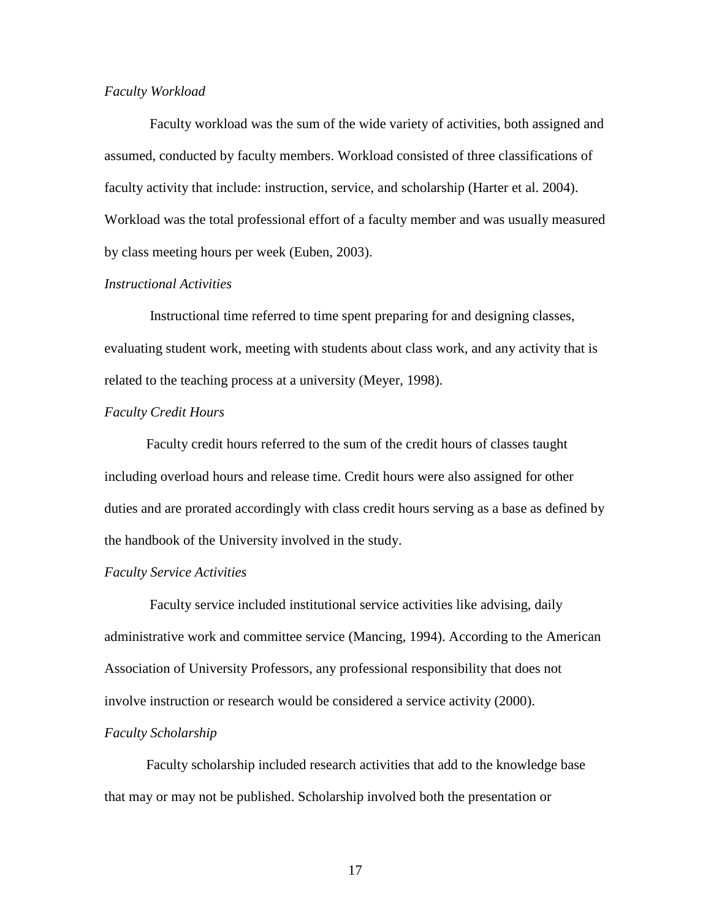## *Faculty Workload*

 Faculty workload was the sum of the wide variety of activities, both assigned and assumed, conducted by faculty members. Workload consisted of three classifications of faculty activity that include: instruction, service, and scholarship (Harter et al. 2004). Workload was the total professional effort of a faculty member and was usually measured by class meeting hours per week (Euben, 2003).

# *Instructional Activities*

 Instructional time referred to time spent preparing for and designing classes, evaluating student work, meeting with students about class work, and any activity that is related to the teaching process at a university (Meyer, 1998).

#### *Faculty Credit Hours*

Faculty credit hours referred to the sum of the credit hours of classes taught including overload hours and release time. Credit hours were also assigned for other duties and are prorated accordingly with class credit hours serving as a base as defined by the handbook of the University involved in the study.

#### *Faculty Service Activities*

 Faculty service included institutional service activities like advising, daily administrative work and committee service (Mancing, 1994). According to the American Association of University Professors, any professional responsibility that does not involve instruction or research would be considered a service activity (2000).

#### *Faculty Scholarship*

Faculty scholarship included research activities that add to the knowledge base that may or may not be published. Scholarship involved both the presentation or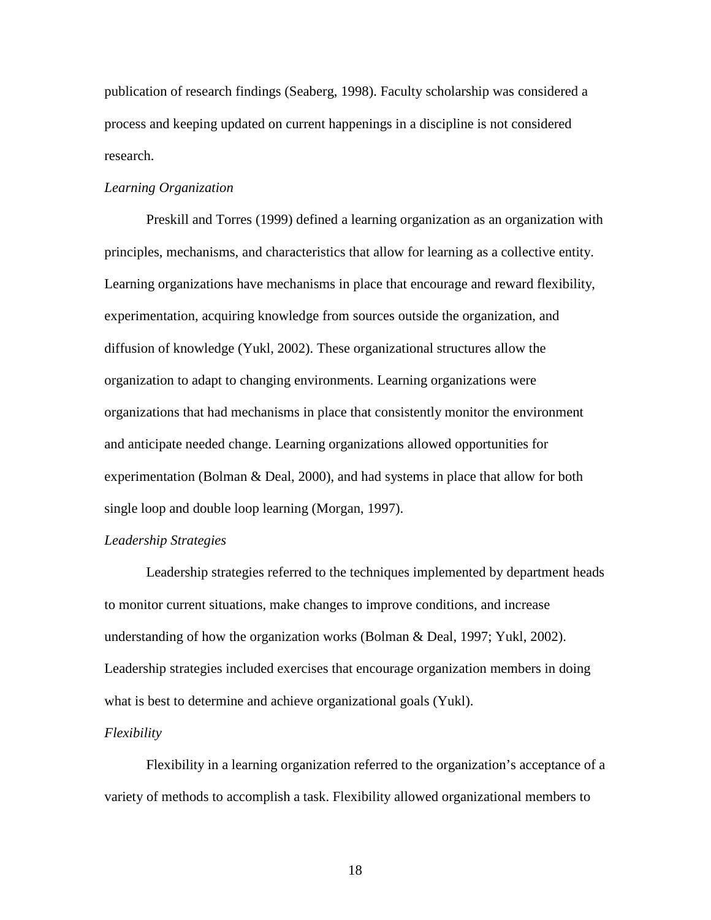publication of research findings (Seaberg, 1998). Faculty scholarship was considered a process and keeping updated on current happenings in a discipline is not considered research.

## *Learning Organization*

Preskill and Torres (1999) defined a learning organization as an organization with principles, mechanisms, and characteristics that allow for learning as a collective entity. Learning organizations have mechanisms in place that encourage and reward flexibility, experimentation, acquiring knowledge from sources outside the organization, and diffusion of knowledge (Yukl, 2002). These organizational structures allow the organization to adapt to changing environments. Learning organizations were organizations that had mechanisms in place that consistently monitor the environment and anticipate needed change. Learning organizations allowed opportunities for experimentation (Bolman & Deal, 2000), and had systems in place that allow for both single loop and double loop learning (Morgan, 1997).

# *Leadership Strategies*

Leadership strategies referred to the techniques implemented by department heads to monitor current situations, make changes to improve conditions, and increase understanding of how the organization works (Bolman & Deal, 1997; Yukl, 2002). Leadership strategies included exercises that encourage organization members in doing what is best to determine and achieve organizational goals (Yukl).

#### *Flexibility*

Flexibility in a learning organization referred to the organization's acceptance of a variety of methods to accomplish a task. Flexibility allowed organizational members to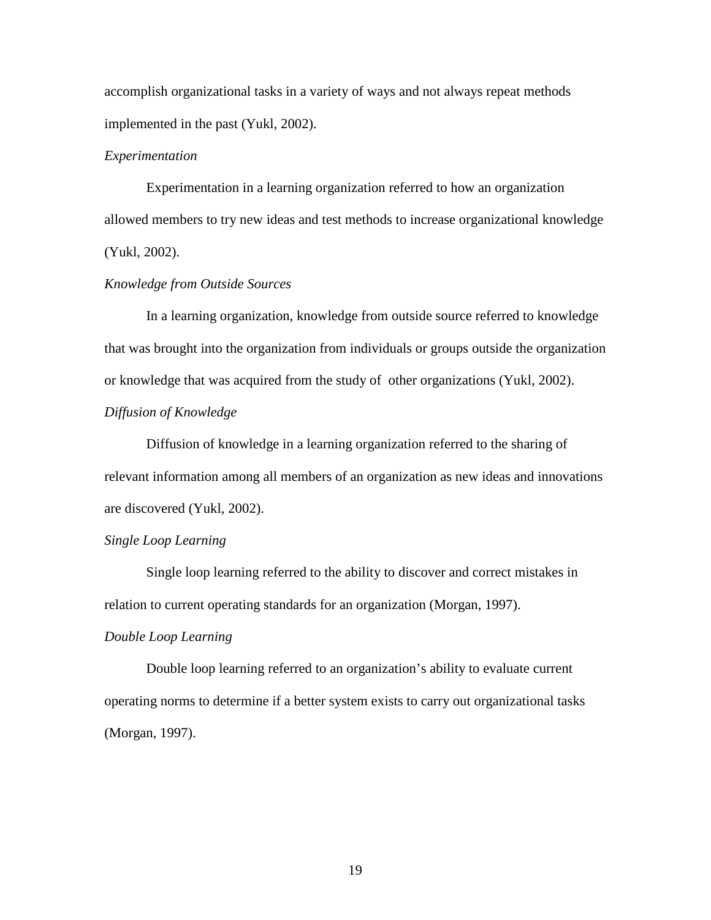accomplish organizational tasks in a variety of ways and not always repeat methods implemented in the past (Yukl, 2002).

## *Experimentation*

Experimentation in a learning organization referred to how an organization allowed members to try new ideas and test methods to increase organizational knowledge (Yukl, 2002).

# *Knowledge from Outside Sources*

In a learning organization, knowledge from outside source referred to knowledge that was brought into the organization from individuals or groups outside the organization or knowledge that was acquired from the study of other organizations (Yukl, 2002). *Diffusion of Knowledge* 

Diffusion of knowledge in a learning organization referred to the sharing of relevant information among all members of an organization as new ideas and innovations are discovered (Yukl, 2002).

## *Single Loop Learning*

Single loop learning referred to the ability to discover and correct mistakes in relation to current operating standards for an organization (Morgan, 1997).

#### *Double Loop Learning*

Double loop learning referred to an organization's ability to evaluate current operating norms to determine if a better system exists to carry out organizational tasks (Morgan, 1997).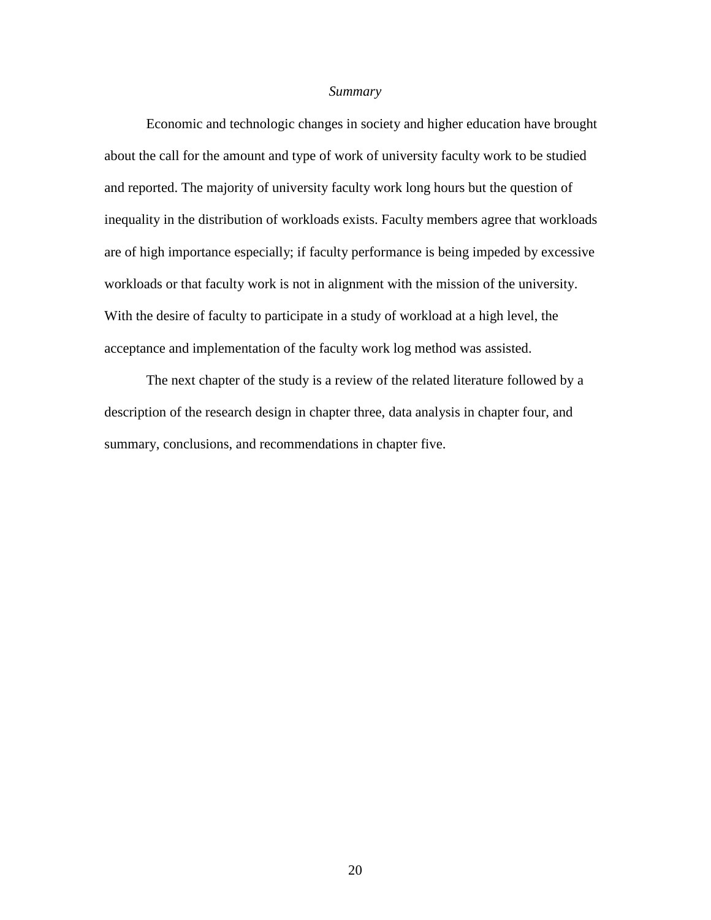### *Summary*

 Economic and technologic changes in society and higher education have brought about the call for the amount and type of work of university faculty work to be studied and reported. The majority of university faculty work long hours but the question of inequality in the distribution of workloads exists. Faculty members agree that workloads are of high importance especially; if faculty performance is being impeded by excessive workloads or that faculty work is not in alignment with the mission of the university. With the desire of faculty to participate in a study of workload at a high level, the acceptance and implementation of the faculty work log method was assisted.

 The next chapter of the study is a review of the related literature followed by a description of the research design in chapter three, data analysis in chapter four, and summary, conclusions, and recommendations in chapter five.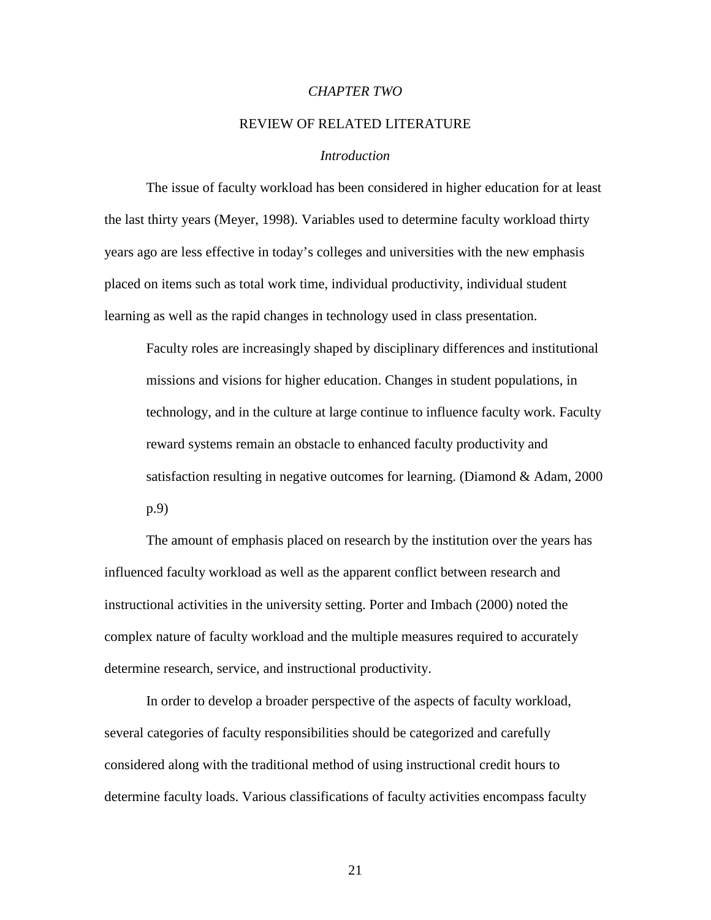#### *CHAPTER TWO*

### REVIEW OF RELATED LITERATURE

#### *Introduction*

 The issue of faculty workload has been considered in higher education for at least the last thirty years (Meyer, 1998). Variables used to determine faculty workload thirty years ago are less effective in today's colleges and universities with the new emphasis placed on items such as total work time, individual productivity, individual student learning as well as the rapid changes in technology used in class presentation.

Faculty roles are increasingly shaped by disciplinary differences and institutional missions and visions for higher education. Changes in student populations, in technology, and in the culture at large continue to influence faculty work. Faculty reward systems remain an obstacle to enhanced faculty productivity and satisfaction resulting in negative outcomes for learning. (Diamond & Adam, 2000 p.9)

The amount of emphasis placed on research by the institution over the years has influenced faculty workload as well as the apparent conflict between research and instructional activities in the university setting. Porter and Imbach (2000) noted the complex nature of faculty workload and the multiple measures required to accurately determine research, service, and instructional productivity.

In order to develop a broader perspective of the aspects of faculty workload, several categories of faculty responsibilities should be categorized and carefully considered along with the traditional method of using instructional credit hours to determine faculty loads. Various classifications of faculty activities encompass faculty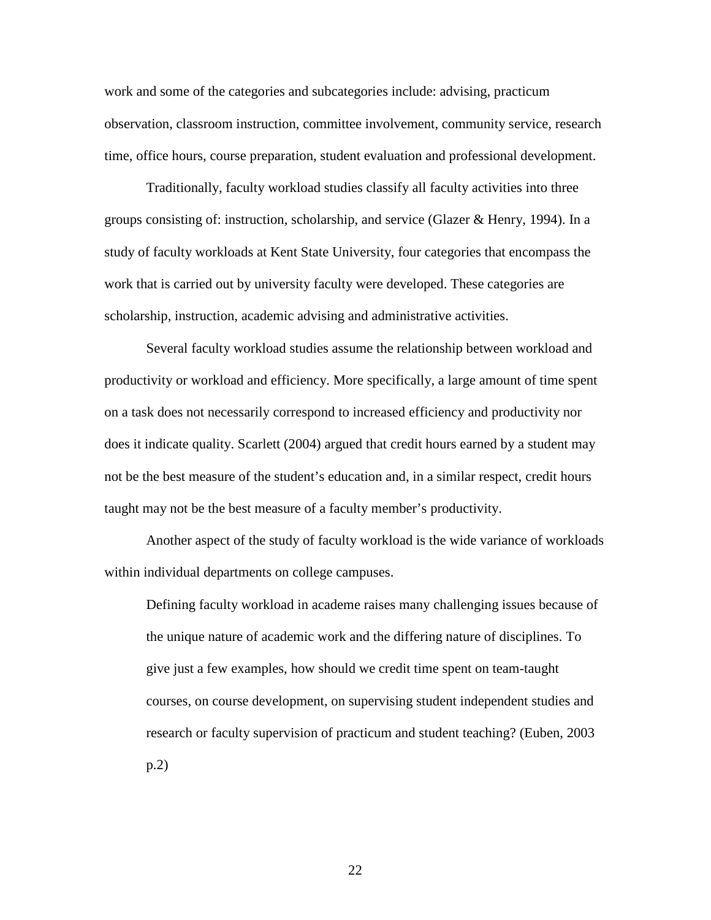work and some of the categories and subcategories include: advising, practicum observation, classroom instruction, committee involvement, community service, research time, office hours, course preparation, student evaluation and professional development.

Traditionally, faculty workload studies classify all faculty activities into three groups consisting of: instruction, scholarship, and service (Glazer & Henry, 1994). In a study of faculty workloads at Kent State University, four categories that encompass the work that is carried out by university faculty were developed. These categories are scholarship, instruction, academic advising and administrative activities.

Several faculty workload studies assume the relationship between workload and productivity or workload and efficiency. More specifically, a large amount of time spent on a task does not necessarily correspond to increased efficiency and productivity nor does it indicate quality. Scarlett (2004) argued that credit hours earned by a student may not be the best measure of the student's education and, in a similar respect, credit hours taught may not be the best measure of a faculty member's productivity.

Another aspect of the study of faculty workload is the wide variance of workloads within individual departments on college campuses.

 Defining faculty workload in academe raises many challenging issues because of the unique nature of academic work and the differing nature of disciplines. To give just a few examples, how should we credit time spent on team-taught courses, on course development, on supervising student independent studies and research or faculty supervision of practicum and student teaching? (Euben, 2003 p.2)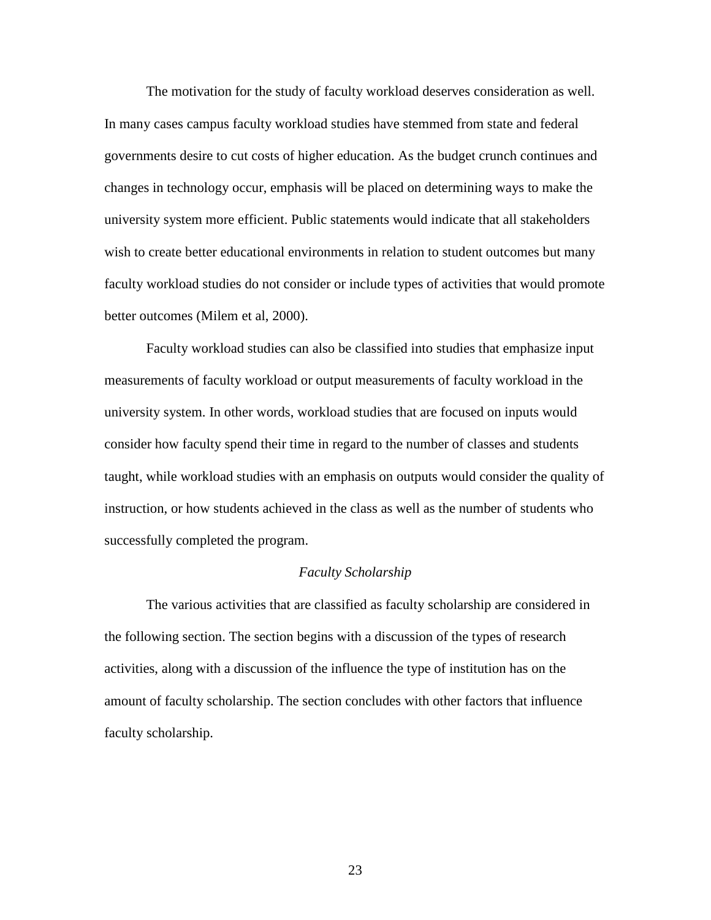The motivation for the study of faculty workload deserves consideration as well. In many cases campus faculty workload studies have stemmed from state and federal governments desire to cut costs of higher education. As the budget crunch continues and changes in technology occur, emphasis will be placed on determining ways to make the university system more efficient. Public statements would indicate that all stakeholders wish to create better educational environments in relation to student outcomes but many faculty workload studies do not consider or include types of activities that would promote better outcomes (Milem et al, 2000).

Faculty workload studies can also be classified into studies that emphasize input measurements of faculty workload or output measurements of faculty workload in the university system. In other words, workload studies that are focused on inputs would consider how faculty spend their time in regard to the number of classes and students taught, while workload studies with an emphasis on outputs would consider the quality of instruction, or how students achieved in the class as well as the number of students who successfully completed the program.

## *Faculty Scholarship*

The various activities that are classified as faculty scholarship are considered in the following section. The section begins with a discussion of the types of research activities, along with a discussion of the influence the type of institution has on the amount of faculty scholarship. The section concludes with other factors that influence faculty scholarship.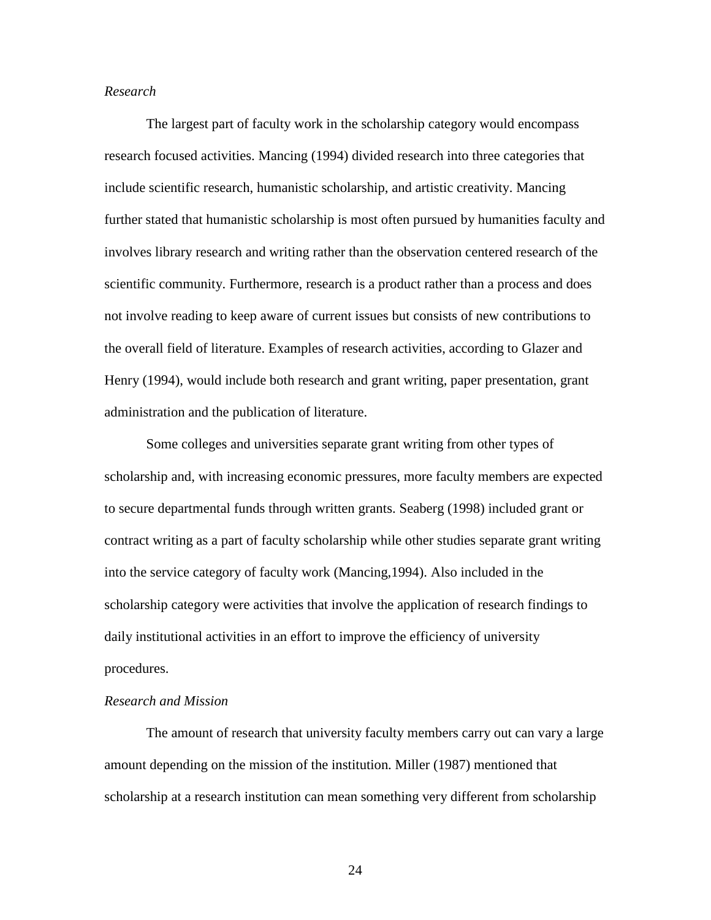### *Research*

 The largest part of faculty work in the scholarship category would encompass research focused activities. Mancing (1994) divided research into three categories that include scientific research, humanistic scholarship, and artistic creativity. Mancing further stated that humanistic scholarship is most often pursued by humanities faculty and involves library research and writing rather than the observation centered research of the scientific community. Furthermore, research is a product rather than a process and does not involve reading to keep aware of current issues but consists of new contributions to the overall field of literature. Examples of research activities, according to Glazer and Henry (1994), would include both research and grant writing, paper presentation, grant administration and the publication of literature.

Some colleges and universities separate grant writing from other types of scholarship and, with increasing economic pressures, more faculty members are expected to secure departmental funds through written grants. Seaberg (1998) included grant or contract writing as a part of faculty scholarship while other studies separate grant writing into the service category of faculty work (Mancing,1994). Also included in the scholarship category were activities that involve the application of research findings to daily institutional activities in an effort to improve the efficiency of university procedures.

## *Research and Mission*

The amount of research that university faculty members carry out can vary a large amount depending on the mission of the institution. Miller (1987) mentioned that scholarship at a research institution can mean something very different from scholarship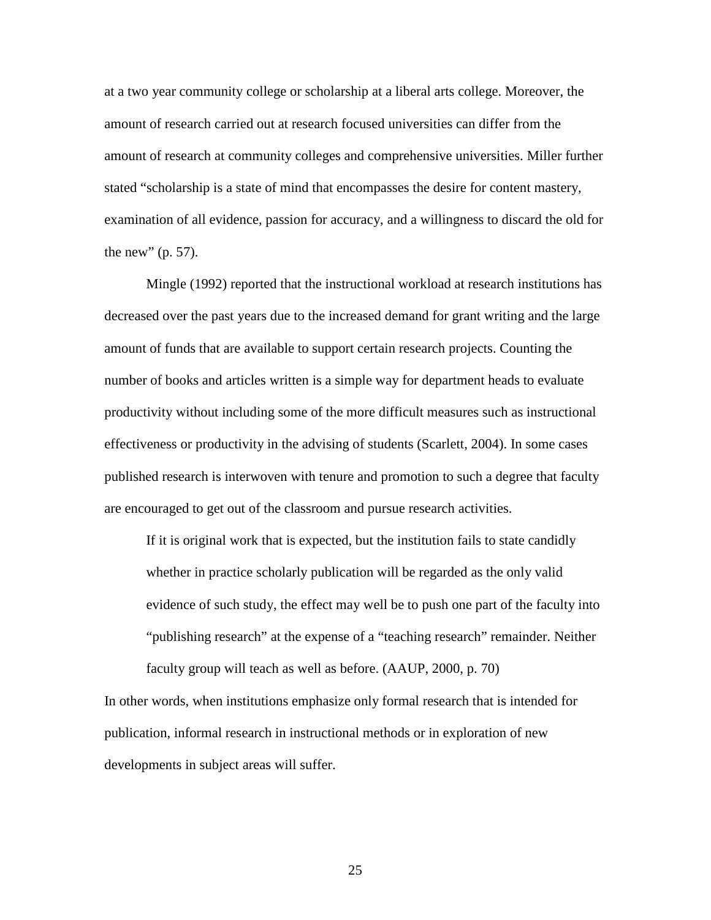at a two year community college or scholarship at a liberal arts college. Moreover, the amount of research carried out at research focused universities can differ from the amount of research at community colleges and comprehensive universities. Miller further stated "scholarship is a state of mind that encompasses the desire for content mastery, examination of all evidence, passion for accuracy, and a willingness to discard the old for the new"  $(p. 57)$ .

Mingle (1992) reported that the instructional workload at research institutions has decreased over the past years due to the increased demand for grant writing and the large amount of funds that are available to support certain research projects. Counting the number of books and articles written is a simple way for department heads to evaluate productivity without including some of the more difficult measures such as instructional effectiveness or productivity in the advising of students (Scarlett, 2004). In some cases published research is interwoven with tenure and promotion to such a degree that faculty are encouraged to get out of the classroom and pursue research activities.

If it is original work that is expected, but the institution fails to state candidly whether in practice scholarly publication will be regarded as the only valid evidence of such study, the effect may well be to push one part of the faculty into "publishing research" at the expense of a "teaching research" remainder. Neither faculty group will teach as well as before. (AAUP, 2000, p. 70)

In other words, when institutions emphasize only formal research that is intended for publication, informal research in instructional methods or in exploration of new developments in subject areas will suffer.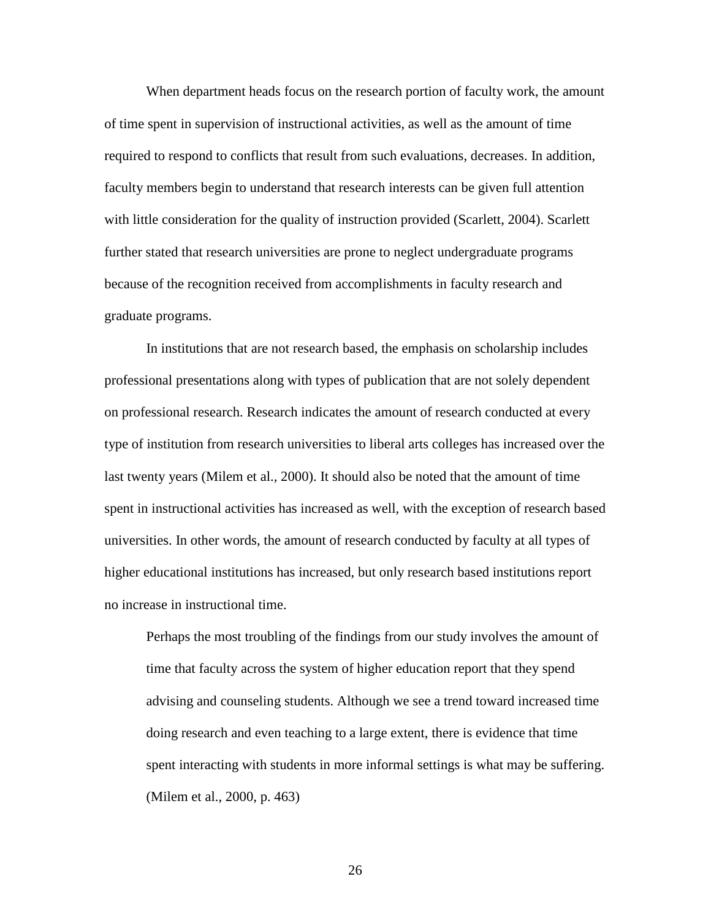When department heads focus on the research portion of faculty work, the amount of time spent in supervision of instructional activities, as well as the amount of time required to respond to conflicts that result from such evaluations, decreases. In addition, faculty members begin to understand that research interests can be given full attention with little consideration for the quality of instruction provided (Scarlett, 2004). Scarlett further stated that research universities are prone to neglect undergraduate programs because of the recognition received from accomplishments in faculty research and graduate programs.

In institutions that are not research based, the emphasis on scholarship includes professional presentations along with types of publication that are not solely dependent on professional research. Research indicates the amount of research conducted at every type of institution from research universities to liberal arts colleges has increased over the last twenty years (Milem et al., 2000). It should also be noted that the amount of time spent in instructional activities has increased as well, with the exception of research based universities. In other words, the amount of research conducted by faculty at all types of higher educational institutions has increased, but only research based institutions report no increase in instructional time.

Perhaps the most troubling of the findings from our study involves the amount of time that faculty across the system of higher education report that they spend advising and counseling students. Although we see a trend toward increased time doing research and even teaching to a large extent, there is evidence that time spent interacting with students in more informal settings is what may be suffering. (Milem et al., 2000, p. 463)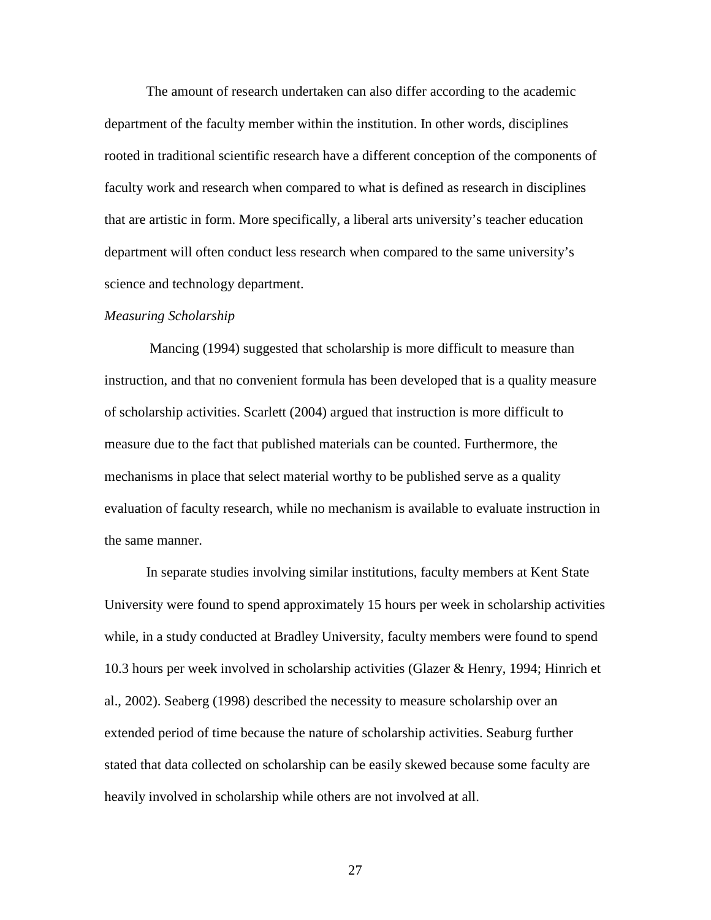The amount of research undertaken can also differ according to the academic department of the faculty member within the institution. In other words, disciplines rooted in traditional scientific research have a different conception of the components of faculty work and research when compared to what is defined as research in disciplines that are artistic in form. More specifically, a liberal arts university's teacher education department will often conduct less research when compared to the same university's science and technology department.

#### *Measuring Scholarship*

 Mancing (1994) suggested that scholarship is more difficult to measure than instruction, and that no convenient formula has been developed that is a quality measure of scholarship activities. Scarlett (2004) argued that instruction is more difficult to measure due to the fact that published materials can be counted. Furthermore, the mechanisms in place that select material worthy to be published serve as a quality evaluation of faculty research, while no mechanism is available to evaluate instruction in the same manner.

In separate studies involving similar institutions, faculty members at Kent State University were found to spend approximately 15 hours per week in scholarship activities while, in a study conducted at Bradley University, faculty members were found to spend 10.3 hours per week involved in scholarship activities (Glazer & Henry, 1994; Hinrich et al., 2002). Seaberg (1998) described the necessity to measure scholarship over an extended period of time because the nature of scholarship activities. Seaburg further stated that data collected on scholarship can be easily skewed because some faculty are heavily involved in scholarship while others are not involved at all.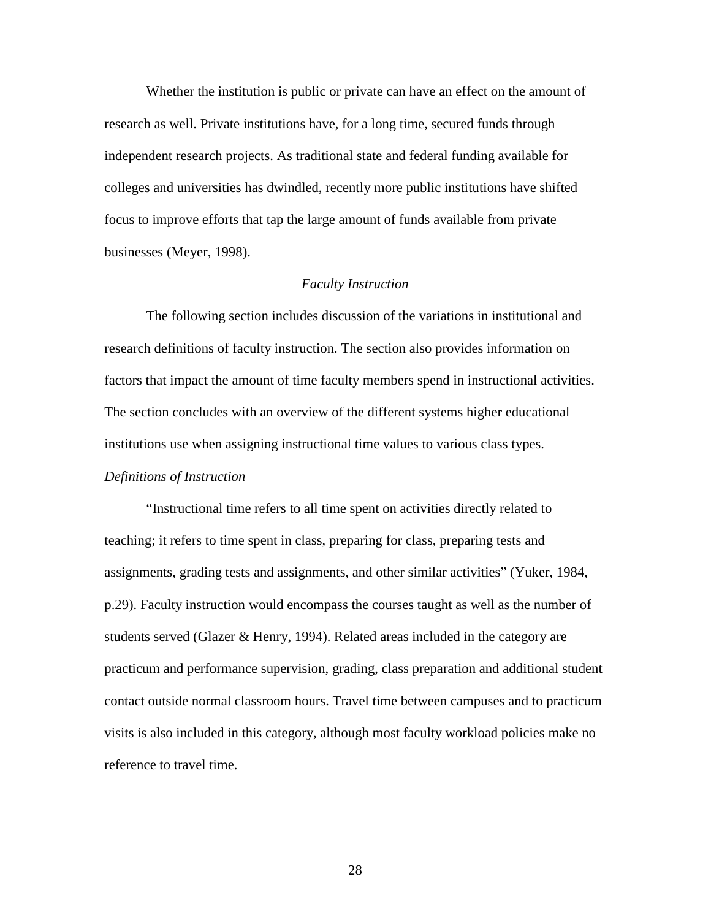Whether the institution is public or private can have an effect on the amount of research as well. Private institutions have, for a long time, secured funds through independent research projects. As traditional state and federal funding available for colleges and universities has dwindled, recently more public institutions have shifted focus to improve efforts that tap the large amount of funds available from private businesses (Meyer, 1998).

# *Faculty Instruction*

The following section includes discussion of the variations in institutional and research definitions of faculty instruction. The section also provides information on factors that impact the amount of time faculty members spend in instructional activities. The section concludes with an overview of the different systems higher educational institutions use when assigning instructional time values to various class types. *Definitions of Instruction* 

 "Instructional time refers to all time spent on activities directly related to teaching; it refers to time spent in class, preparing for class, preparing tests and assignments, grading tests and assignments, and other similar activities" (Yuker, 1984, p.29). Faculty instruction would encompass the courses taught as well as the number of students served (Glazer  $\&$  Henry, 1994). Related areas included in the category are practicum and performance supervision, grading, class preparation and additional student contact outside normal classroom hours. Travel time between campuses and to practicum visits is also included in this category, although most faculty workload policies make no reference to travel time.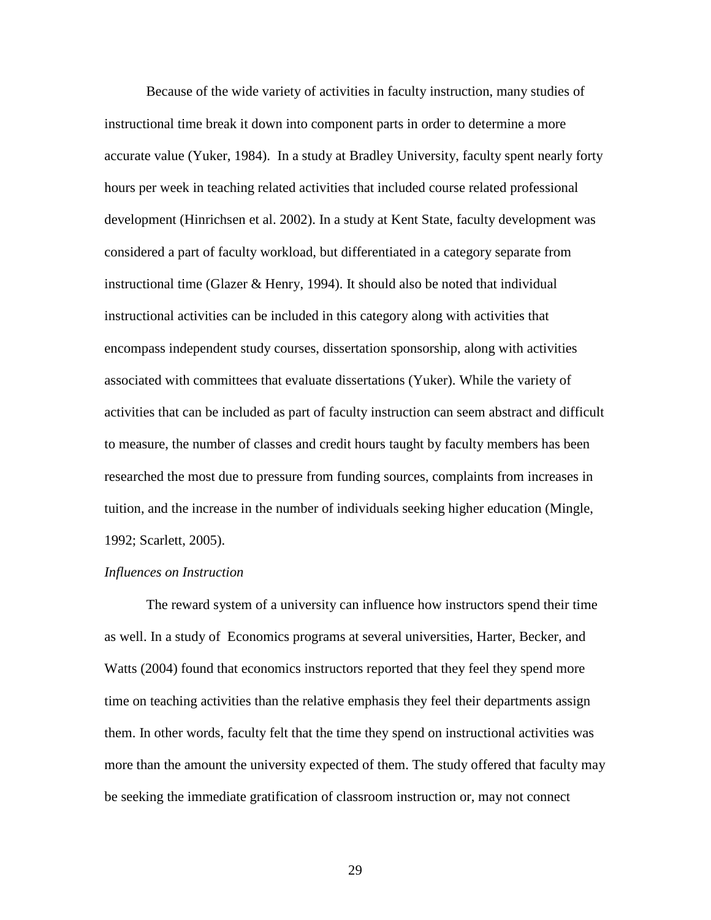Because of the wide variety of activities in faculty instruction, many studies of instructional time break it down into component parts in order to determine a more accurate value (Yuker, 1984). In a study at Bradley University, faculty spent nearly forty hours per week in teaching related activities that included course related professional development (Hinrichsen et al. 2002). In a study at Kent State, faculty development was considered a part of faculty workload, but differentiated in a category separate from instructional time (Glazer & Henry, 1994). It should also be noted that individual instructional activities can be included in this category along with activities that encompass independent study courses, dissertation sponsorship, along with activities associated with committees that evaluate dissertations (Yuker). While the variety of activities that can be included as part of faculty instruction can seem abstract and difficult to measure, the number of classes and credit hours taught by faculty members has been researched the most due to pressure from funding sources, complaints from increases in tuition, and the increase in the number of individuals seeking higher education (Mingle, 1992; Scarlett, 2005).

### *Influences on Instruction*

The reward system of a university can influence how instructors spend their time as well. In a study of Economics programs at several universities, Harter, Becker, and Watts (2004) found that economics instructors reported that they feel they spend more time on teaching activities than the relative emphasis they feel their departments assign them. In other words, faculty felt that the time they spend on instructional activities was more than the amount the university expected of them. The study offered that faculty may be seeking the immediate gratification of classroom instruction or, may not connect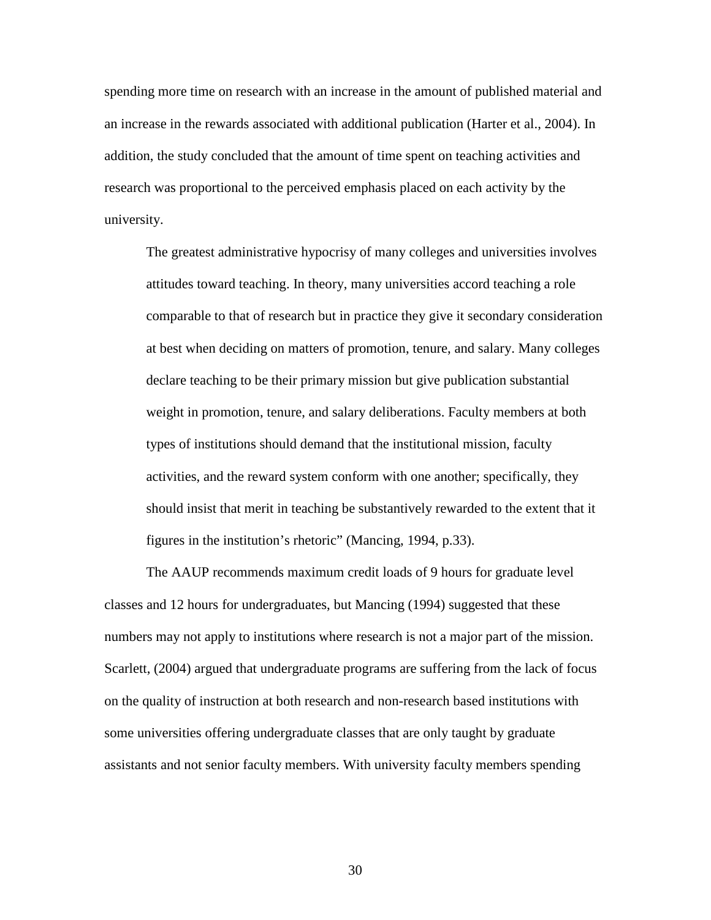spending more time on research with an increase in the amount of published material and an increase in the rewards associated with additional publication (Harter et al., 2004). In addition, the study concluded that the amount of time spent on teaching activities and research was proportional to the perceived emphasis placed on each activity by the university.

The greatest administrative hypocrisy of many colleges and universities involves attitudes toward teaching. In theory, many universities accord teaching a role comparable to that of research but in practice they give it secondary consideration at best when deciding on matters of promotion, tenure, and salary. Many colleges declare teaching to be their primary mission but give publication substantial weight in promotion, tenure, and salary deliberations. Faculty members at both types of institutions should demand that the institutional mission, faculty activities, and the reward system conform with one another; specifically, they should insist that merit in teaching be substantively rewarded to the extent that it figures in the institution's rhetoric" (Mancing, 1994, p.33).

The AAUP recommends maximum credit loads of 9 hours for graduate level classes and 12 hours for undergraduates, but Mancing (1994) suggested that these numbers may not apply to institutions where research is not a major part of the mission. Scarlett, (2004) argued that undergraduate programs are suffering from the lack of focus on the quality of instruction at both research and non-research based institutions with some universities offering undergraduate classes that are only taught by graduate assistants and not senior faculty members. With university faculty members spending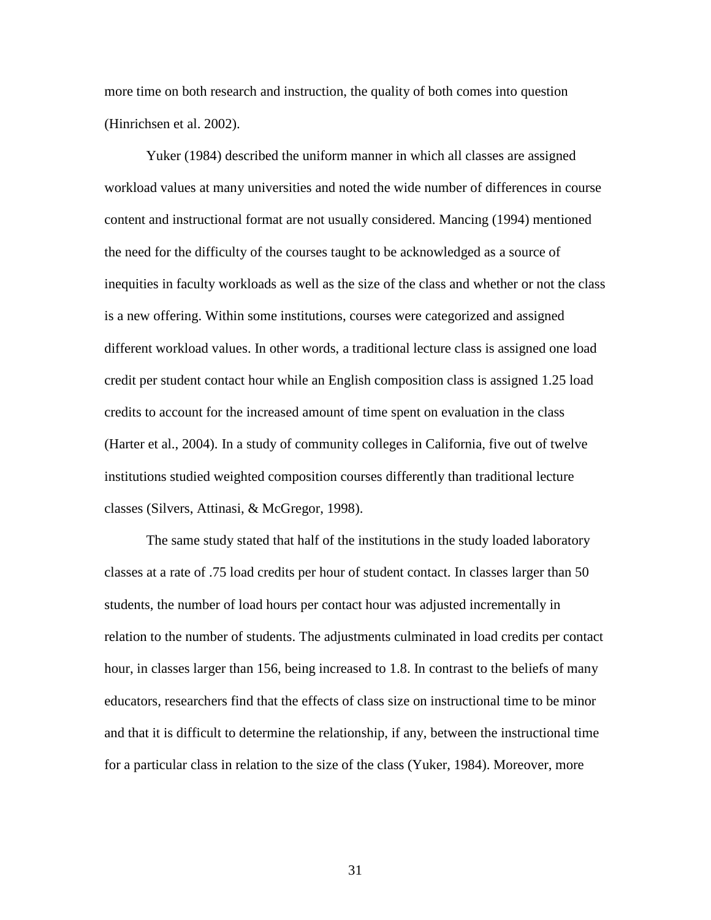more time on both research and instruction, the quality of both comes into question (Hinrichsen et al. 2002).

Yuker (1984) described the uniform manner in which all classes are assigned workload values at many universities and noted the wide number of differences in course content and instructional format are not usually considered. Mancing (1994) mentioned the need for the difficulty of the courses taught to be acknowledged as a source of inequities in faculty workloads as well as the size of the class and whether or not the class is a new offering. Within some institutions, courses were categorized and assigned different workload values. In other words, a traditional lecture class is assigned one load credit per student contact hour while an English composition class is assigned 1.25 load credits to account for the increased amount of time spent on evaluation in the class (Harter et al., 2004). In a study of community colleges in California, five out of twelve institutions studied weighted composition courses differently than traditional lecture classes (Silvers, Attinasi, & McGregor, 1998).

The same study stated that half of the institutions in the study loaded laboratory classes at a rate of .75 load credits per hour of student contact. In classes larger than 50 students, the number of load hours per contact hour was adjusted incrementally in relation to the number of students. The adjustments culminated in load credits per contact hour, in classes larger than 156, being increased to 1.8. In contrast to the beliefs of many educators, researchers find that the effects of class size on instructional time to be minor and that it is difficult to determine the relationship, if any, between the instructional time for a particular class in relation to the size of the class (Yuker, 1984). Moreover, more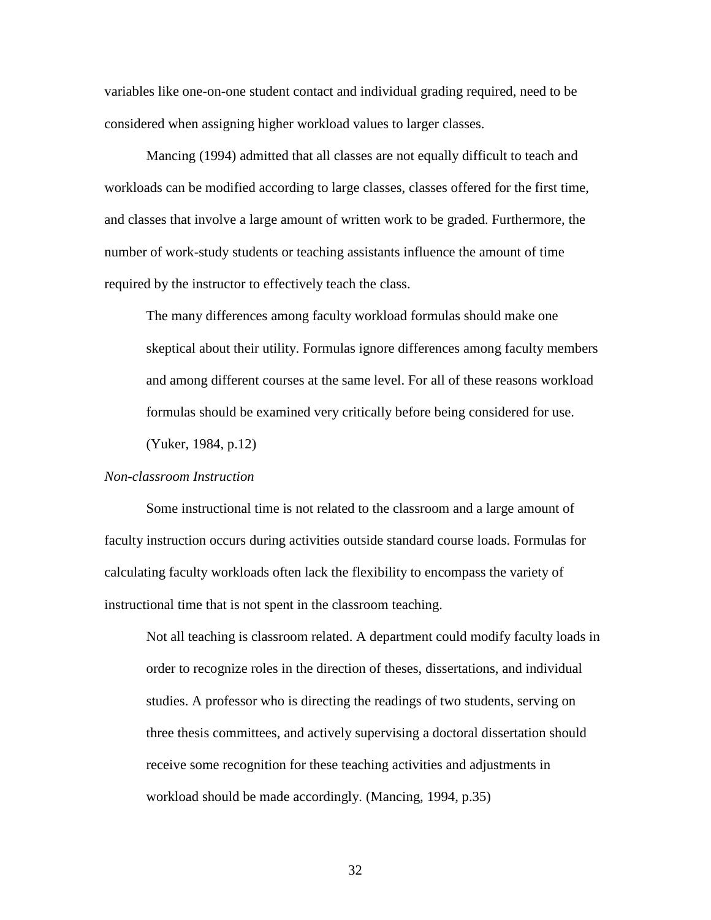variables like one-on-one student contact and individual grading required, need to be considered when assigning higher workload values to larger classes.

Mancing (1994) admitted that all classes are not equally difficult to teach and workloads can be modified according to large classes, classes offered for the first time, and classes that involve a large amount of written work to be graded. Furthermore, the number of work-study students or teaching assistants influence the amount of time required by the instructor to effectively teach the class.

The many differences among faculty workload formulas should make one skeptical about their utility. Formulas ignore differences among faculty members and among different courses at the same level. For all of these reasons workload formulas should be examined very critically before being considered for use.

(Yuker, 1984, p.12)

# *Non-classroom Instruction*

 Some instructional time is not related to the classroom and a large amount of faculty instruction occurs during activities outside standard course loads. Formulas for calculating faculty workloads often lack the flexibility to encompass the variety of instructional time that is not spent in the classroom teaching.

Not all teaching is classroom related. A department could modify faculty loads in order to recognize roles in the direction of theses, dissertations, and individual studies. A professor who is directing the readings of two students, serving on three thesis committees, and actively supervising a doctoral dissertation should receive some recognition for these teaching activities and adjustments in workload should be made accordingly. (Mancing, 1994, p.35)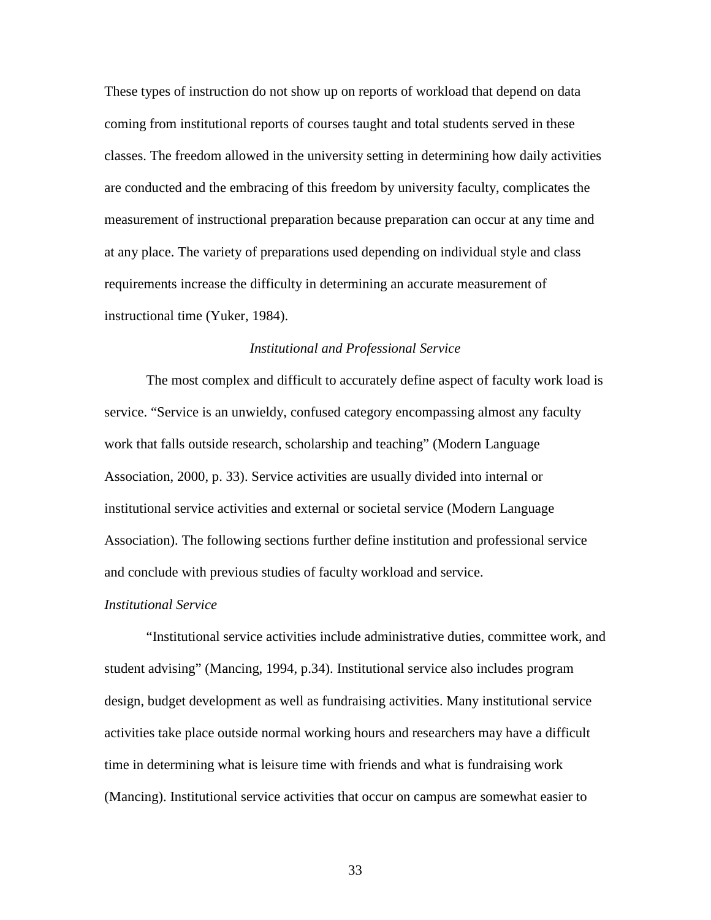These types of instruction do not show up on reports of workload that depend on data coming from institutional reports of courses taught and total students served in these classes. The freedom allowed in the university setting in determining how daily activities are conducted and the embracing of this freedom by university faculty, complicates the measurement of instructional preparation because preparation can occur at any time and at any place. The variety of preparations used depending on individual style and class requirements increase the difficulty in determining an accurate measurement of instructional time (Yuker, 1984).

# *Institutional and Professional Service*

 The most complex and difficult to accurately define aspect of faculty work load is service. "Service is an unwieldy, confused category encompassing almost any faculty work that falls outside research, scholarship and teaching" (Modern Language Association, 2000, p. 33). Service activities are usually divided into internal or institutional service activities and external or societal service (Modern Language Association). The following sections further define institution and professional service and conclude with previous studies of faculty workload and service.

### *Institutional Service*

"Institutional service activities include administrative duties, committee work, and student advising" (Mancing, 1994, p.34). Institutional service also includes program design, budget development as well as fundraising activities. Many institutional service activities take place outside normal working hours and researchers may have a difficult time in determining what is leisure time with friends and what is fundraising work (Mancing). Institutional service activities that occur on campus are somewhat easier to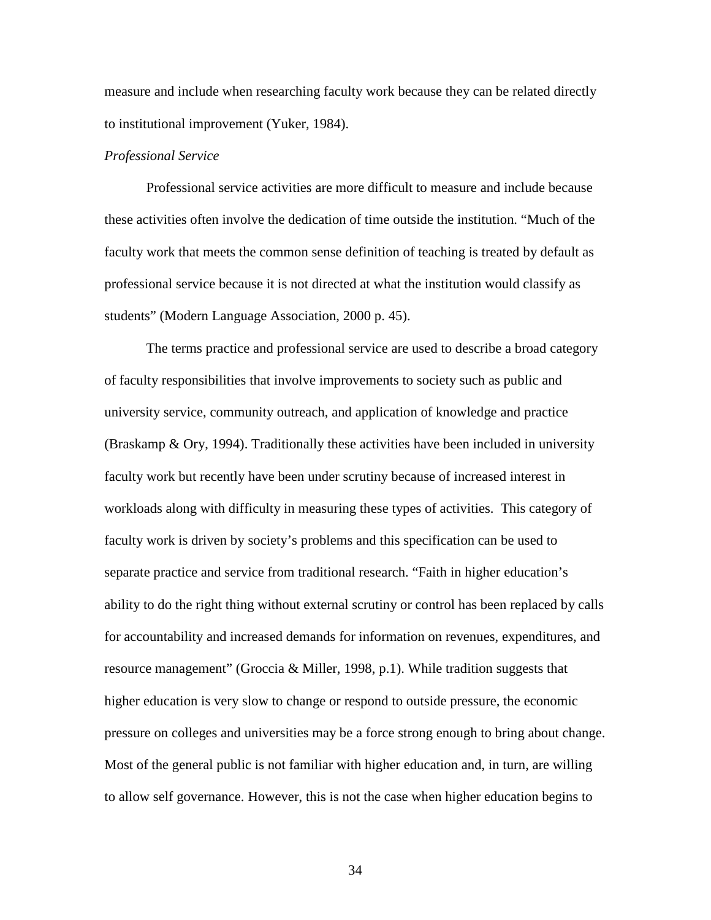measure and include when researching faculty work because they can be related directly to institutional improvement (Yuker, 1984).

# *Professional Service*

Professional service activities are more difficult to measure and include because these activities often involve the dedication of time outside the institution. "Much of the faculty work that meets the common sense definition of teaching is treated by default as professional service because it is not directed at what the institution would classify as students" (Modern Language Association, 2000 p. 45).

The terms practice and professional service are used to describe a broad category of faculty responsibilities that involve improvements to society such as public and university service, community outreach, and application of knowledge and practice (Braskamp & Ory, 1994). Traditionally these activities have been included in university faculty work but recently have been under scrutiny because of increased interest in workloads along with difficulty in measuring these types of activities. This category of faculty work is driven by society's problems and this specification can be used to separate practice and service from traditional research. "Faith in higher education's ability to do the right thing without external scrutiny or control has been replaced by calls for accountability and increased demands for information on revenues, expenditures, and resource management" (Groccia & Miller, 1998, p.1). While tradition suggests that higher education is very slow to change or respond to outside pressure, the economic pressure on colleges and universities may be a force strong enough to bring about change. Most of the general public is not familiar with higher education and, in turn, are willing to allow self governance. However, this is not the case when higher education begins to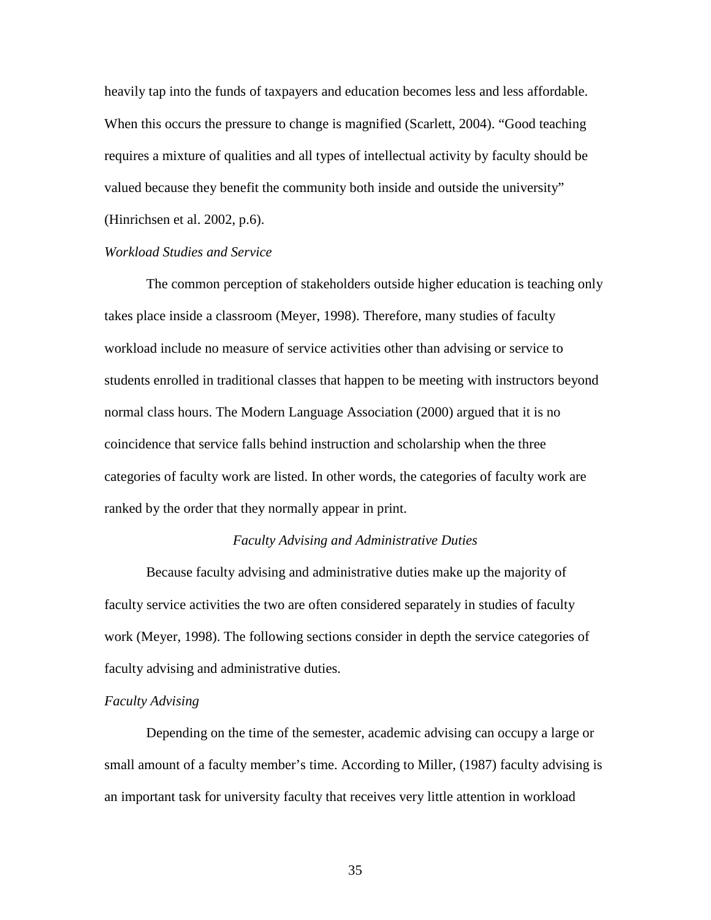heavily tap into the funds of taxpayers and education becomes less and less affordable. When this occurs the pressure to change is magnified (Scarlett, 2004). "Good teaching requires a mixture of qualities and all types of intellectual activity by faculty should be valued because they benefit the community both inside and outside the university" (Hinrichsen et al. 2002, p.6).

# *Workload Studies and Service*

The common perception of stakeholders outside higher education is teaching only takes place inside a classroom (Meyer, 1998). Therefore, many studies of faculty workload include no measure of service activities other than advising or service to students enrolled in traditional classes that happen to be meeting with instructors beyond normal class hours. The Modern Language Association (2000) argued that it is no coincidence that service falls behind instruction and scholarship when the three categories of faculty work are listed. In other words, the categories of faculty work are ranked by the order that they normally appear in print.

## *Faculty Advising and Administrative Duties*

 Because faculty advising and administrative duties make up the majority of faculty service activities the two are often considered separately in studies of faculty work (Meyer, 1998). The following sections consider in depth the service categories of faculty advising and administrative duties.

## *Faculty Advising*

Depending on the time of the semester, academic advising can occupy a large or small amount of a faculty member's time. According to Miller, (1987) faculty advising is an important task for university faculty that receives very little attention in workload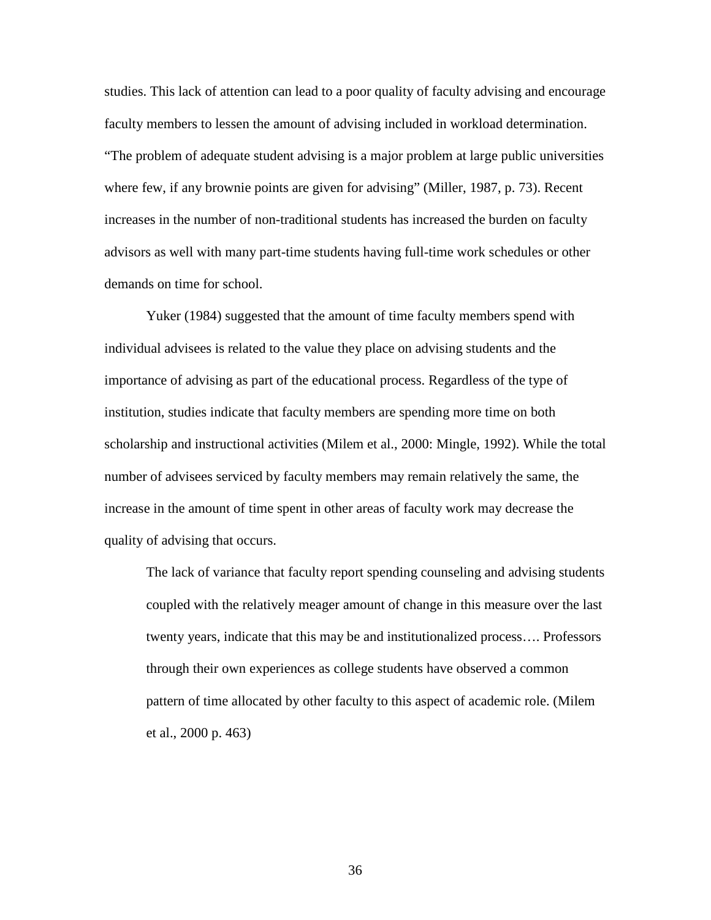studies. This lack of attention can lead to a poor quality of faculty advising and encourage faculty members to lessen the amount of advising included in workload determination. "The problem of adequate student advising is a major problem at large public universities where few, if any brownie points are given for advising" (Miller, 1987, p. 73). Recent increases in the number of non-traditional students has increased the burden on faculty advisors as well with many part-time students having full-time work schedules or other demands on time for school.

Yuker (1984) suggested that the amount of time faculty members spend with individual advisees is related to the value they place on advising students and the importance of advising as part of the educational process. Regardless of the type of institution, studies indicate that faculty members are spending more time on both scholarship and instructional activities (Milem et al., 2000: Mingle, 1992). While the total number of advisees serviced by faculty members may remain relatively the same, the increase in the amount of time spent in other areas of faculty work may decrease the quality of advising that occurs.

The lack of variance that faculty report spending counseling and advising students coupled with the relatively meager amount of change in this measure over the last twenty years, indicate that this may be and institutionalized process…. Professors through their own experiences as college students have observed a common pattern of time allocated by other faculty to this aspect of academic role. (Milem et al., 2000 p. 463)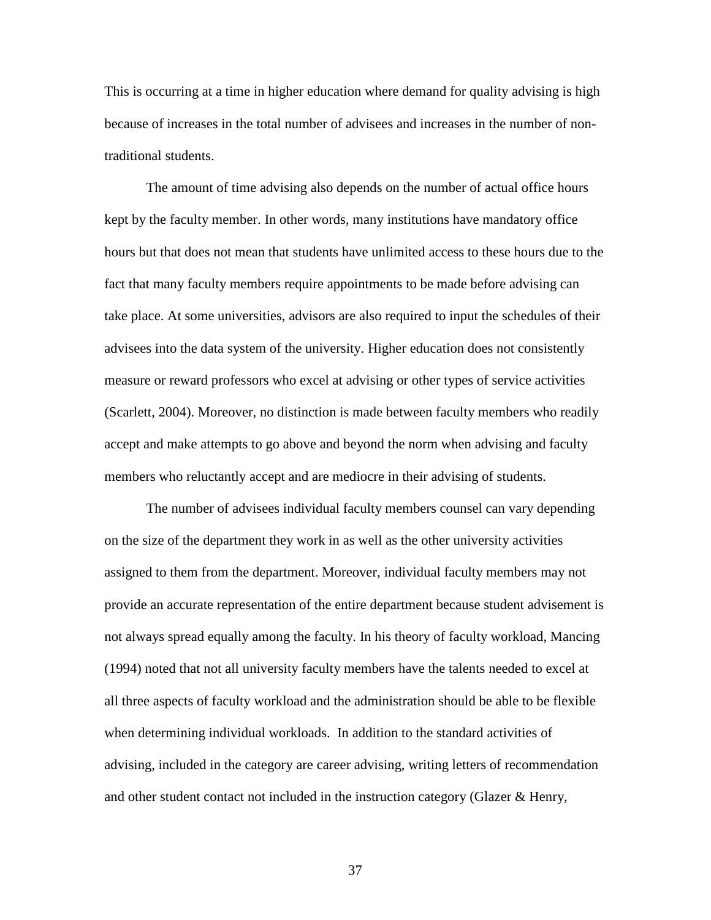This is occurring at a time in higher education where demand for quality advising is high because of increases in the total number of advisees and increases in the number of nontraditional students.

The amount of time advising also depends on the number of actual office hours kept by the faculty member. In other words, many institutions have mandatory office hours but that does not mean that students have unlimited access to these hours due to the fact that many faculty members require appointments to be made before advising can take place. At some universities, advisors are also required to input the schedules of their advisees into the data system of the university. Higher education does not consistently measure or reward professors who excel at advising or other types of service activities (Scarlett, 2004). Moreover, no distinction is made between faculty members who readily accept and make attempts to go above and beyond the norm when advising and faculty members who reluctantly accept and are mediocre in their advising of students.

The number of advisees individual faculty members counsel can vary depending on the size of the department they work in as well as the other university activities assigned to them from the department. Moreover, individual faculty members may not provide an accurate representation of the entire department because student advisement is not always spread equally among the faculty. In his theory of faculty workload, Mancing (1994) noted that not all university faculty members have the talents needed to excel at all three aspects of faculty workload and the administration should be able to be flexible when determining individual workloads. In addition to the standard activities of advising, included in the category are career advising, writing letters of recommendation and other student contact not included in the instruction category (Glazer & Henry,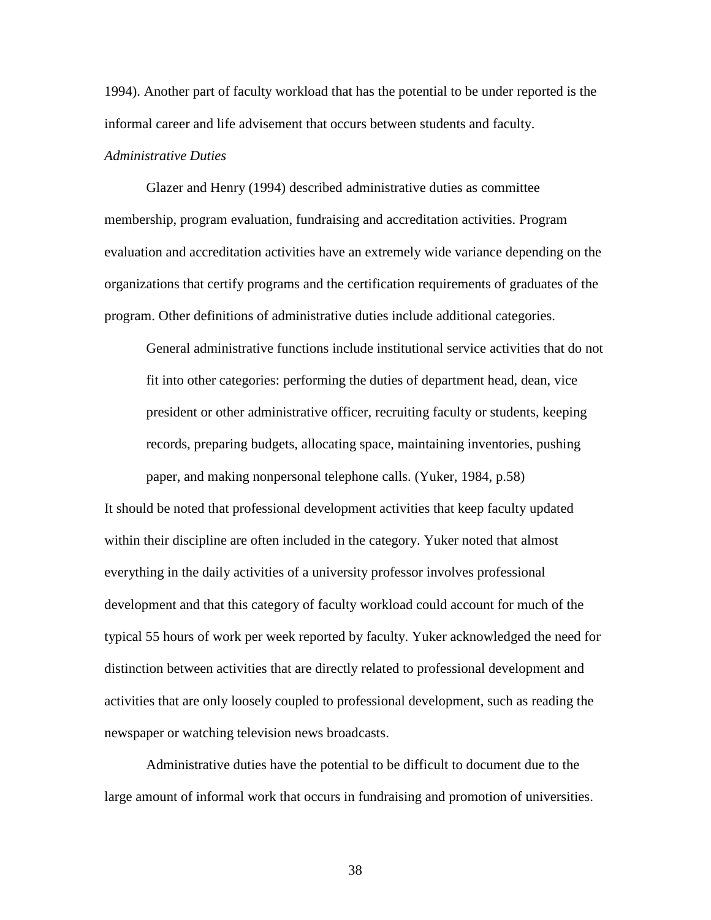1994). Another part of faculty workload that has the potential to be under reported is the informal career and life advisement that occurs between students and faculty.

# *Administrative Duties*

Glazer and Henry (1994) described administrative duties as committee membership, program evaluation, fundraising and accreditation activities. Program evaluation and accreditation activities have an extremely wide variance depending on the organizations that certify programs and the certification requirements of graduates of the program. Other definitions of administrative duties include additional categories.

General administrative functions include institutional service activities that do not fit into other categories: performing the duties of department head, dean, vice president or other administrative officer, recruiting faculty or students, keeping records, preparing budgets, allocating space, maintaining inventories, pushing paper, and making nonpersonal telephone calls. (Yuker, 1984, p.58)

It should be noted that professional development activities that keep faculty updated within their discipline are often included in the category. Yuker noted that almost everything in the daily activities of a university professor involves professional development and that this category of faculty workload could account for much of the typical 55 hours of work per week reported by faculty. Yuker acknowledged the need for distinction between activities that are directly related to professional development and activities that are only loosely coupled to professional development, such as reading the newspaper or watching television news broadcasts.

Administrative duties have the potential to be difficult to document due to the large amount of informal work that occurs in fundraising and promotion of universities.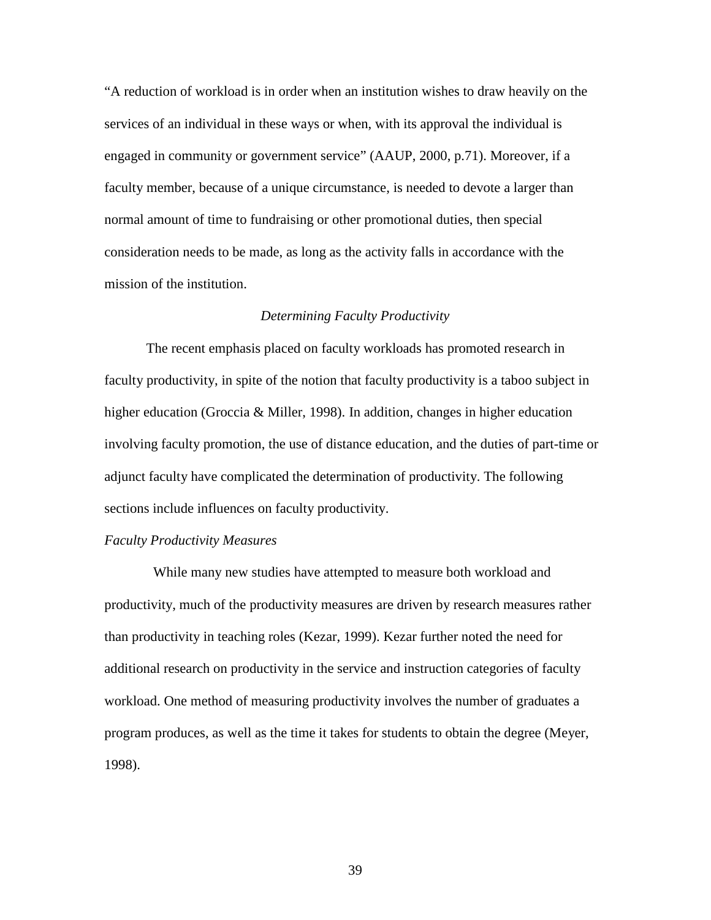"A reduction of workload is in order when an institution wishes to draw heavily on the services of an individual in these ways or when, with its approval the individual is engaged in community or government service" (AAUP, 2000, p.71). Moreover, if a faculty member, because of a unique circumstance, is needed to devote a larger than normal amount of time to fundraising or other promotional duties, then special consideration needs to be made, as long as the activity falls in accordance with the mission of the institution.

# *Determining Faculty Productivity*

The recent emphasis placed on faculty workloads has promoted research in faculty productivity, in spite of the notion that faculty productivity is a taboo subject in higher education (Groccia & Miller, 1998). In addition, changes in higher education involving faculty promotion, the use of distance education, and the duties of part-time or adjunct faculty have complicated the determination of productivity. The following sections include influences on faculty productivity.

#### *Faculty Productivity Measures*

 While many new studies have attempted to measure both workload and productivity, much of the productivity measures are driven by research measures rather than productivity in teaching roles (Kezar, 1999). Kezar further noted the need for additional research on productivity in the service and instruction categories of faculty workload. One method of measuring productivity involves the number of graduates a program produces, as well as the time it takes for students to obtain the degree (Meyer, 1998).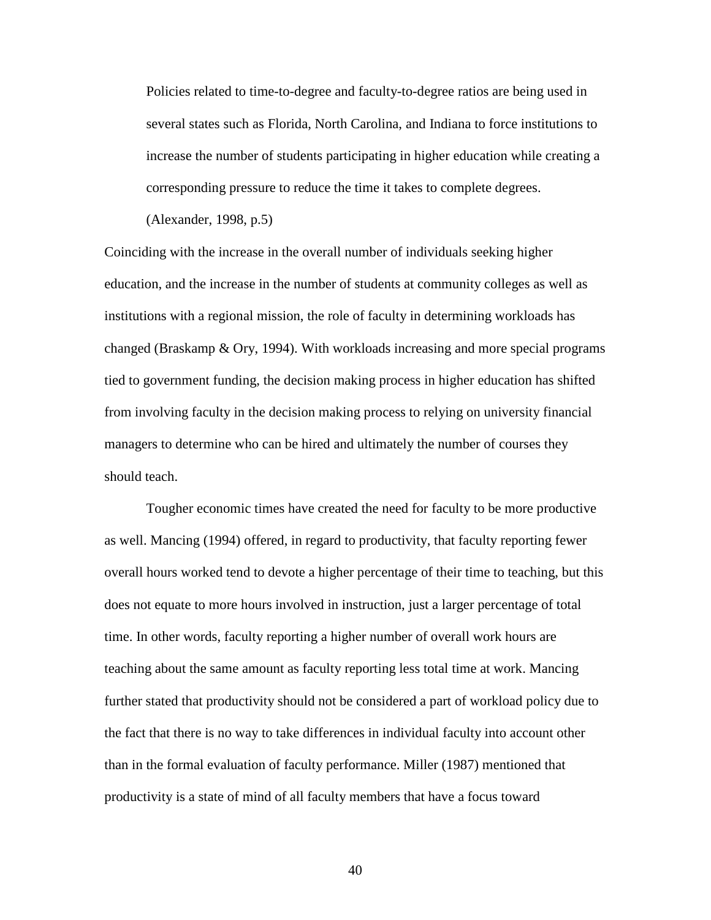Policies related to time-to-degree and faculty-to-degree ratios are being used in several states such as Florida, North Carolina, and Indiana to force institutions to increase the number of students participating in higher education while creating a corresponding pressure to reduce the time it takes to complete degrees.

(Alexander, 1998, p.5)

Coinciding with the increase in the overall number of individuals seeking higher education, and the increase in the number of students at community colleges as well as institutions with a regional mission, the role of faculty in determining workloads has changed (Braskamp & Ory, 1994). With workloads increasing and more special programs tied to government funding, the decision making process in higher education has shifted from involving faculty in the decision making process to relying on university financial managers to determine who can be hired and ultimately the number of courses they should teach.

Tougher economic times have created the need for faculty to be more productive as well. Mancing (1994) offered, in regard to productivity, that faculty reporting fewer overall hours worked tend to devote a higher percentage of their time to teaching, but this does not equate to more hours involved in instruction, just a larger percentage of total time. In other words, faculty reporting a higher number of overall work hours are teaching about the same amount as faculty reporting less total time at work. Mancing further stated that productivity should not be considered a part of workload policy due to the fact that there is no way to take differences in individual faculty into account other than in the formal evaluation of faculty performance. Miller (1987) mentioned that productivity is a state of mind of all faculty members that have a focus toward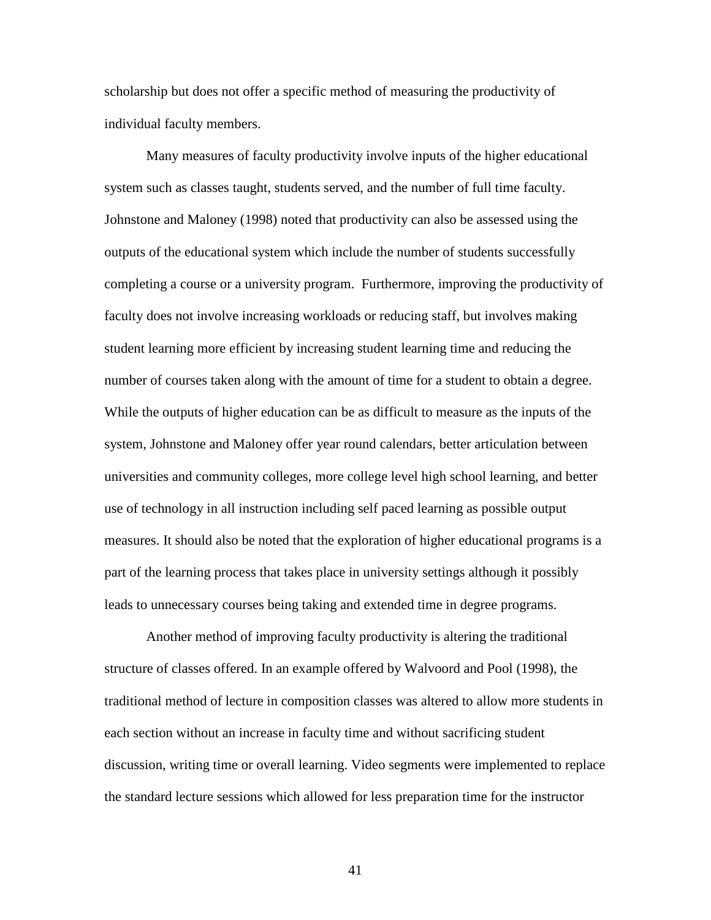scholarship but does not offer a specific method of measuring the productivity of individual faculty members.

Many measures of faculty productivity involve inputs of the higher educational system such as classes taught, students served, and the number of full time faculty. Johnstone and Maloney (1998) noted that productivity can also be assessed using the outputs of the educational system which include the number of students successfully completing a course or a university program. Furthermore, improving the productivity of faculty does not involve increasing workloads or reducing staff, but involves making student learning more efficient by increasing student learning time and reducing the number of courses taken along with the amount of time for a student to obtain a degree. While the outputs of higher education can be as difficult to measure as the inputs of the system, Johnstone and Maloney offer year round calendars, better articulation between universities and community colleges, more college level high school learning, and better use of technology in all instruction including self paced learning as possible output measures. It should also be noted that the exploration of higher educational programs is a part of the learning process that takes place in university settings although it possibly leads to unnecessary courses being taking and extended time in degree programs.

Another method of improving faculty productivity is altering the traditional structure of classes offered. In an example offered by Walvoord and Pool (1998), the traditional method of lecture in composition classes was altered to allow more students in each section without an increase in faculty time and without sacrificing student discussion, writing time or overall learning. Video segments were implemented to replace the standard lecture sessions which allowed for less preparation time for the instructor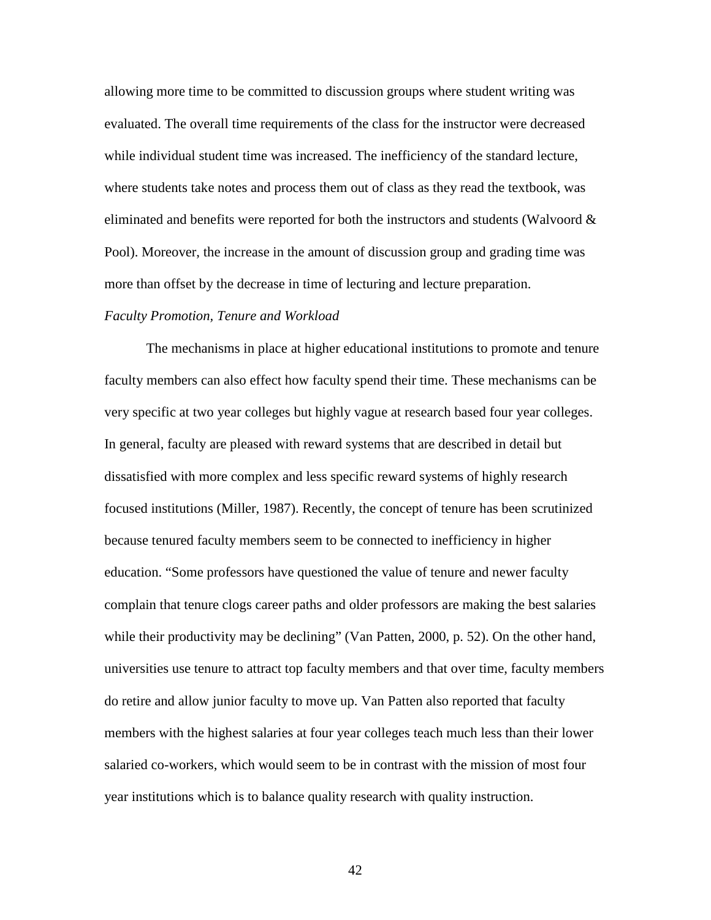allowing more time to be committed to discussion groups where student writing was evaluated. The overall time requirements of the class for the instructor were decreased while individual student time was increased. The inefficiency of the standard lecture, where students take notes and process them out of class as they read the textbook, was eliminated and benefits were reported for both the instructors and students (Walvoord  $\&$ Pool). Moreover, the increase in the amount of discussion group and grading time was more than offset by the decrease in time of lecturing and lecture preparation.

#### *Faculty Promotion, Tenure and Workload*

 The mechanisms in place at higher educational institutions to promote and tenure faculty members can also effect how faculty spend their time. These mechanisms can be very specific at two year colleges but highly vague at research based four year colleges. In general, faculty are pleased with reward systems that are described in detail but dissatisfied with more complex and less specific reward systems of highly research focused institutions (Miller, 1987). Recently, the concept of tenure has been scrutinized because tenured faculty members seem to be connected to inefficiency in higher education. "Some professors have questioned the value of tenure and newer faculty complain that tenure clogs career paths and older professors are making the best salaries while their productivity may be declining" (Van Patten, 2000, p. 52). On the other hand, universities use tenure to attract top faculty members and that over time, faculty members do retire and allow junior faculty to move up. Van Patten also reported that faculty members with the highest salaries at four year colleges teach much less than their lower salaried co-workers, which would seem to be in contrast with the mission of most four year institutions which is to balance quality research with quality instruction.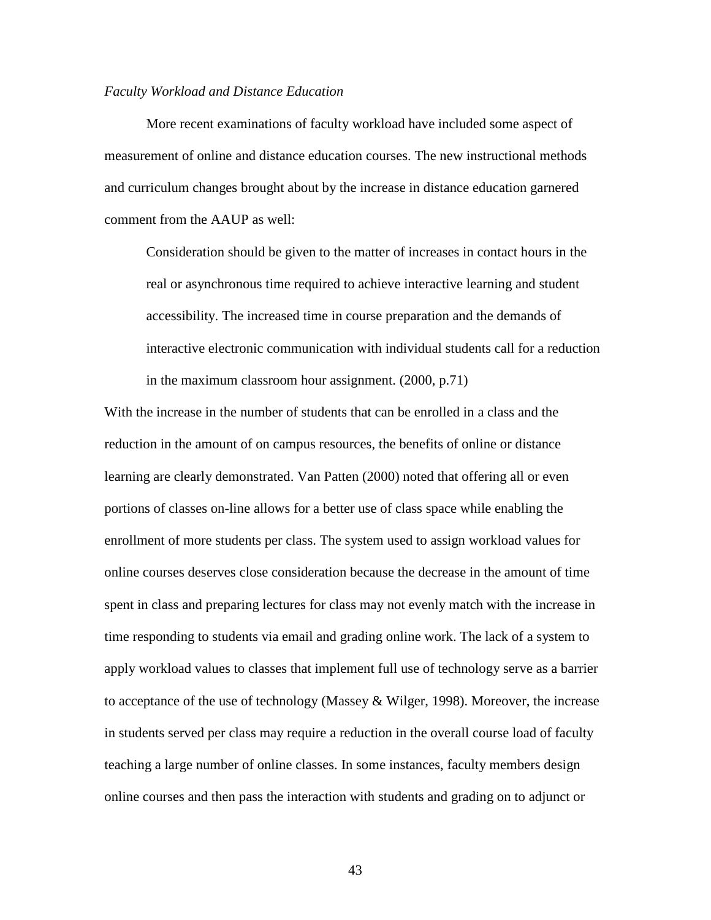#### *Faculty Workload and Distance Education*

 More recent examinations of faculty workload have included some aspect of measurement of online and distance education courses. The new instructional methods and curriculum changes brought about by the increase in distance education garnered comment from the AAUP as well:

Consideration should be given to the matter of increases in contact hours in the real or asynchronous time required to achieve interactive learning and student accessibility. The increased time in course preparation and the demands of interactive electronic communication with individual students call for a reduction in the maximum classroom hour assignment. (2000, p.71)

With the increase in the number of students that can be enrolled in a class and the reduction in the amount of on campus resources, the benefits of online or distance learning are clearly demonstrated. Van Patten (2000) noted that offering all or even portions of classes on-line allows for a better use of class space while enabling the enrollment of more students per class. The system used to assign workload values for online courses deserves close consideration because the decrease in the amount of time spent in class and preparing lectures for class may not evenly match with the increase in time responding to students via email and grading online work. The lack of a system to apply workload values to classes that implement full use of technology serve as a barrier to acceptance of the use of technology (Massey & Wilger, 1998). Moreover, the increase in students served per class may require a reduction in the overall course load of faculty teaching a large number of online classes. In some instances, faculty members design online courses and then pass the interaction with students and grading on to adjunct or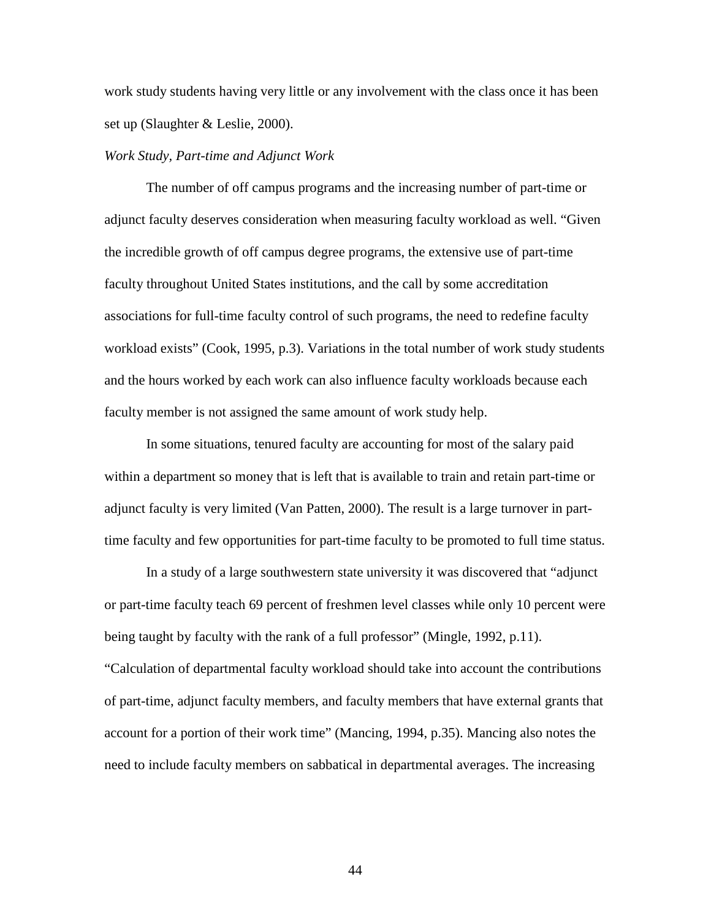work study students having very little or any involvement with the class once it has been set up (Slaughter & Leslie, 2000).

## *Work Study, Part-time and Adjunct Work*

The number of off campus programs and the increasing number of part-time or adjunct faculty deserves consideration when measuring faculty workload as well. "Given the incredible growth of off campus degree programs, the extensive use of part-time faculty throughout United States institutions, and the call by some accreditation associations for full-time faculty control of such programs, the need to redefine faculty workload exists" (Cook, 1995, p.3). Variations in the total number of work study students and the hours worked by each work can also influence faculty workloads because each faculty member is not assigned the same amount of work study help.

In some situations, tenured faculty are accounting for most of the salary paid within a department so money that is left that is available to train and retain part-time or adjunct faculty is very limited (Van Patten, 2000). The result is a large turnover in parttime faculty and few opportunities for part-time faculty to be promoted to full time status.

 In a study of a large southwestern state university it was discovered that "adjunct or part-time faculty teach 69 percent of freshmen level classes while only 10 percent were being taught by faculty with the rank of a full professor" (Mingle, 1992, p.11). "Calculation of departmental faculty workload should take into account the contributions of part-time, adjunct faculty members, and faculty members that have external grants that account for a portion of their work time" (Mancing, 1994, p.35). Mancing also notes the need to include faculty members on sabbatical in departmental averages. The increasing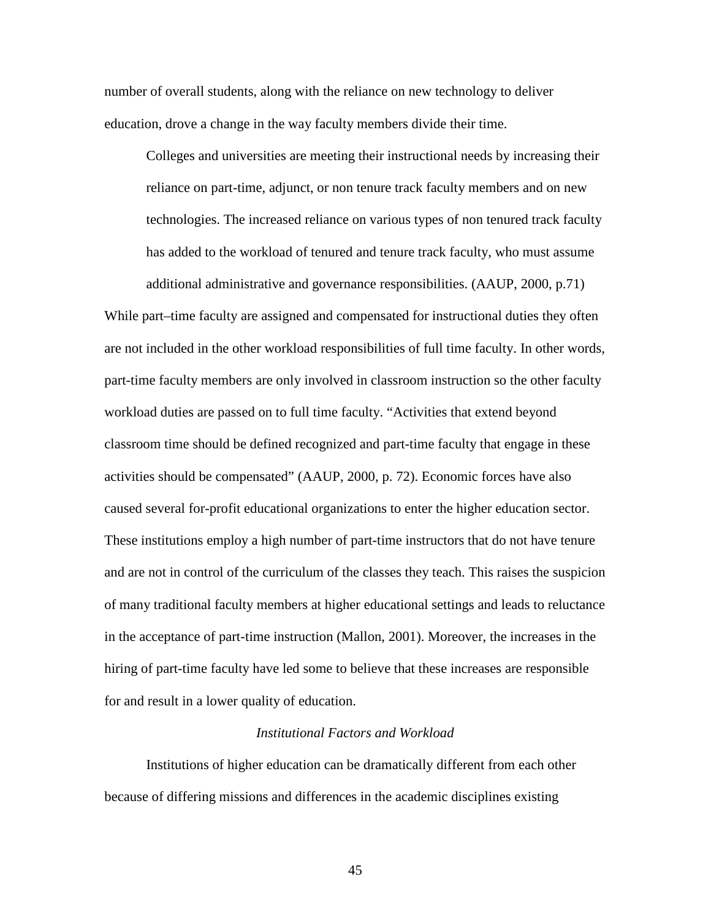number of overall students, along with the reliance on new technology to deliver education, drove a change in the way faculty members divide their time.

Colleges and universities are meeting their instructional needs by increasing their reliance on part-time, adjunct, or non tenure track faculty members and on new technologies. The increased reliance on various types of non tenured track faculty has added to the workload of tenured and tenure track faculty, who must assume

additional administrative and governance responsibilities. (AAUP, 2000, p.71) While part–time faculty are assigned and compensated for instructional duties they often are not included in the other workload responsibilities of full time faculty. In other words, part-time faculty members are only involved in classroom instruction so the other faculty workload duties are passed on to full time faculty. "Activities that extend beyond classroom time should be defined recognized and part-time faculty that engage in these activities should be compensated" (AAUP, 2000, p. 72). Economic forces have also caused several for-profit educational organizations to enter the higher education sector. These institutions employ a high number of part-time instructors that do not have tenure and are not in control of the curriculum of the classes they teach. This raises the suspicion of many traditional faculty members at higher educational settings and leads to reluctance in the acceptance of part-time instruction (Mallon, 2001). Moreover, the increases in the hiring of part-time faculty have led some to believe that these increases are responsible for and result in a lower quality of education.

# *Institutional Factors and Workload*

 Institutions of higher education can be dramatically different from each other because of differing missions and differences in the academic disciplines existing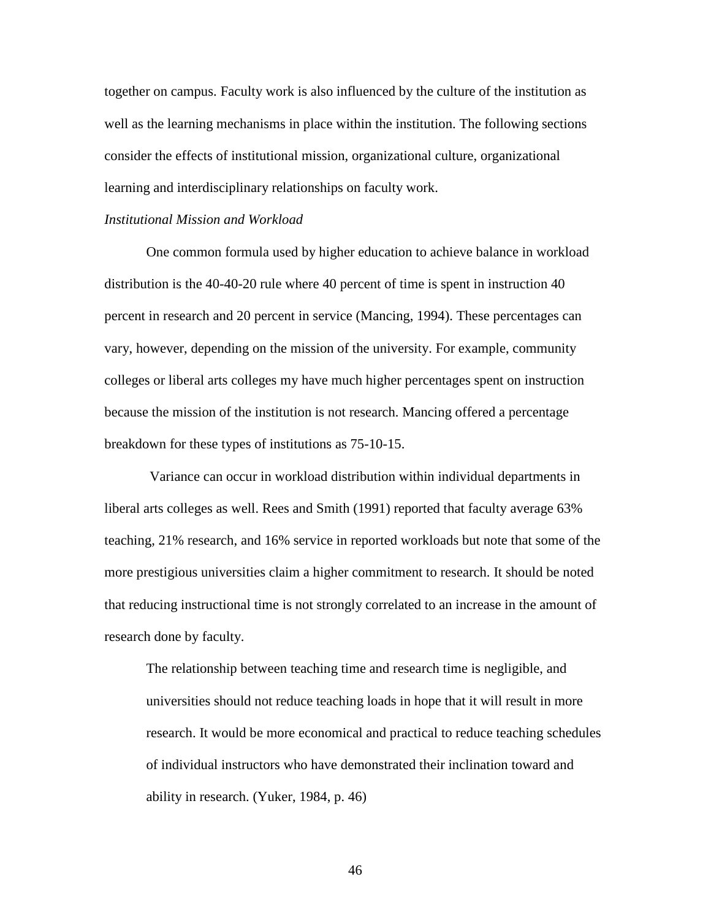together on campus. Faculty work is also influenced by the culture of the institution as well as the learning mechanisms in place within the institution. The following sections consider the effects of institutional mission, organizational culture, organizational learning and interdisciplinary relationships on faculty work.

### *Institutional Mission and Workload*

One common formula used by higher education to achieve balance in workload distribution is the 40-40-20 rule where 40 percent of time is spent in instruction 40 percent in research and 20 percent in service (Mancing, 1994). These percentages can vary, however, depending on the mission of the university. For example, community colleges or liberal arts colleges my have much higher percentages spent on instruction because the mission of the institution is not research. Mancing offered a percentage breakdown for these types of institutions as 75-10-15.

 Variance can occur in workload distribution within individual departments in liberal arts colleges as well. Rees and Smith (1991) reported that faculty average 63% teaching, 21% research, and 16% service in reported workloads but note that some of the more prestigious universities claim a higher commitment to research. It should be noted that reducing instructional time is not strongly correlated to an increase in the amount of research done by faculty.

The relationship between teaching time and research time is negligible, and universities should not reduce teaching loads in hope that it will result in more research. It would be more economical and practical to reduce teaching schedules of individual instructors who have demonstrated their inclination toward and ability in research. (Yuker, 1984, p. 46)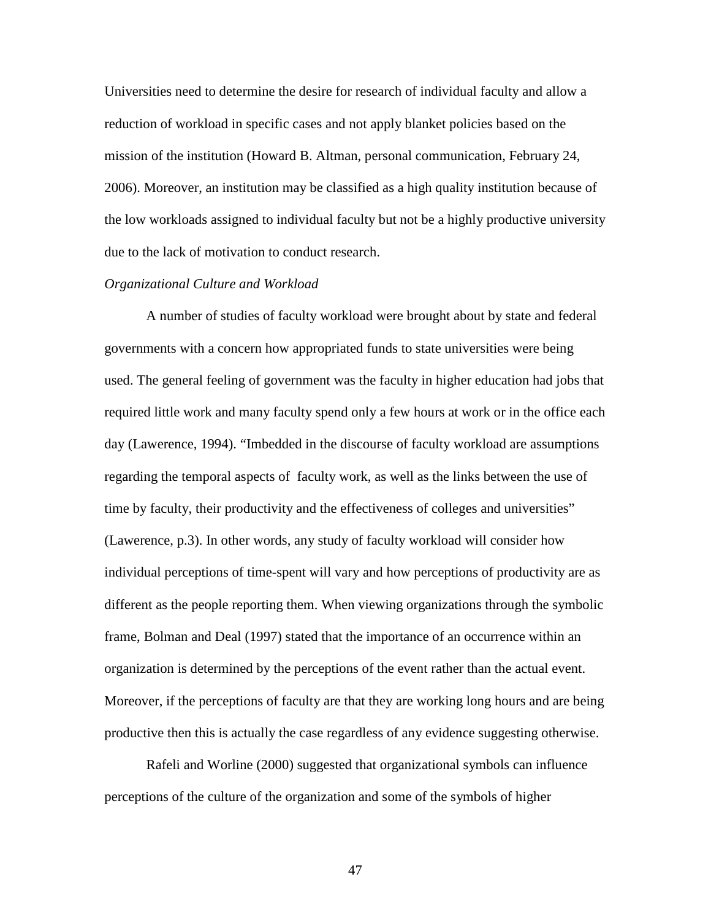Universities need to determine the desire for research of individual faculty and allow a reduction of workload in specific cases and not apply blanket policies based on the mission of the institution (Howard B. Altman, personal communication, February 24, 2006). Moreover, an institution may be classified as a high quality institution because of the low workloads assigned to individual faculty but not be a highly productive university due to the lack of motivation to conduct research.

# *Organizational Culture and Workload*

 A number of studies of faculty workload were brought about by state and federal governments with a concern how appropriated funds to state universities were being used. The general feeling of government was the faculty in higher education had jobs that required little work and many faculty spend only a few hours at work or in the office each day (Lawerence, 1994). "Imbedded in the discourse of faculty workload are assumptions regarding the temporal aspects of faculty work, as well as the links between the use of time by faculty, their productivity and the effectiveness of colleges and universities" (Lawerence, p.3). In other words, any study of faculty workload will consider how individual perceptions of time-spent will vary and how perceptions of productivity are as different as the people reporting them. When viewing organizations through the symbolic frame, Bolman and Deal (1997) stated that the importance of an occurrence within an organization is determined by the perceptions of the event rather than the actual event. Moreover, if the perceptions of faculty are that they are working long hours and are being productive then this is actually the case regardless of any evidence suggesting otherwise.

Rafeli and Worline (2000) suggested that organizational symbols can influence perceptions of the culture of the organization and some of the symbols of higher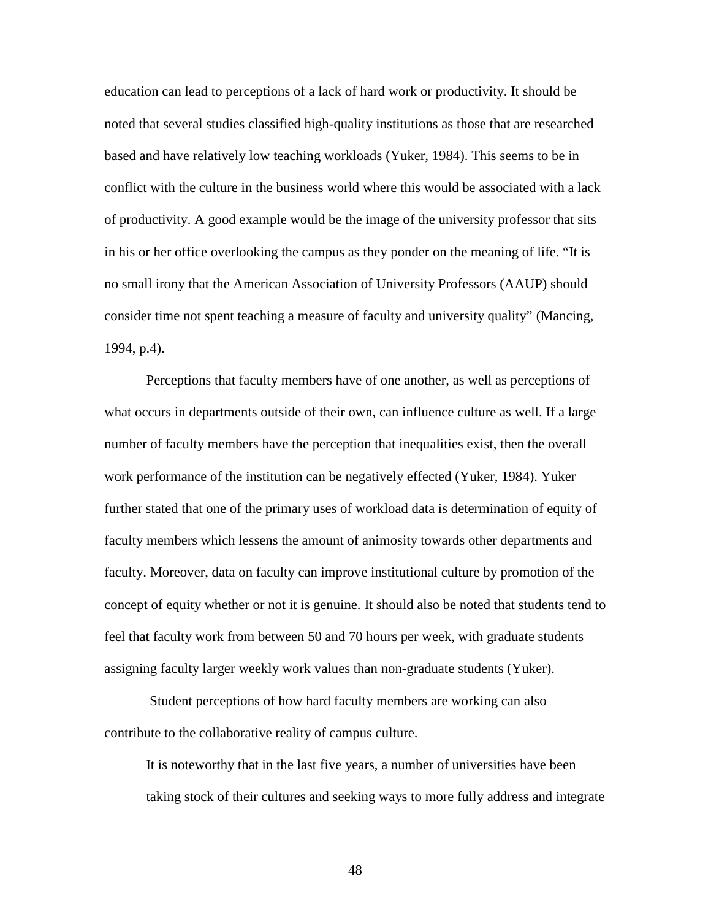education can lead to perceptions of a lack of hard work or productivity. It should be noted that several studies classified high-quality institutions as those that are researched based and have relatively low teaching workloads (Yuker, 1984). This seems to be in conflict with the culture in the business world where this would be associated with a lack of productivity. A good example would be the image of the university professor that sits in his or her office overlooking the campus as they ponder on the meaning of life. "It is no small irony that the American Association of University Professors (AAUP) should consider time not spent teaching a measure of faculty and university quality" (Mancing, 1994, p.4).

Perceptions that faculty members have of one another, as well as perceptions of what occurs in departments outside of their own, can influence culture as well. If a large number of faculty members have the perception that inequalities exist, then the overall work performance of the institution can be negatively effected (Yuker, 1984). Yuker further stated that one of the primary uses of workload data is determination of equity of faculty members which lessens the amount of animosity towards other departments and faculty. Moreover, data on faculty can improve institutional culture by promotion of the concept of equity whether or not it is genuine. It should also be noted that students tend to feel that faculty work from between 50 and 70 hours per week, with graduate students assigning faculty larger weekly work values than non-graduate students (Yuker).

 Student perceptions of how hard faculty members are working can also contribute to the collaborative reality of campus culture.

It is noteworthy that in the last five years, a number of universities have been taking stock of their cultures and seeking ways to more fully address and integrate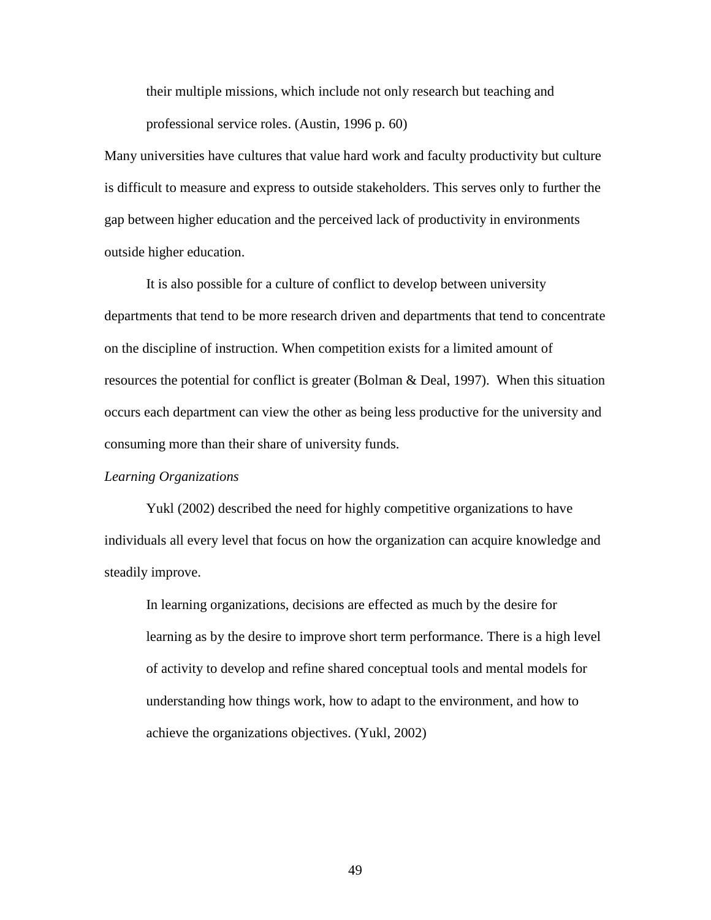their multiple missions, which include not only research but teaching and professional service roles. (Austin, 1996 p. 60)

Many universities have cultures that value hard work and faculty productivity but culture is difficult to measure and express to outside stakeholders. This serves only to further the gap between higher education and the perceived lack of productivity in environments outside higher education.

It is also possible for a culture of conflict to develop between university departments that tend to be more research driven and departments that tend to concentrate on the discipline of instruction. When competition exists for a limited amount of resources the potential for conflict is greater (Bolman & Deal, 1997). When this situation occurs each department can view the other as being less productive for the university and consuming more than their share of university funds.

### *Learning Organizations*

 Yukl (2002) described the need for highly competitive organizations to have individuals all every level that focus on how the organization can acquire knowledge and steadily improve.

In learning organizations, decisions are effected as much by the desire for learning as by the desire to improve short term performance. There is a high level of activity to develop and refine shared conceptual tools and mental models for understanding how things work, how to adapt to the environment, and how to achieve the organizations objectives. (Yukl, 2002)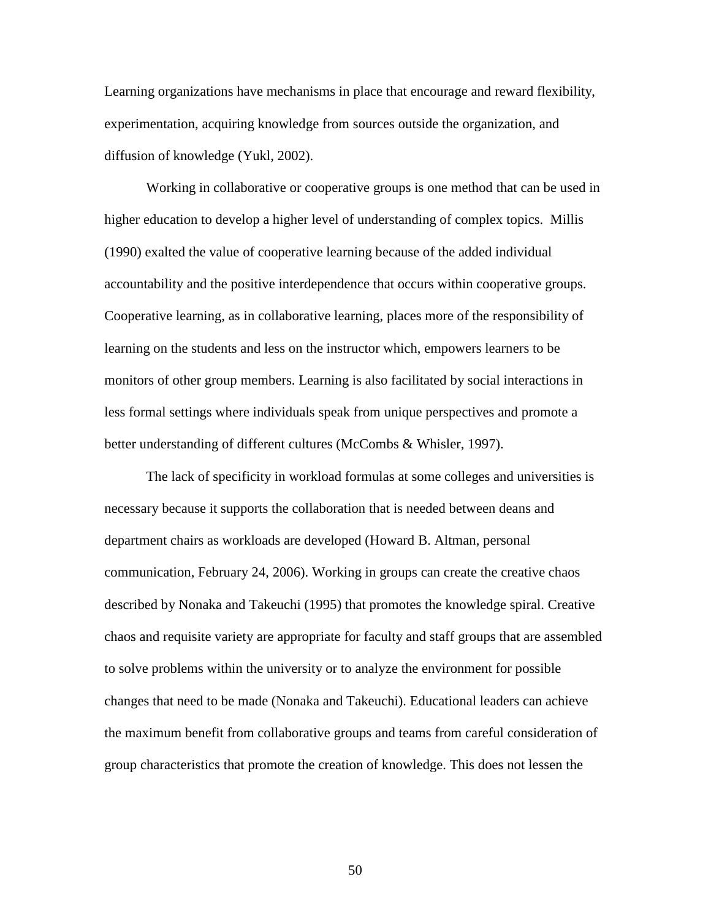Learning organizations have mechanisms in place that encourage and reward flexibility, experimentation, acquiring knowledge from sources outside the organization, and diffusion of knowledge (Yukl, 2002).

Working in collaborative or cooperative groups is one method that can be used in higher education to develop a higher level of understanding of complex topics. Millis (1990) exalted the value of cooperative learning because of the added individual accountability and the positive interdependence that occurs within cooperative groups. Cooperative learning, as in collaborative learning, places more of the responsibility of learning on the students and less on the instructor which, empowers learners to be monitors of other group members. Learning is also facilitated by social interactions in less formal settings where individuals speak from unique perspectives and promote a better understanding of different cultures (McCombs & Whisler, 1997).

The lack of specificity in workload formulas at some colleges and universities is necessary because it supports the collaboration that is needed between deans and department chairs as workloads are developed (Howard B. Altman, personal communication, February 24, 2006). Working in groups can create the creative chaos described by Nonaka and Takeuchi (1995) that promotes the knowledge spiral. Creative chaos and requisite variety are appropriate for faculty and staff groups that are assembled to solve problems within the university or to analyze the environment for possible changes that need to be made (Nonaka and Takeuchi). Educational leaders can achieve the maximum benefit from collaborative groups and teams from careful consideration of group characteristics that promote the creation of knowledge. This does not lessen the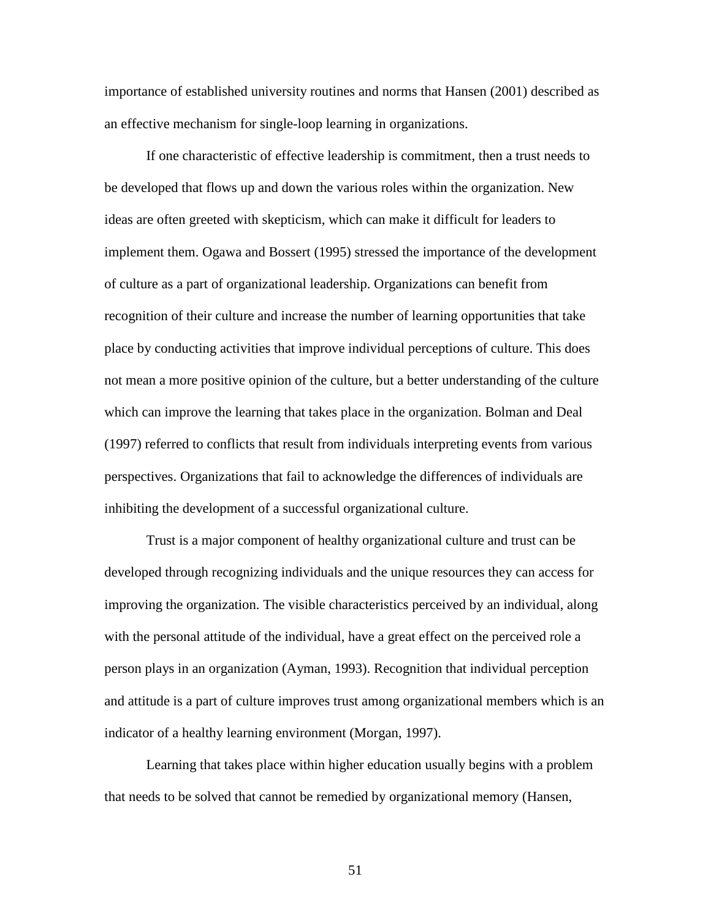importance of established university routines and norms that Hansen (2001) described as an effective mechanism for single-loop learning in organizations.

If one characteristic of effective leadership is commitment, then a trust needs to be developed that flows up and down the various roles within the organization. New ideas are often greeted with skepticism, which can make it difficult for leaders to implement them. Ogawa and Bossert (1995) stressed the importance of the development of culture as a part of organizational leadership. Organizations can benefit from recognition of their culture and increase the number of learning opportunities that take place by conducting activities that improve individual perceptions of culture. This does not mean a more positive opinion of the culture, but a better understanding of the culture which can improve the learning that takes place in the organization. Bolman and Deal (1997) referred to conflicts that result from individuals interpreting events from various perspectives. Organizations that fail to acknowledge the differences of individuals are inhibiting the development of a successful organizational culture.

Trust is a major component of healthy organizational culture and trust can be developed through recognizing individuals and the unique resources they can access for improving the organization. The visible characteristics perceived by an individual, along with the personal attitude of the individual, have a great effect on the perceived role a person plays in an organization (Ayman, 1993). Recognition that individual perception and attitude is a part of culture improves trust among organizational members which is an indicator of a healthy learning environment (Morgan, 1997).

Learning that takes place within higher education usually begins with a problem that needs to be solved that cannot be remedied by organizational memory (Hansen,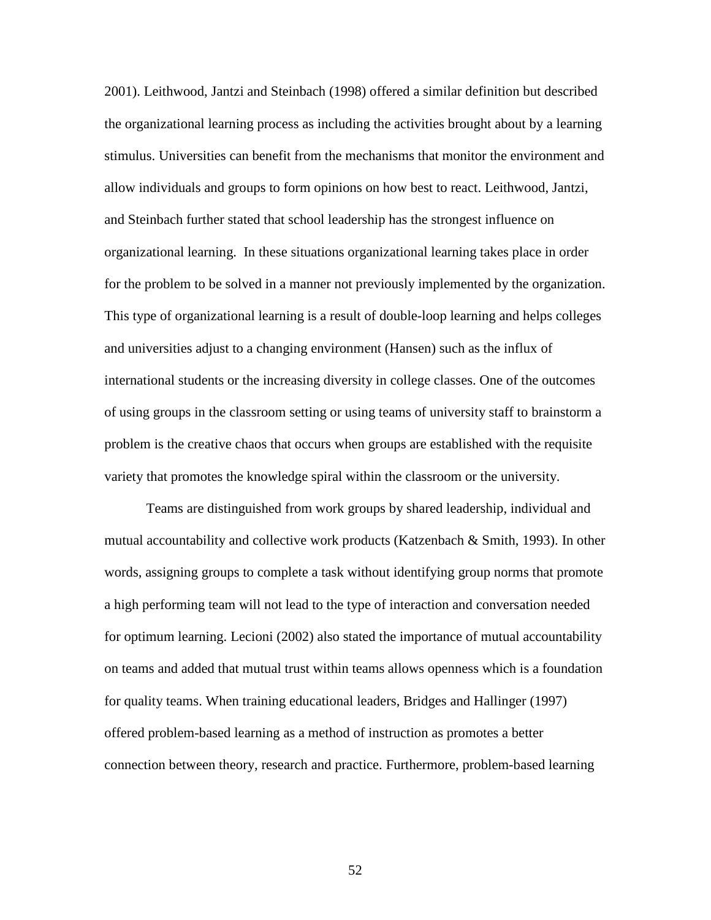2001). Leithwood, Jantzi and Steinbach (1998) offered a similar definition but described the organizational learning process as including the activities brought about by a learning stimulus. Universities can benefit from the mechanisms that monitor the environment and allow individuals and groups to form opinions on how best to react. Leithwood, Jantzi, and Steinbach further stated that school leadership has the strongest influence on organizational learning. In these situations organizational learning takes place in order for the problem to be solved in a manner not previously implemented by the organization. This type of organizational learning is a result of double-loop learning and helps colleges and universities adjust to a changing environment (Hansen) such as the influx of international students or the increasing diversity in college classes. One of the outcomes of using groups in the classroom setting or using teams of university staff to brainstorm a problem is the creative chaos that occurs when groups are established with the requisite variety that promotes the knowledge spiral within the classroom or the university.

Teams are distinguished from work groups by shared leadership, individual and mutual accountability and collective work products (Katzenbach  $\&$  Smith, 1993). In other words, assigning groups to complete a task without identifying group norms that promote a high performing team will not lead to the type of interaction and conversation needed for optimum learning. Lecioni (2002) also stated the importance of mutual accountability on teams and added that mutual trust within teams allows openness which is a foundation for quality teams. When training educational leaders, Bridges and Hallinger (1997) offered problem-based learning as a method of instruction as promotes a better connection between theory, research and practice. Furthermore, problem-based learning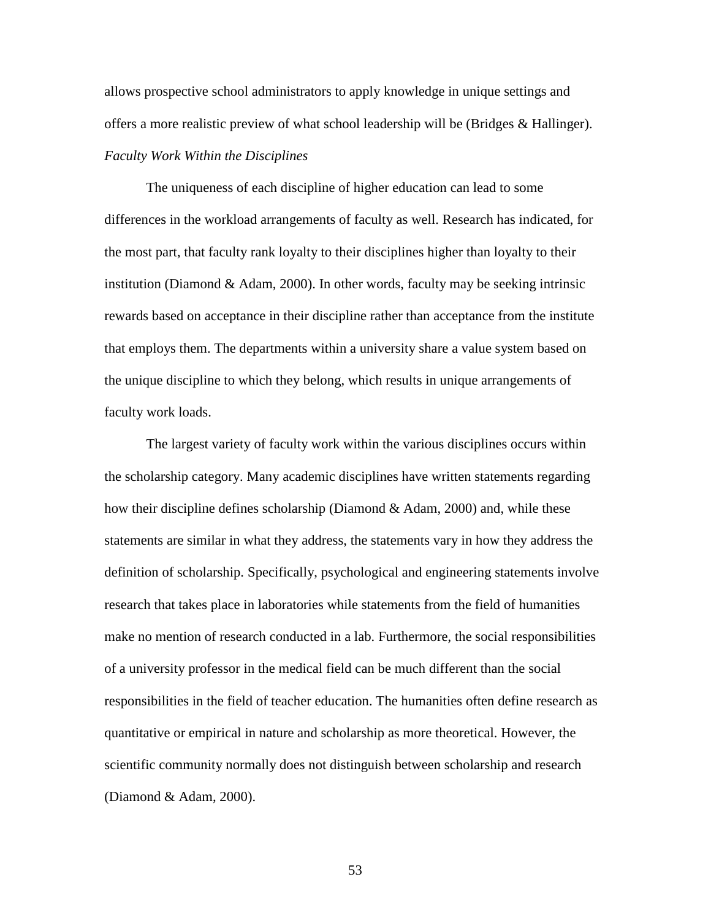allows prospective school administrators to apply knowledge in unique settings and offers a more realistic preview of what school leadership will be (Bridges & Hallinger). *Faculty Work Within the Disciplines* 

 The uniqueness of each discipline of higher education can lead to some differences in the workload arrangements of faculty as well. Research has indicated, for the most part, that faculty rank loyalty to their disciplines higher than loyalty to their institution (Diamond & Adam, 2000). In other words, faculty may be seeking intrinsic rewards based on acceptance in their discipline rather than acceptance from the institute that employs them. The departments within a university share a value system based on the unique discipline to which they belong, which results in unique arrangements of faculty work loads.

 The largest variety of faculty work within the various disciplines occurs within the scholarship category. Many academic disciplines have written statements regarding how their discipline defines scholarship (Diamond & Adam, 2000) and, while these statements are similar in what they address, the statements vary in how they address the definition of scholarship. Specifically, psychological and engineering statements involve research that takes place in laboratories while statements from the field of humanities make no mention of research conducted in a lab. Furthermore, the social responsibilities of a university professor in the medical field can be much different than the social responsibilities in the field of teacher education. The humanities often define research as quantitative or empirical in nature and scholarship as more theoretical. However, the scientific community normally does not distinguish between scholarship and research (Diamond & Adam, 2000).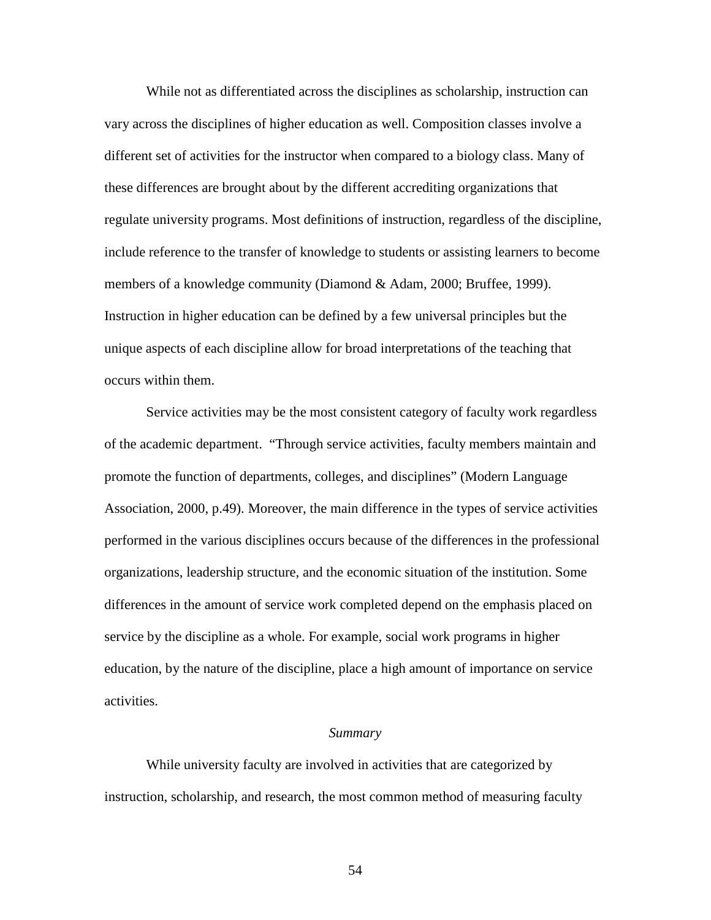While not as differentiated across the disciplines as scholarship, instruction can vary across the disciplines of higher education as well. Composition classes involve a different set of activities for the instructor when compared to a biology class. Many of these differences are brought about by the different accrediting organizations that regulate university programs. Most definitions of instruction, regardless of the discipline, include reference to the transfer of knowledge to students or assisting learners to become members of a knowledge community (Diamond & Adam, 2000; Bruffee, 1999). Instruction in higher education can be defined by a few universal principles but the unique aspects of each discipline allow for broad interpretations of the teaching that occurs within them.

 Service activities may be the most consistent category of faculty work regardless of the academic department. "Through service activities, faculty members maintain and promote the function of departments, colleges, and disciplines" (Modern Language Association, 2000, p.49). Moreover, the main difference in the types of service activities performed in the various disciplines occurs because of the differences in the professional organizations, leadership structure, and the economic situation of the institution. Some differences in the amount of service work completed depend on the emphasis placed on service by the discipline as a whole. For example, social work programs in higher education, by the nature of the discipline, place a high amount of importance on service activities.

#### *Summary*

 While university faculty are involved in activities that are categorized by instruction, scholarship, and research, the most common method of measuring faculty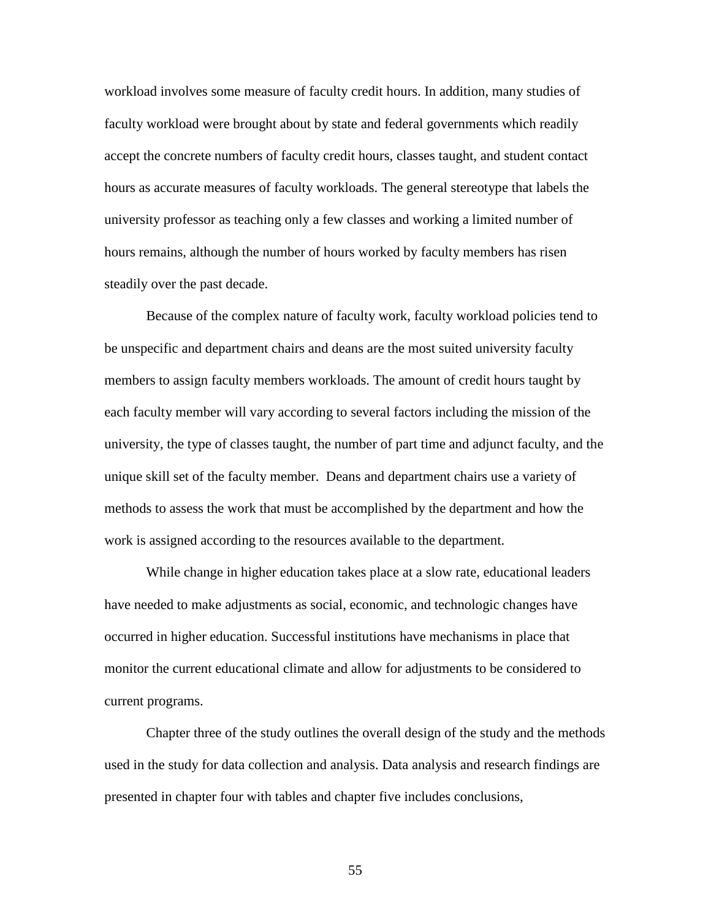workload involves some measure of faculty credit hours. In addition, many studies of faculty workload were brought about by state and federal governments which readily accept the concrete numbers of faculty credit hours, classes taught, and student contact hours as accurate measures of faculty workloads. The general stereotype that labels the university professor as teaching only a few classes and working a limited number of hours remains, although the number of hours worked by faculty members has risen steadily over the past decade.

 Because of the complex nature of faculty work, faculty workload policies tend to be unspecific and department chairs and deans are the most suited university faculty members to assign faculty members workloads. The amount of credit hours taught by each faculty member will vary according to several factors including the mission of the university, the type of classes taught, the number of part time and adjunct faculty, and the unique skill set of the faculty member. Deans and department chairs use a variety of methods to assess the work that must be accomplished by the department and how the work is assigned according to the resources available to the department.

 While change in higher education takes place at a slow rate, educational leaders have needed to make adjustments as social, economic, and technologic changes have occurred in higher education. Successful institutions have mechanisms in place that monitor the current educational climate and allow for adjustments to be considered to current programs.

 Chapter three of the study outlines the overall design of the study and the methods used in the study for data collection and analysis. Data analysis and research findings are presented in chapter four with tables and chapter five includes conclusions,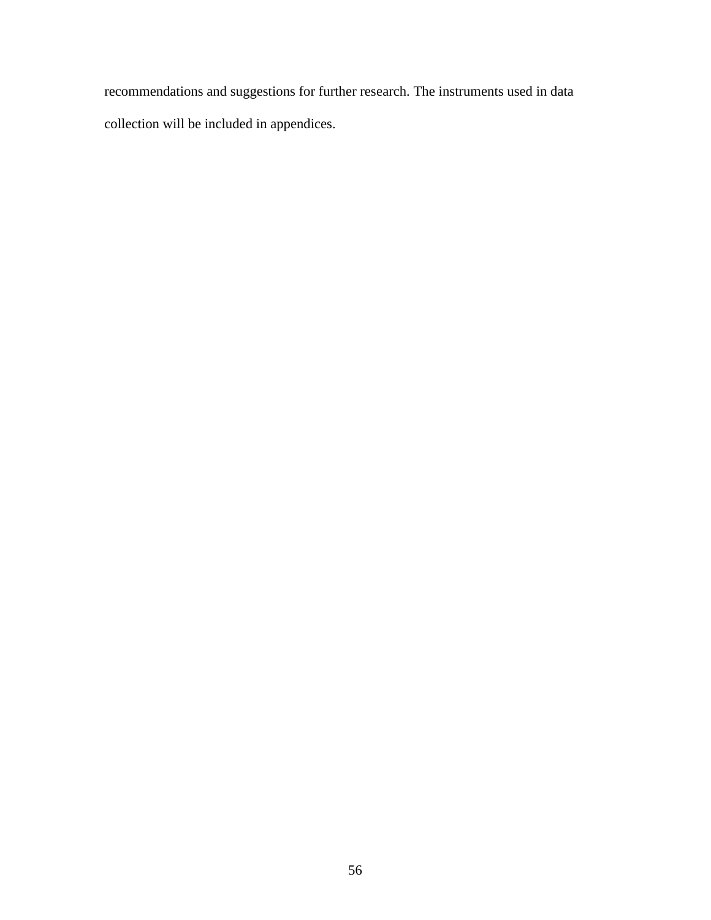recommendations and suggestions for further research. The instruments used in data collection will be included in appendices.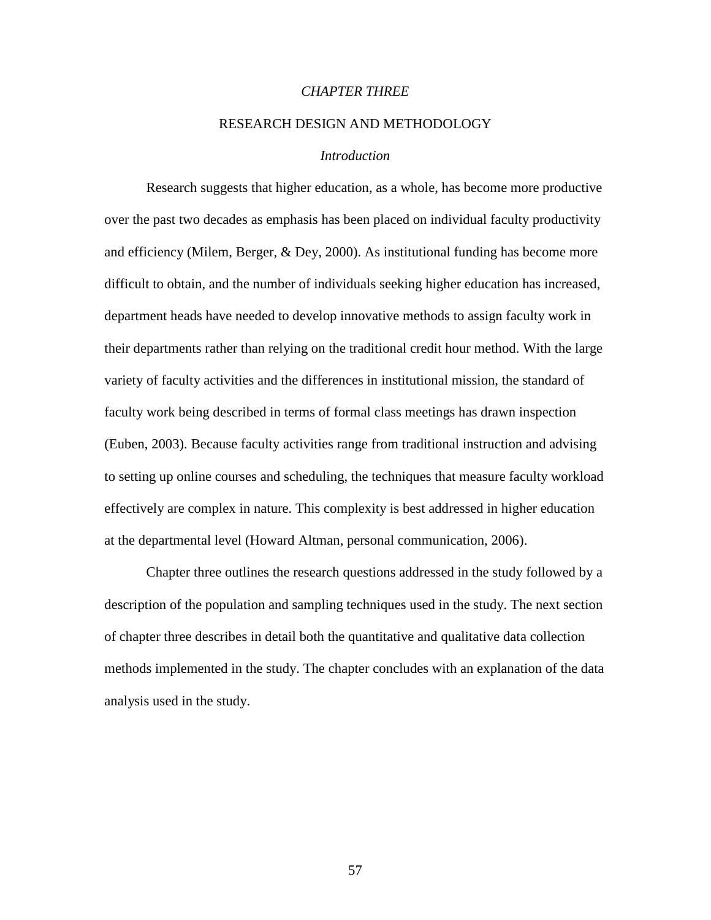# *CHAPTER THREE*

# RESEARCH DESIGN AND METHODOLOGY

## *Introduction*

 Research suggests that higher education, as a whole, has become more productive over the past two decades as emphasis has been placed on individual faculty productivity and efficiency (Milem, Berger, & Dey, 2000). As institutional funding has become more difficult to obtain, and the number of individuals seeking higher education has increased, department heads have needed to develop innovative methods to assign faculty work in their departments rather than relying on the traditional credit hour method. With the large variety of faculty activities and the differences in institutional mission, the standard of faculty work being described in terms of formal class meetings has drawn inspection (Euben, 2003). Because faculty activities range from traditional instruction and advising to setting up online courses and scheduling, the techniques that measure faculty workload effectively are complex in nature. This complexity is best addressed in higher education at the departmental level (Howard Altman, personal communication, 2006).

 Chapter three outlines the research questions addressed in the study followed by a description of the population and sampling techniques used in the study. The next section of chapter three describes in detail both the quantitative and qualitative data collection methods implemented in the study. The chapter concludes with an explanation of the data analysis used in the study.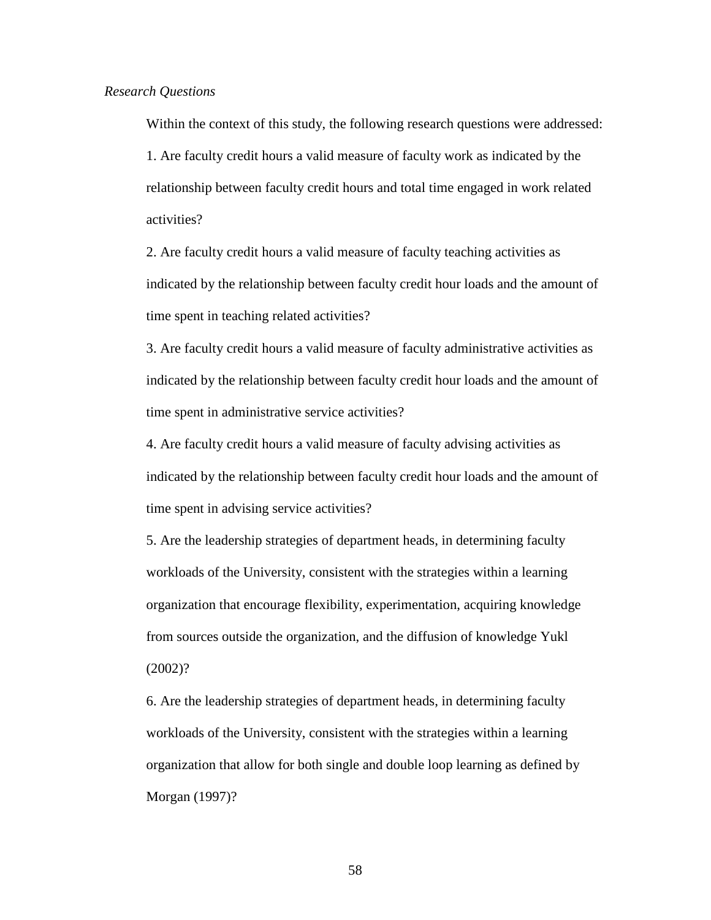Within the context of this study, the following research questions were addressed: 1. Are faculty credit hours a valid measure of faculty work as indicated by the relationship between faculty credit hours and total time engaged in work related activities?

2. Are faculty credit hours a valid measure of faculty teaching activities as indicated by the relationship between faculty credit hour loads and the amount of time spent in teaching related activities?

3. Are faculty credit hours a valid measure of faculty administrative activities as indicated by the relationship between faculty credit hour loads and the amount of time spent in administrative service activities?

4. Are faculty credit hours a valid measure of faculty advising activities as indicated by the relationship between faculty credit hour loads and the amount of time spent in advising service activities?

5. Are the leadership strategies of department heads, in determining faculty workloads of the University, consistent with the strategies within a learning organization that encourage flexibility, experimentation, acquiring knowledge from sources outside the organization, and the diffusion of knowledge Yukl (2002)?

6. Are the leadership strategies of department heads, in determining faculty workloads of the University, consistent with the strategies within a learning organization that allow for both single and double loop learning as defined by Morgan (1997)?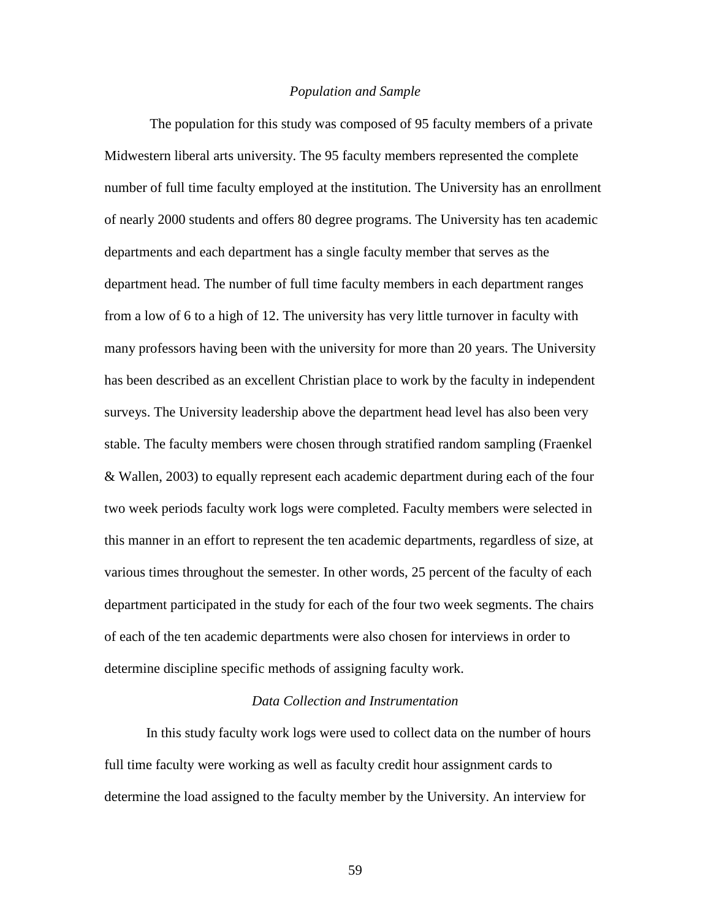### *Population and Sample*

 The population for this study was composed of 95 faculty members of a private Midwestern liberal arts university. The 95 faculty members represented the complete number of full time faculty employed at the institution. The University has an enrollment of nearly 2000 students and offers 80 degree programs. The University has ten academic departments and each department has a single faculty member that serves as the department head. The number of full time faculty members in each department ranges from a low of 6 to a high of 12. The university has very little turnover in faculty with many professors having been with the university for more than 20 years. The University has been described as an excellent Christian place to work by the faculty in independent surveys. The University leadership above the department head level has also been very stable. The faculty members were chosen through stratified random sampling (Fraenkel & Wallen, 2003) to equally represent each academic department during each of the four two week periods faculty work logs were completed. Faculty members were selected in this manner in an effort to represent the ten academic departments, regardless of size, at various times throughout the semester. In other words, 25 percent of the faculty of each department participated in the study for each of the four two week segments. The chairs of each of the ten academic departments were also chosen for interviews in order to determine discipline specific methods of assigning faculty work.

# *Data Collection and Instrumentation*

 In this study faculty work logs were used to collect data on the number of hours full time faculty were working as well as faculty credit hour assignment cards to determine the load assigned to the faculty member by the University. An interview for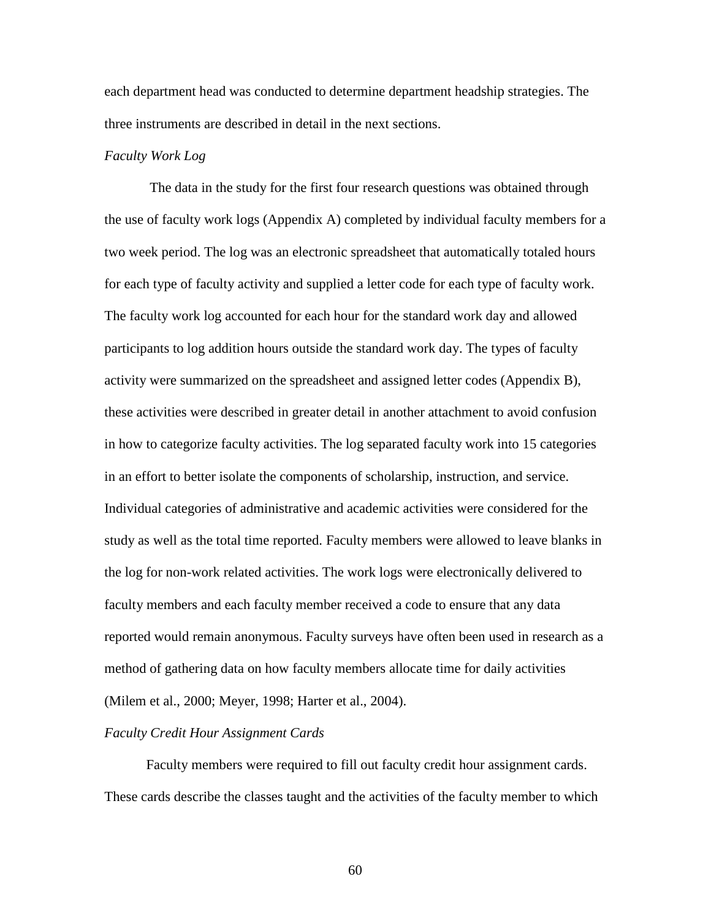each department head was conducted to determine department headship strategies. The three instruments are described in detail in the next sections.

# *Faculty Work Log*

The data in the study for the first four research questions was obtained through the use of faculty work logs (Appendix A) completed by individual faculty members for a two week period. The log was an electronic spreadsheet that automatically totaled hours for each type of faculty activity and supplied a letter code for each type of faculty work. The faculty work log accounted for each hour for the standard work day and allowed participants to log addition hours outside the standard work day. The types of faculty activity were summarized on the spreadsheet and assigned letter codes (Appendix B), these activities were described in greater detail in another attachment to avoid confusion in how to categorize faculty activities. The log separated faculty work into 15 categories in an effort to better isolate the components of scholarship, instruction, and service. Individual categories of administrative and academic activities were considered for the study as well as the total time reported. Faculty members were allowed to leave blanks in the log for non-work related activities. The work logs were electronically delivered to faculty members and each faculty member received a code to ensure that any data reported would remain anonymous. Faculty surveys have often been used in research as a method of gathering data on how faculty members allocate time for daily activities (Milem et al., 2000; Meyer, 1998; Harter et al., 2004).

### *Faculty Credit Hour Assignment Cards*

 Faculty members were required to fill out faculty credit hour assignment cards. These cards describe the classes taught and the activities of the faculty member to which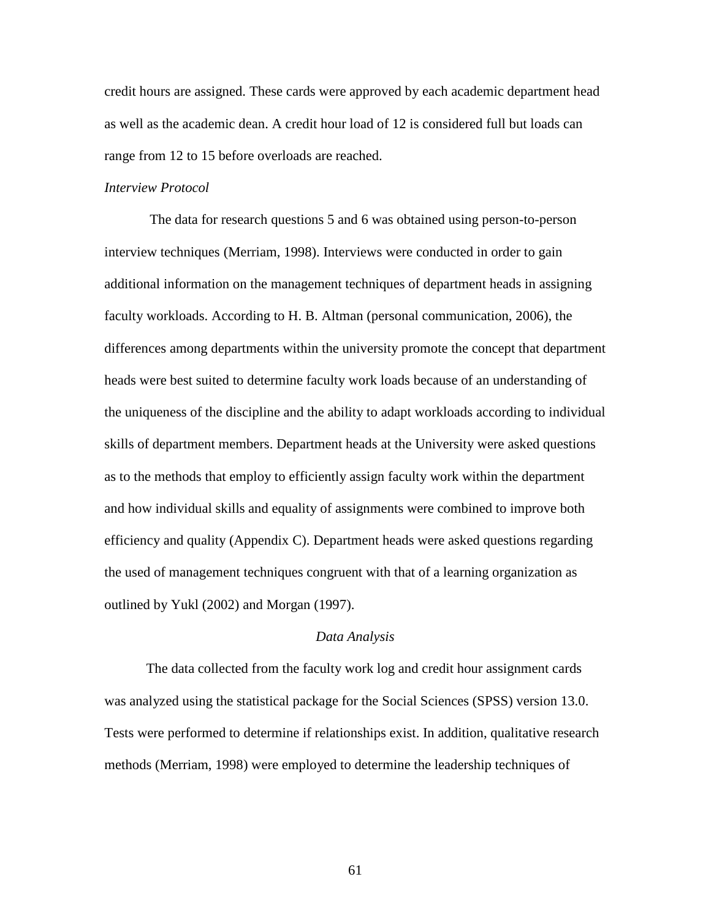credit hours are assigned. These cards were approved by each academic department head as well as the academic dean. A credit hour load of 12 is considered full but loads can range from 12 to 15 before overloads are reached.

## *Interview Protocol*

The data for research questions 5 and 6 was obtained using person-to-person interview techniques (Merriam, 1998). Interviews were conducted in order to gain additional information on the management techniques of department heads in assigning faculty workloads. According to H. B. Altman (personal communication, 2006), the differences among departments within the university promote the concept that department heads were best suited to determine faculty work loads because of an understanding of the uniqueness of the discipline and the ability to adapt workloads according to individual skills of department members. Department heads at the University were asked questions as to the methods that employ to efficiently assign faculty work within the department and how individual skills and equality of assignments were combined to improve both efficiency and quality (Appendix C). Department heads were asked questions regarding the used of management techniques congruent with that of a learning organization as outlined by Yukl (2002) and Morgan (1997).

#### *Data Analysis*

 The data collected from the faculty work log and credit hour assignment cards was analyzed using the statistical package for the Social Sciences (SPSS) version 13.0. Tests were performed to determine if relationships exist. In addition, qualitative research methods (Merriam, 1998) were employed to determine the leadership techniques of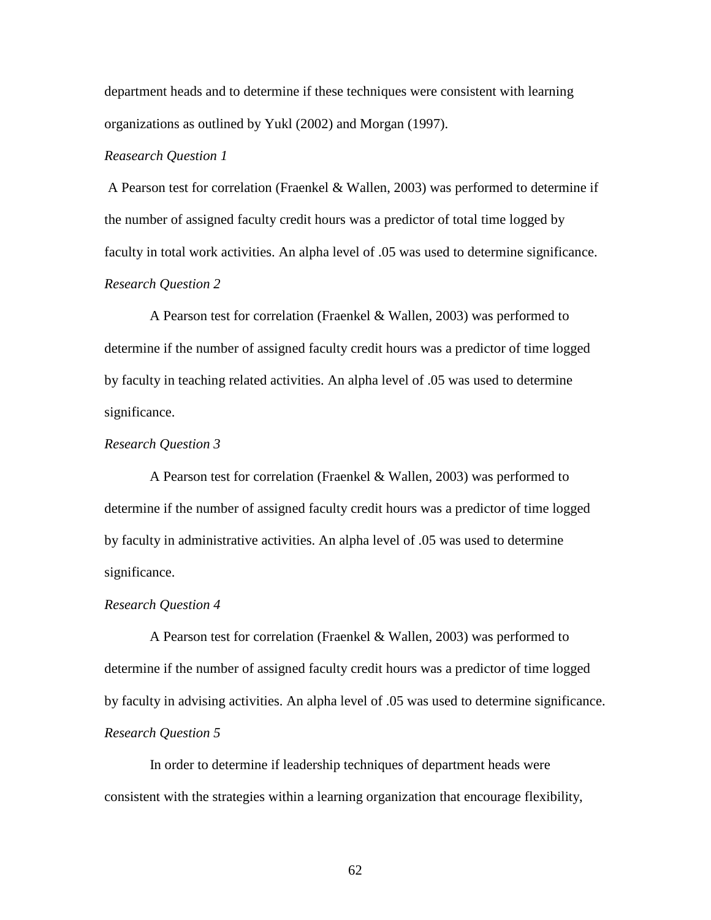department heads and to determine if these techniques were consistent with learning organizations as outlined by Yukl (2002) and Morgan (1997).

# *Reasearch Question 1*

A Pearson test for correlation (Fraenkel & Wallen, 2003) was performed to determine if the number of assigned faculty credit hours was a predictor of total time logged by faculty in total work activities. An alpha level of .05 was used to determine significance. *Research Question 2* 

A Pearson test for correlation (Fraenkel & Wallen, 2003) was performed to determine if the number of assigned faculty credit hours was a predictor of time logged by faculty in teaching related activities. An alpha level of .05 was used to determine significance.

# *Research Question 3*

 A Pearson test for correlation (Fraenkel & Wallen, 2003) was performed to determine if the number of assigned faculty credit hours was a predictor of time logged by faculty in administrative activities. An alpha level of .05 was used to determine significance.

#### *Research Question 4*

 A Pearson test for correlation (Fraenkel & Wallen, 2003) was performed to determine if the number of assigned faculty credit hours was a predictor of time logged by faculty in advising activities. An alpha level of .05 was used to determine significance. *Research Question 5* 

In order to determine if leadership techniques of department heads were consistent with the strategies within a learning organization that encourage flexibility,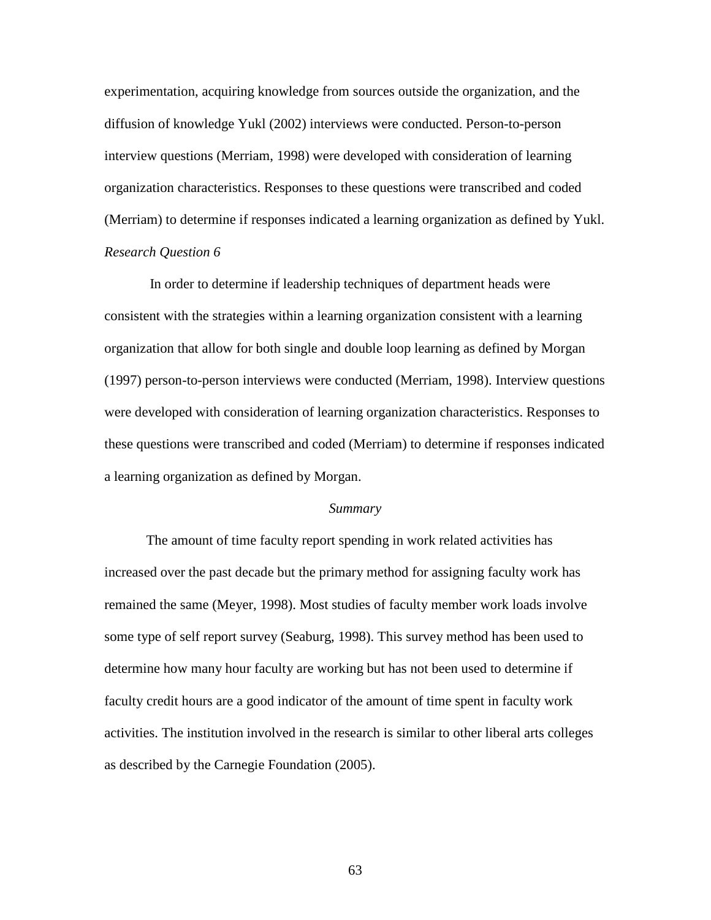experimentation, acquiring knowledge from sources outside the organization, and the diffusion of knowledge Yukl (2002) interviews were conducted. Person-to-person interview questions (Merriam, 1998) were developed with consideration of learning organization characteristics. Responses to these questions were transcribed and coded (Merriam) to determine if responses indicated a learning organization as defined by Yukl. *Research Question 6* 

In order to determine if leadership techniques of department heads were consistent with the strategies within a learning organization consistent with a learning organization that allow for both single and double loop learning as defined by Morgan (1997) person-to-person interviews were conducted (Merriam, 1998). Interview questions were developed with consideration of learning organization characteristics. Responses to these questions were transcribed and coded (Merriam) to determine if responses indicated a learning organization as defined by Morgan.

#### *Summary*

 The amount of time faculty report spending in work related activities has increased over the past decade but the primary method for assigning faculty work has remained the same (Meyer, 1998). Most studies of faculty member work loads involve some type of self report survey (Seaburg, 1998). This survey method has been used to determine how many hour faculty are working but has not been used to determine if faculty credit hours are a good indicator of the amount of time spent in faculty work activities. The institution involved in the research is similar to other liberal arts colleges as described by the Carnegie Foundation (2005).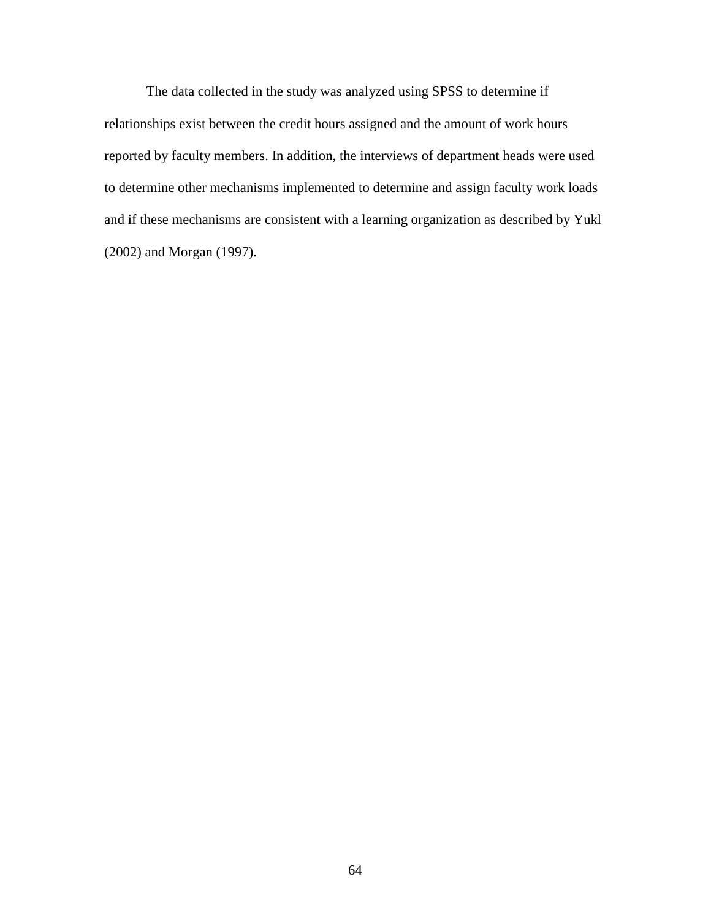The data collected in the study was analyzed using SPSS to determine if relationships exist between the credit hours assigned and the amount of work hours reported by faculty members. In addition, the interviews of department heads were used to determine other mechanisms implemented to determine and assign faculty work loads and if these mechanisms are consistent with a learning organization as described by Yukl (2002) and Morgan (1997).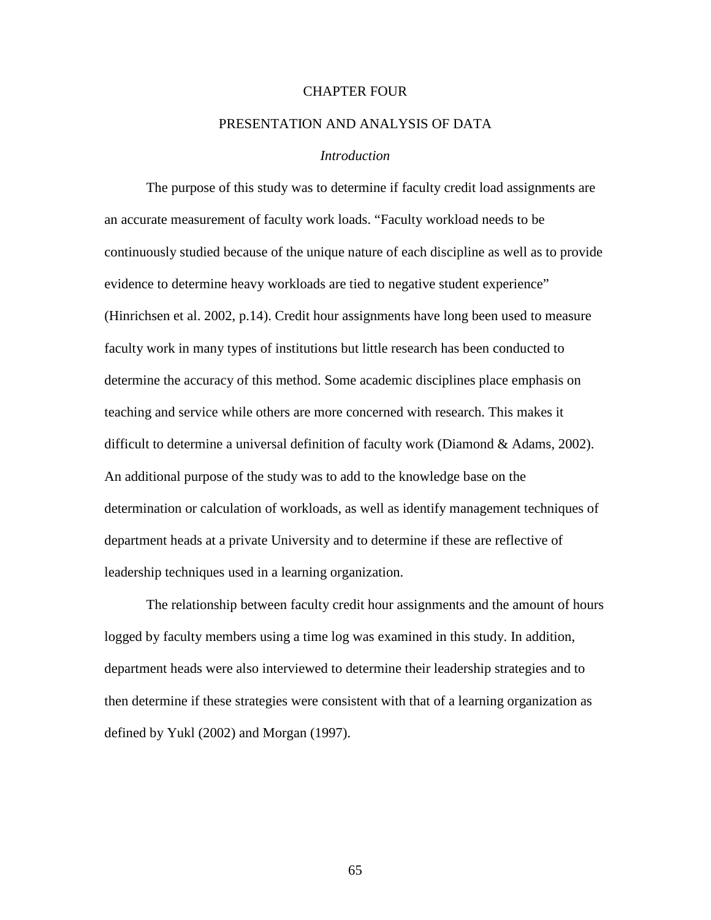# CHAPTER FOUR

# PRESENTATION AND ANALYSIS OF DATA

## *Introduction*

The purpose of this study was to determine if faculty credit load assignments are an accurate measurement of faculty work loads. "Faculty workload needs to be continuously studied because of the unique nature of each discipline as well as to provide evidence to determine heavy workloads are tied to negative student experience" (Hinrichsen et al. 2002, p.14). Credit hour assignments have long been used to measure faculty work in many types of institutions but little research has been conducted to determine the accuracy of this method. Some academic disciplines place emphasis on teaching and service while others are more concerned with research. This makes it difficult to determine a universal definition of faculty work (Diamond & Adams, 2002). An additional purpose of the study was to add to the knowledge base on the determination or calculation of workloads, as well as identify management techniques of department heads at a private University and to determine if these are reflective of leadership techniques used in a learning organization.

The relationship between faculty credit hour assignments and the amount of hours logged by faculty members using a time log was examined in this study. In addition, department heads were also interviewed to determine their leadership strategies and to then determine if these strategies were consistent with that of a learning organization as defined by Yukl (2002) and Morgan (1997).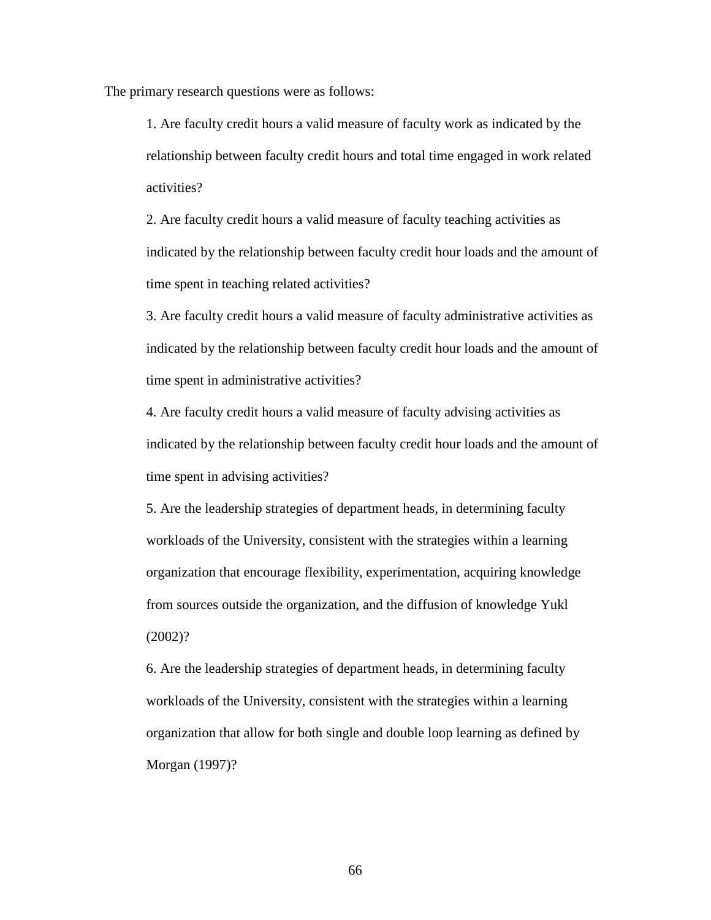The primary research questions were as follows:

1. Are faculty credit hours a valid measure of faculty work as indicated by the relationship between faculty credit hours and total time engaged in work related activities?

2. Are faculty credit hours a valid measure of faculty teaching activities as indicated by the relationship between faculty credit hour loads and the amount of time spent in teaching related activities?

3. Are faculty credit hours a valid measure of faculty administrative activities as indicated by the relationship between faculty credit hour loads and the amount of time spent in administrative activities?

4. Are faculty credit hours a valid measure of faculty advising activities as indicated by the relationship between faculty credit hour loads and the amount of time spent in advising activities?

5. Are the leadership strategies of department heads, in determining faculty workloads of the University, consistent with the strategies within a learning organization that encourage flexibility, experimentation, acquiring knowledge from sources outside the organization, and the diffusion of knowledge Yukl (2002)?

6. Are the leadership strategies of department heads, in determining faculty workloads of the University, consistent with the strategies within a learning organization that allow for both single and double loop learning as defined by Morgan (1997)?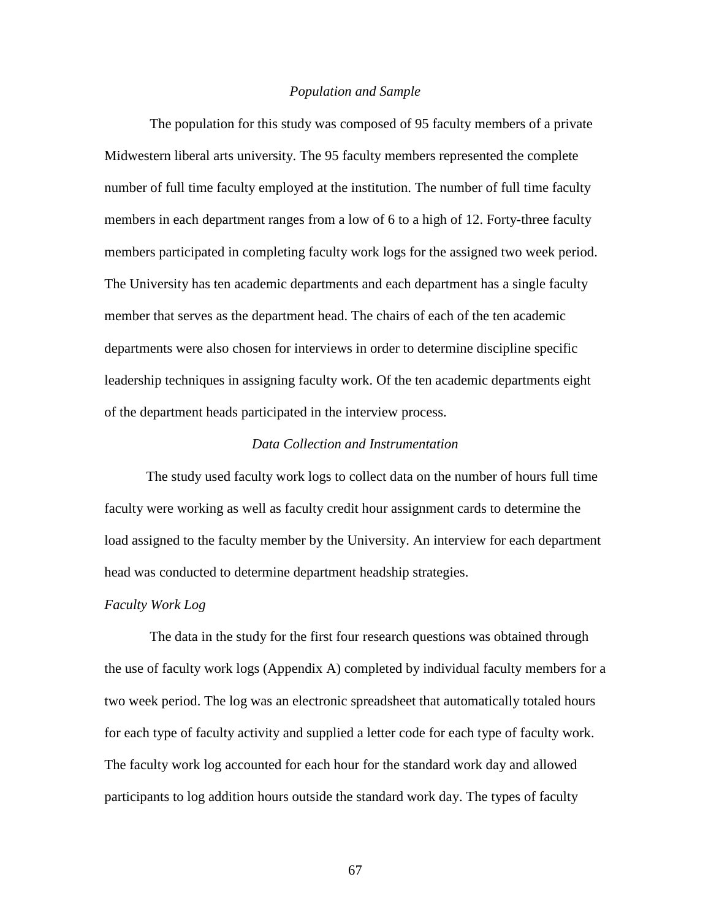#### *Population and Sample*

 The population for this study was composed of 95 faculty members of a private Midwestern liberal arts university. The 95 faculty members represented the complete number of full time faculty employed at the institution. The number of full time faculty members in each department ranges from a low of 6 to a high of 12. Forty-three faculty members participated in completing faculty work logs for the assigned two week period. The University has ten academic departments and each department has a single faculty member that serves as the department head. The chairs of each of the ten academic departments were also chosen for interviews in order to determine discipline specific leadership techniques in assigning faculty work. Of the ten academic departments eight of the department heads participated in the interview process.

# *Data Collection and Instrumentation*

 The study used faculty work logs to collect data on the number of hours full time faculty were working as well as faculty credit hour assignment cards to determine the load assigned to the faculty member by the University. An interview for each department head was conducted to determine department headship strategies.

#### *Faculty Work Log*

The data in the study for the first four research questions was obtained through the use of faculty work logs (Appendix A) completed by individual faculty members for a two week period. The log was an electronic spreadsheet that automatically totaled hours for each type of faculty activity and supplied a letter code for each type of faculty work. The faculty work log accounted for each hour for the standard work day and allowed participants to log addition hours outside the standard work day. The types of faculty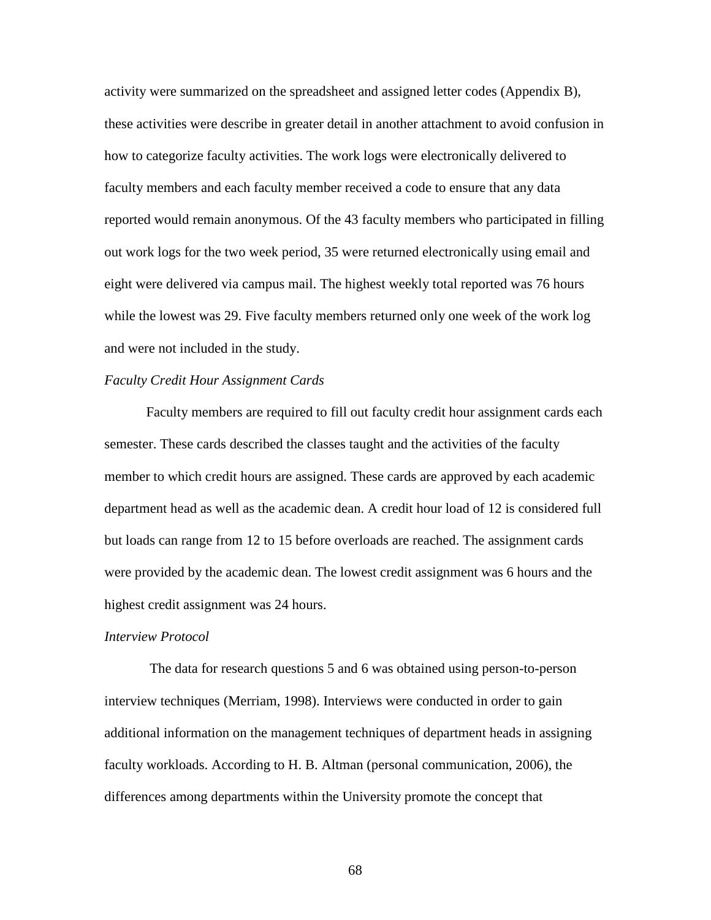activity were summarized on the spreadsheet and assigned letter codes (Appendix B), these activities were describe in greater detail in another attachment to avoid confusion in how to categorize faculty activities. The work logs were electronically delivered to faculty members and each faculty member received a code to ensure that any data reported would remain anonymous. Of the 43 faculty members who participated in filling out work logs for the two week period, 35 were returned electronically using email and eight were delivered via campus mail. The highest weekly total reported was 76 hours while the lowest was 29. Five faculty members returned only one week of the work log and were not included in the study.

# *Faculty Credit Hour Assignment Cards*

 Faculty members are required to fill out faculty credit hour assignment cards each semester. These cards described the classes taught and the activities of the faculty member to which credit hours are assigned. These cards are approved by each academic department head as well as the academic dean. A credit hour load of 12 is considered full but loads can range from 12 to 15 before overloads are reached. The assignment cards were provided by the academic dean. The lowest credit assignment was 6 hours and the highest credit assignment was 24 hours.

#### *Interview Protocol*

The data for research questions 5 and 6 was obtained using person-to-person interview techniques (Merriam, 1998). Interviews were conducted in order to gain additional information on the management techniques of department heads in assigning faculty workloads. According to H. B. Altman (personal communication, 2006), the differences among departments within the University promote the concept that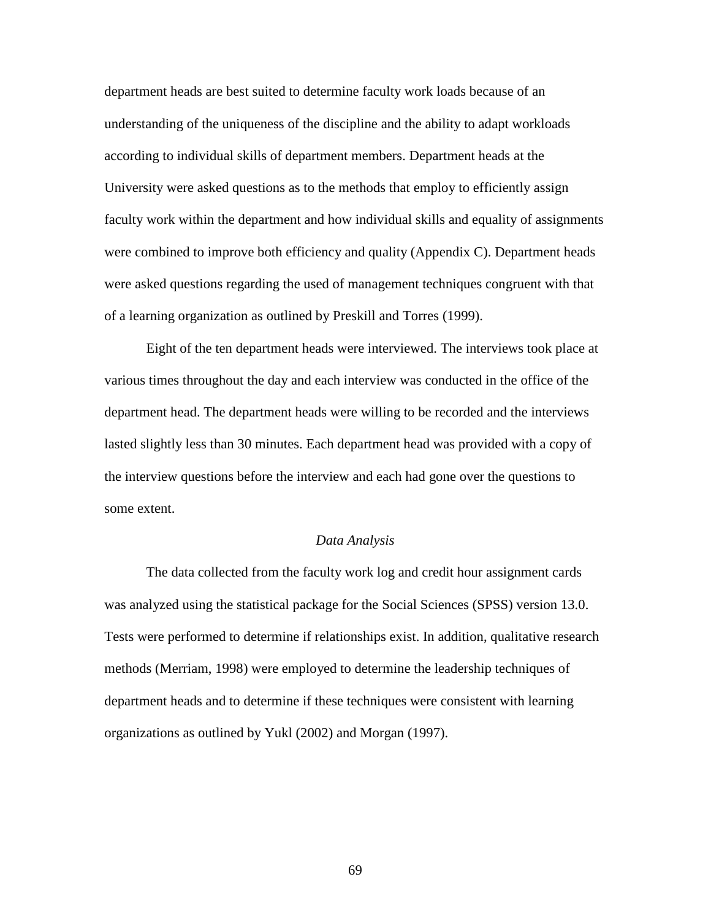department heads are best suited to determine faculty work loads because of an understanding of the uniqueness of the discipline and the ability to adapt workloads according to individual skills of department members. Department heads at the University were asked questions as to the methods that employ to efficiently assign faculty work within the department and how individual skills and equality of assignments were combined to improve both efficiency and quality (Appendix C). Department heads were asked questions regarding the used of management techniques congruent with that of a learning organization as outlined by Preskill and Torres (1999).

Eight of the ten department heads were interviewed. The interviews took place at various times throughout the day and each interview was conducted in the office of the department head. The department heads were willing to be recorded and the interviews lasted slightly less than 30 minutes. Each department head was provided with a copy of the interview questions before the interview and each had gone over the questions to some extent.

## *Data Analysis*

 The data collected from the faculty work log and credit hour assignment cards was analyzed using the statistical package for the Social Sciences (SPSS) version 13.0. Tests were performed to determine if relationships exist. In addition, qualitative research methods (Merriam, 1998) were employed to determine the leadership techniques of department heads and to determine if these techniques were consistent with learning organizations as outlined by Yukl (2002) and Morgan (1997).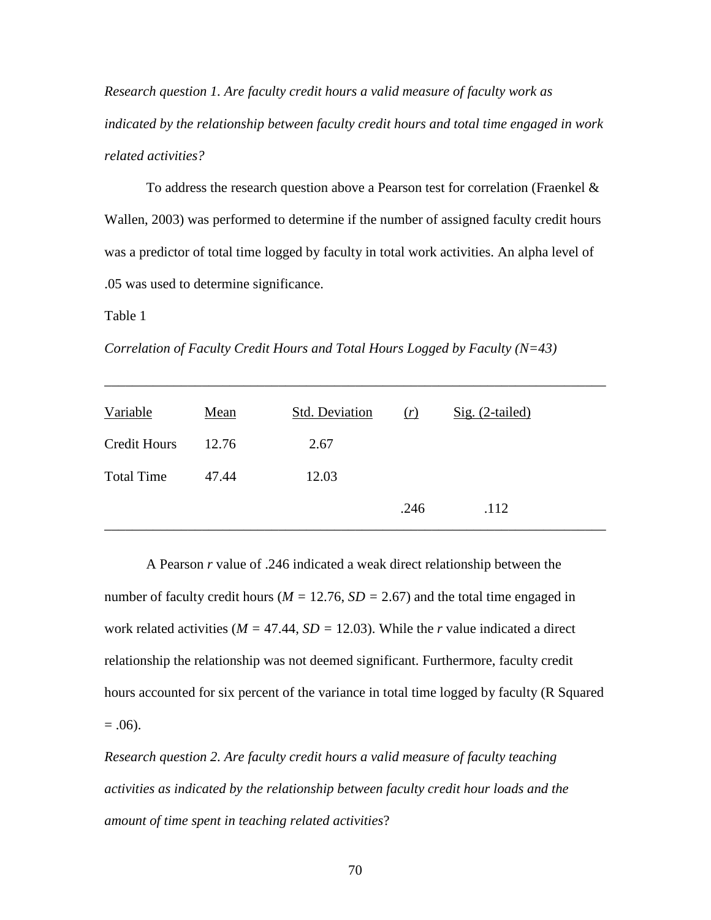*Research question 1. Are faculty credit hours a valid measure of faculty work as indicated by the relationship between faculty credit hours and total time engaged in work related activities?* 

To address the research question above a Pearson test for correlation (Fraenkel & Wallen, 2003) was performed to determine if the number of assigned faculty credit hours was a predictor of total time logged by faculty in total work activities. An alpha level of .05 was used to determine significance.

Table 1

*Correlation of Faculty Credit Hours and Total Hours Logged by Faculty (N=43)* 

| Variable            | Mean  | Std. Deviation | (r)  | $Sig. (2-tailed)$ |
|---------------------|-------|----------------|------|-------------------|
| <b>Credit Hours</b> | 12.76 | 2.67           |      |                   |
| <b>Total Time</b>   | 47.44 | 12.03          |      |                   |
|                     |       |                | .246 | .112              |

\_\_\_\_\_\_\_\_\_\_\_\_\_\_\_\_\_\_\_\_\_\_\_\_\_\_\_\_\_\_\_\_\_\_\_\_\_\_\_\_\_\_\_\_\_\_\_\_\_\_\_\_\_\_\_\_\_\_\_\_\_\_\_\_\_\_\_\_\_\_\_\_

 A Pearson *r* value of .246 indicated a weak direct relationship between the number of faculty credit hours ( $M = 12.76$ ,  $SD = 2.67$ ) and the total time engaged in work related activities (*M =* 47.44, *SD =* 12.03). While the *r* value indicated a direct relationship the relationship was not deemed significant. Furthermore, faculty credit hours accounted for six percent of the variance in total time logged by faculty (R Squared  $= .06$ ).

*Research question 2. Are faculty credit hours a valid measure of faculty teaching activities as indicated by the relationship between faculty credit hour loads and the amount of time spent in teaching related activities*?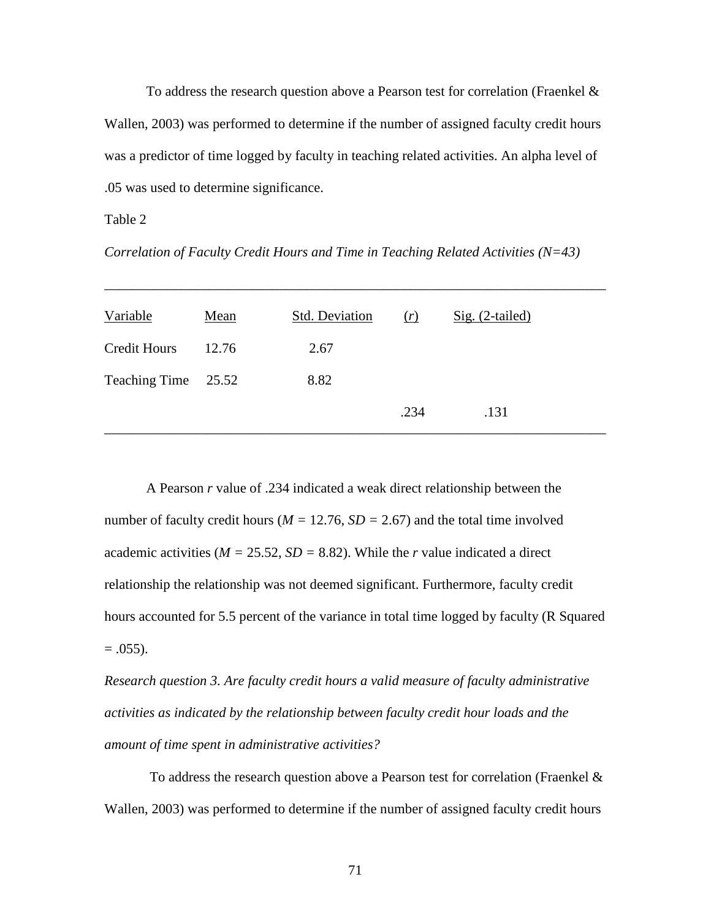To address the research question above a Pearson test for correlation (Fraenkel  $\&$ Wallen, 2003) was performed to determine if the number of assigned faculty credit hours was a predictor of time logged by faculty in teaching related activities. An alpha level of .05 was used to determine significance.

### Table 2

*Correlation of Faculty Credit Hours and Time in Teaching Related Activities (N=43)* 

| Variable            | Mean  | <b>Std. Deviation</b> | (r)  | $Sig. (2-tailed)$ |
|---------------------|-------|-----------------------|------|-------------------|
| <b>Credit Hours</b> | 12.76 | 2.67                  |      |                   |
| Teaching Time 25.52 |       | 8.82                  |      |                   |
|                     |       |                       | .234 | .131              |

\_\_\_\_\_\_\_\_\_\_\_\_\_\_\_\_\_\_\_\_\_\_\_\_\_\_\_\_\_\_\_\_\_\_\_\_\_\_\_\_\_\_\_\_\_\_\_\_\_\_\_\_\_\_\_\_\_\_\_\_\_\_\_\_\_\_\_\_\_\_\_\_

A Pearson *r* value of .234 indicated a weak direct relationship between the number of faculty credit hours ( $M = 12.76$ ,  $SD = 2.67$ ) and the total time involved academic activities ( $M = 25.52$ ,  $SD = 8.82$ ). While the *r* value indicated a direct relationship the relationship was not deemed significant. Furthermore, faculty credit hours accounted for 5.5 percent of the variance in total time logged by faculty (R Squared  $= .055$ ).

*Research question 3. Are faculty credit hours a valid measure of faculty administrative activities as indicated by the relationship between faculty credit hour loads and the amount of time spent in administrative activities?* 

 To address the research question above a Pearson test for correlation (Fraenkel & Wallen, 2003) was performed to determine if the number of assigned faculty credit hours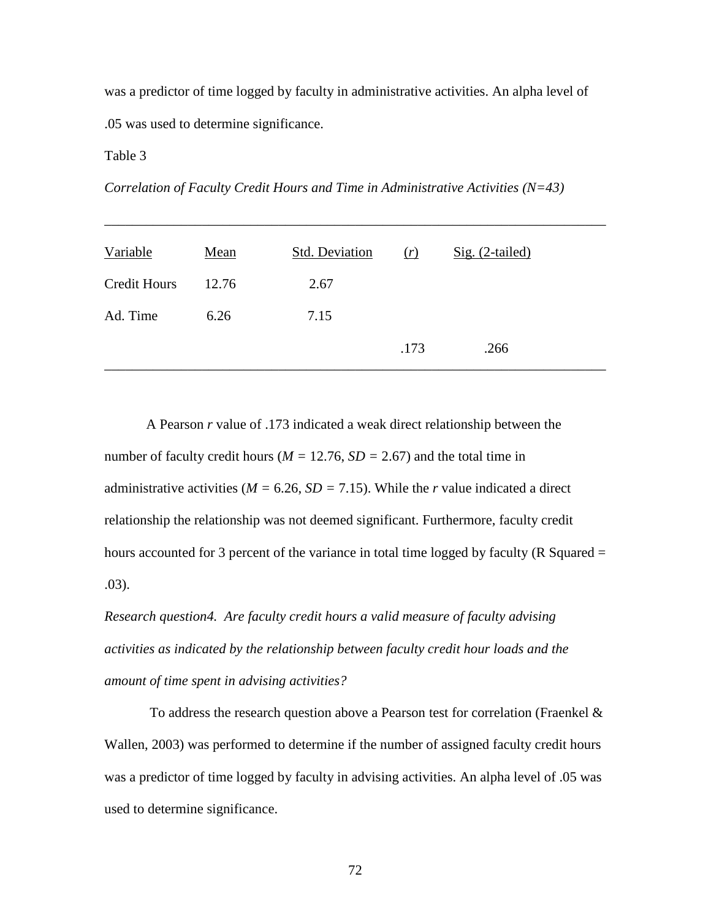was a predictor of time logged by faculty in administrative activities. An alpha level of .05 was used to determine significance.

Table 3

*Correlation of Faculty Credit Hours and Time in Administrative Activities (N=43)* 

| Variable            | Mean  | <b>Std. Deviation</b> | (r)  | $Sig. (2-tailed)$ |
|---------------------|-------|-----------------------|------|-------------------|
| <b>Credit Hours</b> | 12.76 | 2.67                  |      |                   |
| Ad. Time            | 6.26  | 7.15                  |      |                   |
|                     |       |                       | .173 | .266              |

\_\_\_\_\_\_\_\_\_\_\_\_\_\_\_\_\_\_\_\_\_\_\_\_\_\_\_\_\_\_\_\_\_\_\_\_\_\_\_\_\_\_\_\_\_\_\_\_\_\_\_\_\_\_\_\_\_\_\_\_\_\_\_\_\_\_\_\_\_\_\_\_

A Pearson *r* value of .173 indicated a weak direct relationship between the number of faculty credit hours ( $M = 12.76$ ,  $SD = 2.67$ ) and the total time in administrative activities ( $M = 6.26$ ,  $SD = 7.15$ ). While the *r* value indicated a direct relationship the relationship was not deemed significant. Furthermore, faculty credit hours accounted for 3 percent of the variance in total time logged by faculty (R Squared  $=$ .03).

*Research question4. Are faculty credit hours a valid measure of faculty advising activities as indicated by the relationship between faculty credit hour loads and the amount of time spent in advising activities?* 

 To address the research question above a Pearson test for correlation (Fraenkel & Wallen, 2003) was performed to determine if the number of assigned faculty credit hours was a predictor of time logged by faculty in advising activities. An alpha level of .05 was used to determine significance.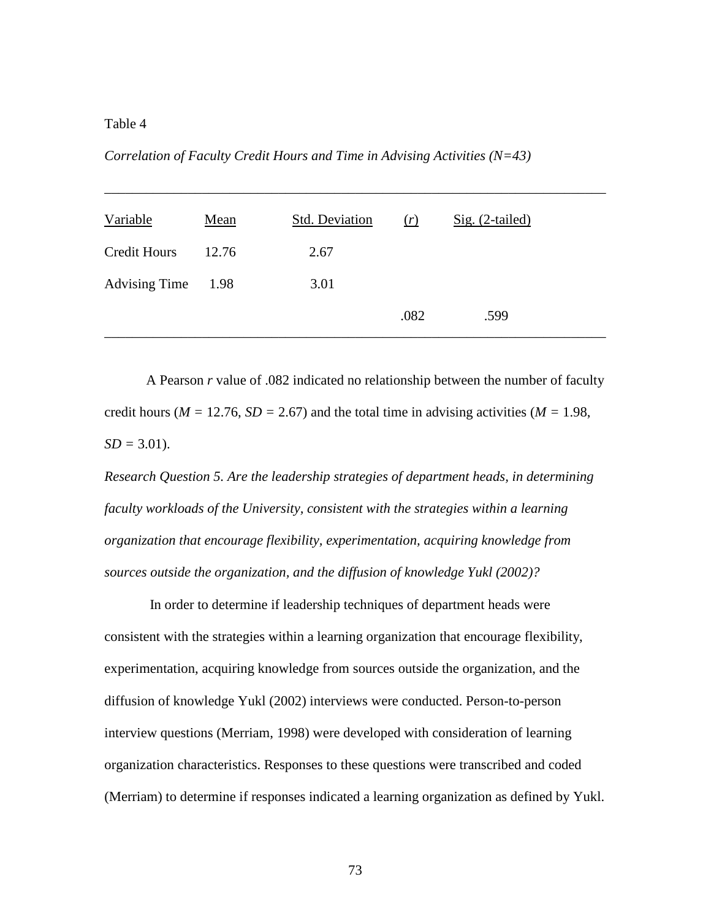# Table 4

*Correlation of Faculty Credit Hours and Time in Advising Activities (N=43)* 

| Variable             | Mean  | <b>Std. Deviation</b> | (r)  | $Sig. (2-tailed)$ |
|----------------------|-------|-----------------------|------|-------------------|
| <b>Credit Hours</b>  | 12.76 | 2.67                  |      |                   |
| <b>Advising Time</b> | 1.98  | 3.01                  |      |                   |
|                      |       |                       | .082 | .599              |

\_\_\_\_\_\_\_\_\_\_\_\_\_\_\_\_\_\_\_\_\_\_\_\_\_\_\_\_\_\_\_\_\_\_\_\_\_\_\_\_\_\_\_\_\_\_\_\_\_\_\_\_\_\_\_\_\_\_\_\_\_\_\_\_\_\_\_\_\_\_\_\_

A Pearson *r* value of .082 indicated no relationship between the number of faculty credit hours ( $M = 12.76$ ,  $SD = 2.67$ ) and the total time in advising activities ( $M = 1.98$ ,  $SD = 3.01$ .

*Research Question 5. Are the leadership strategies of department heads, in determining faculty workloads of the University, consistent with the strategies within a learning organization that encourage flexibility, experimentation, acquiring knowledge from sources outside the organization, and the diffusion of knowledge Yukl (2002)?* 

In order to determine if leadership techniques of department heads were consistent with the strategies within a learning organization that encourage flexibility, experimentation, acquiring knowledge from sources outside the organization, and the diffusion of knowledge Yukl (2002) interviews were conducted. Person-to-person interview questions (Merriam, 1998) were developed with consideration of learning organization characteristics. Responses to these questions were transcribed and coded (Merriam) to determine if responses indicated a learning organization as defined by Yukl.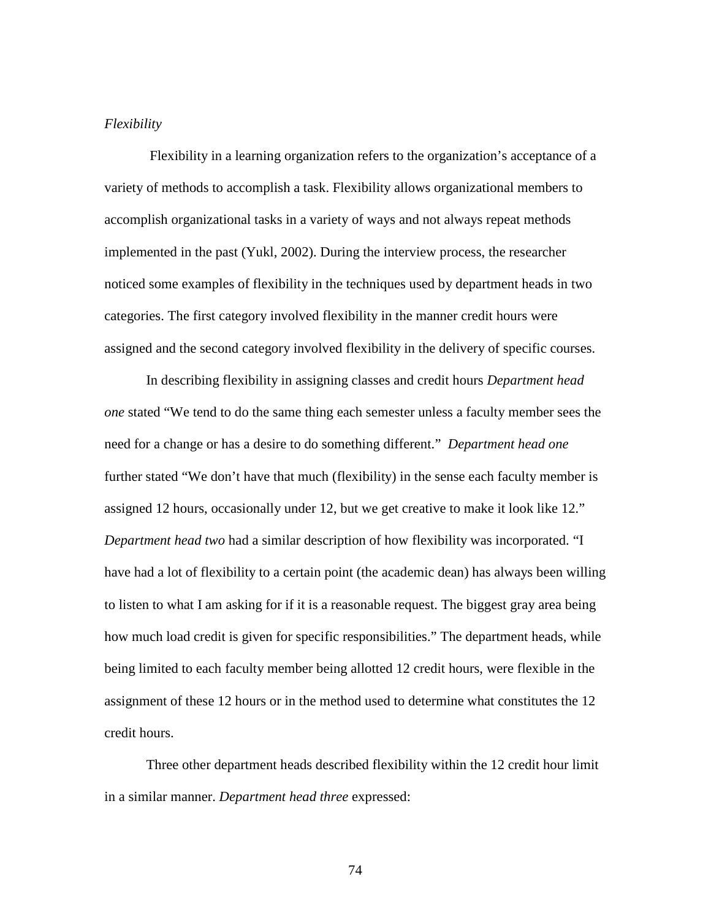# *Flexibility*

 Flexibility in a learning organization refers to the organization's acceptance of a variety of methods to accomplish a task. Flexibility allows organizational members to accomplish organizational tasks in a variety of ways and not always repeat methods implemented in the past (Yukl, 2002). During the interview process, the researcher noticed some examples of flexibility in the techniques used by department heads in two categories. The first category involved flexibility in the manner credit hours were assigned and the second category involved flexibility in the delivery of specific courses.

In describing flexibility in assigning classes and credit hours *Department head one* stated "We tend to do the same thing each semester unless a faculty member sees the need for a change or has a desire to do something different." *Department head one*  further stated "We don't have that much (flexibility) in the sense each faculty member is assigned 12 hours, occasionally under 12, but we get creative to make it look like 12." *Department head two* had a similar description of how flexibility was incorporated. "I have had a lot of flexibility to a certain point (the academic dean) has always been willing to listen to what I am asking for if it is a reasonable request. The biggest gray area being how much load credit is given for specific responsibilities." The department heads, while being limited to each faculty member being allotted 12 credit hours, were flexible in the assignment of these 12 hours or in the method used to determine what constitutes the 12 credit hours.

 Three other department heads described flexibility within the 12 credit hour limit in a similar manner. *Department head three* expressed: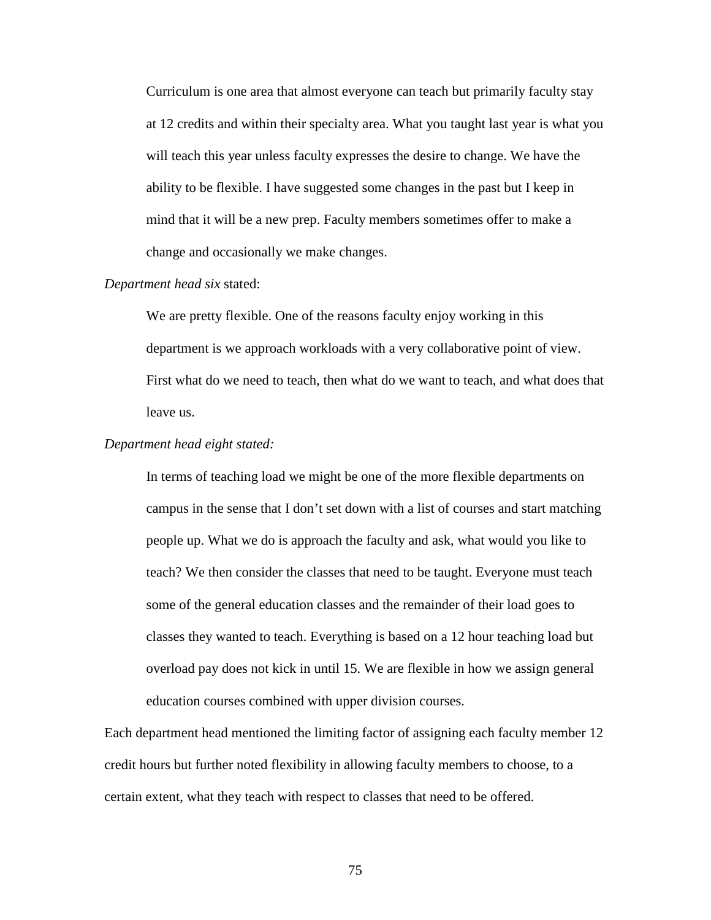Curriculum is one area that almost everyone can teach but primarily faculty stay at 12 credits and within their specialty area. What you taught last year is what you will teach this year unless faculty expresses the desire to change. We have the ability to be flexible. I have suggested some changes in the past but I keep in mind that it will be a new prep. Faculty members sometimes offer to make a change and occasionally we make changes.

# *Department head six* stated:

We are pretty flexible. One of the reasons faculty enjoy working in this department is we approach workloads with a very collaborative point of view. First what do we need to teach, then what do we want to teach, and what does that leave us.

#### *Department head eight stated:*

In terms of teaching load we might be one of the more flexible departments on campus in the sense that I don't set down with a list of courses and start matching people up. What we do is approach the faculty and ask, what would you like to teach? We then consider the classes that need to be taught. Everyone must teach some of the general education classes and the remainder of their load goes to classes they wanted to teach. Everything is based on a 12 hour teaching load but overload pay does not kick in until 15. We are flexible in how we assign general education courses combined with upper division courses.

Each department head mentioned the limiting factor of assigning each faculty member 12 credit hours but further noted flexibility in allowing faculty members to choose, to a certain extent, what they teach with respect to classes that need to be offered.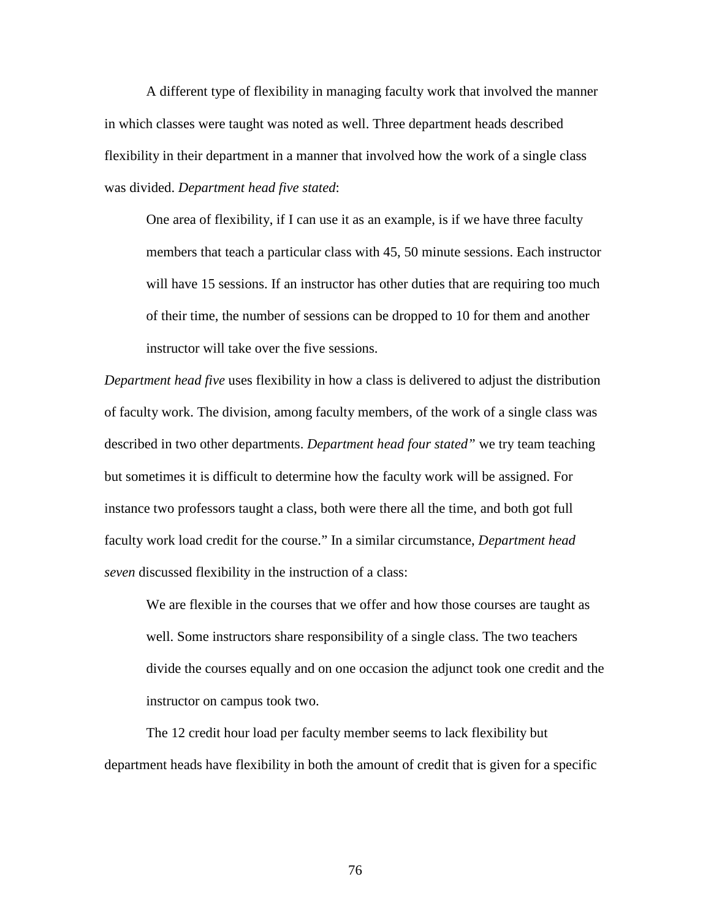A different type of flexibility in managing faculty work that involved the manner in which classes were taught was noted as well. Three department heads described flexibility in their department in a manner that involved how the work of a single class was divided. *Department head five stated*:

One area of flexibility, if I can use it as an example, is if we have three faculty members that teach a particular class with 45, 50 minute sessions. Each instructor will have 15 sessions. If an instructor has other duties that are requiring too much of their time, the number of sessions can be dropped to 10 for them and another instructor will take over the five sessions.

*Department head five* uses flexibility in how a class is delivered to adjust the distribution of faculty work. The division, among faculty members, of the work of a single class was described in two other departments. *Department head four stated"* we try team teaching but sometimes it is difficult to determine how the faculty work will be assigned. For instance two professors taught a class, both were there all the time, and both got full faculty work load credit for the course." In a similar circumstance, *Department head seven* discussed flexibility in the instruction of a class:

We are flexible in the courses that we offer and how those courses are taught as well. Some instructors share responsibility of a single class. The two teachers divide the courses equally and on one occasion the adjunct took one credit and the instructor on campus took two.

The 12 credit hour load per faculty member seems to lack flexibility but department heads have flexibility in both the amount of credit that is given for a specific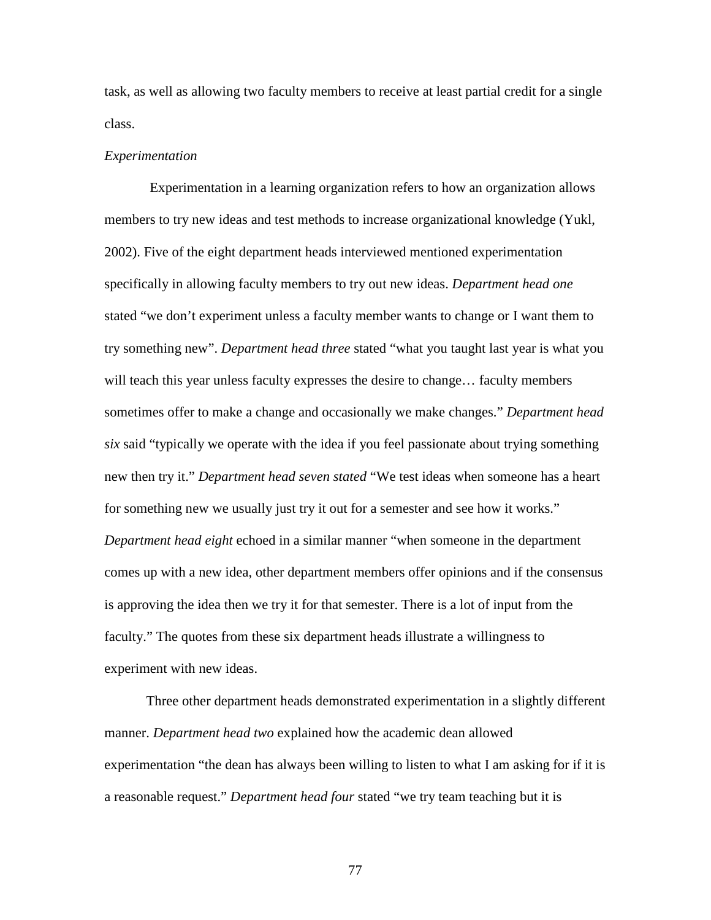task, as well as allowing two faculty members to receive at least partial credit for a single class.

#### *Experimentation*

Experimentation in a learning organization refers to how an organization allows members to try new ideas and test methods to increase organizational knowledge (Yukl, 2002). Five of the eight department heads interviewed mentioned experimentation specifically in allowing faculty members to try out new ideas. *Department head one*  stated "we don't experiment unless a faculty member wants to change or I want them to try something new". *Department head three* stated "what you taught last year is what you will teach this year unless faculty expresses the desire to change... faculty members sometimes offer to make a change and occasionally we make changes." *Department head six* said "typically we operate with the idea if you feel passionate about trying something new then try it." *Department head seven stated* "We test ideas when someone has a heart for something new we usually just try it out for a semester and see how it works." *Department head eight* echoed in a similar manner "when someone in the department comes up with a new idea, other department members offer opinions and if the consensus is approving the idea then we try it for that semester. There is a lot of input from the faculty." The quotes from these six department heads illustrate a willingness to experiment with new ideas.

Three other department heads demonstrated experimentation in a slightly different manner. *Department head two* explained how the academic dean allowed experimentation "the dean has always been willing to listen to what I am asking for if it is a reasonable request." *Department head four* stated "we try team teaching but it is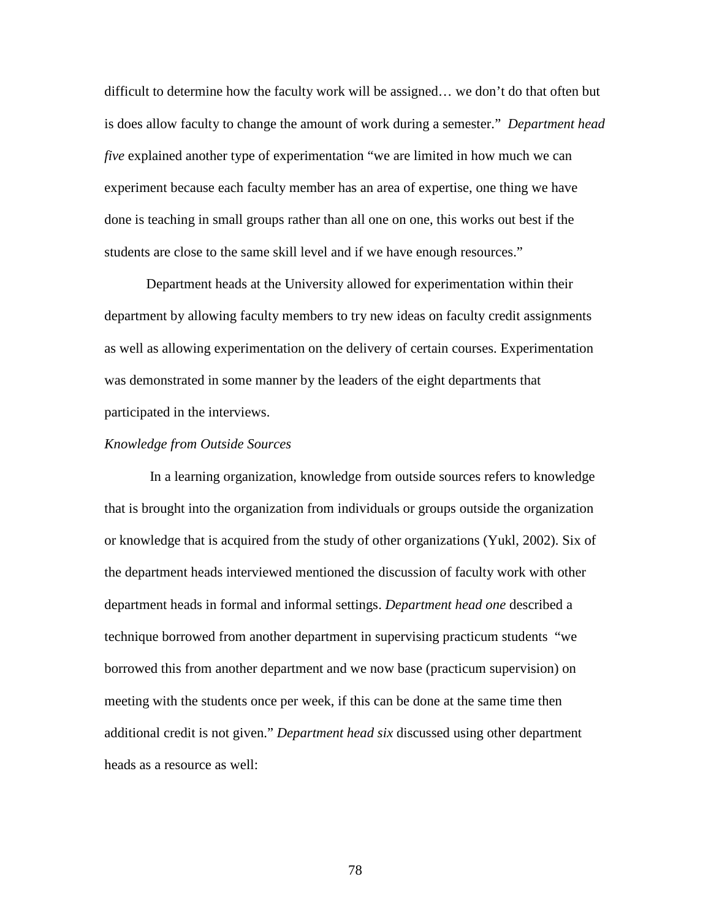difficult to determine how the faculty work will be assigned… we don't do that often but is does allow faculty to change the amount of work during a semester." *Department head five* explained another type of experimentation "we are limited in how much we can experiment because each faculty member has an area of expertise, one thing we have done is teaching in small groups rather than all one on one, this works out best if the students are close to the same skill level and if we have enough resources."

Department heads at the University allowed for experimentation within their department by allowing faculty members to try new ideas on faculty credit assignments as well as allowing experimentation on the delivery of certain courses. Experimentation was demonstrated in some manner by the leaders of the eight departments that participated in the interviews.

#### *Knowledge from Outside Sources*

In a learning organization, knowledge from outside sources refers to knowledge that is brought into the organization from individuals or groups outside the organization or knowledge that is acquired from the study of other organizations (Yukl, 2002). Six of the department heads interviewed mentioned the discussion of faculty work with other department heads in formal and informal settings. *Department head one* described a technique borrowed from another department in supervising practicum students "we borrowed this from another department and we now base (practicum supervision) on meeting with the students once per week, if this can be done at the same time then additional credit is not given." *Department head six* discussed using other department heads as a resource as well: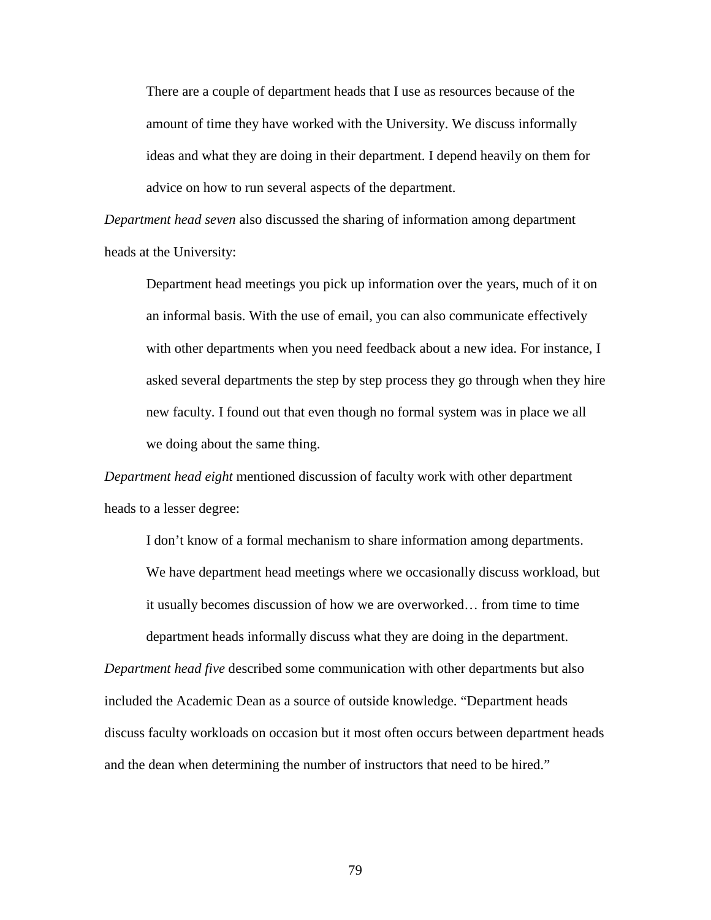There are a couple of department heads that I use as resources because of the amount of time they have worked with the University. We discuss informally ideas and what they are doing in their department. I depend heavily on them for advice on how to run several aspects of the department.

*Department head seven* also discussed the sharing of information among department heads at the University:

Department head meetings you pick up information over the years, much of it on an informal basis. With the use of email, you can also communicate effectively with other departments when you need feedback about a new idea. For instance, I asked several departments the step by step process they go through when they hire new faculty. I found out that even though no formal system was in place we all we doing about the same thing.

*Department head eight* mentioned discussion of faculty work with other department heads to a lesser degree:

I don't know of a formal mechanism to share information among departments. We have department head meetings where we occasionally discuss workload, but it usually becomes discussion of how we are overworked… from time to time department heads informally discuss what they are doing in the department.

*Department head five* described some communication with other departments but also included the Academic Dean as a source of outside knowledge. "Department heads discuss faculty workloads on occasion but it most often occurs between department heads and the dean when determining the number of instructors that need to be hired."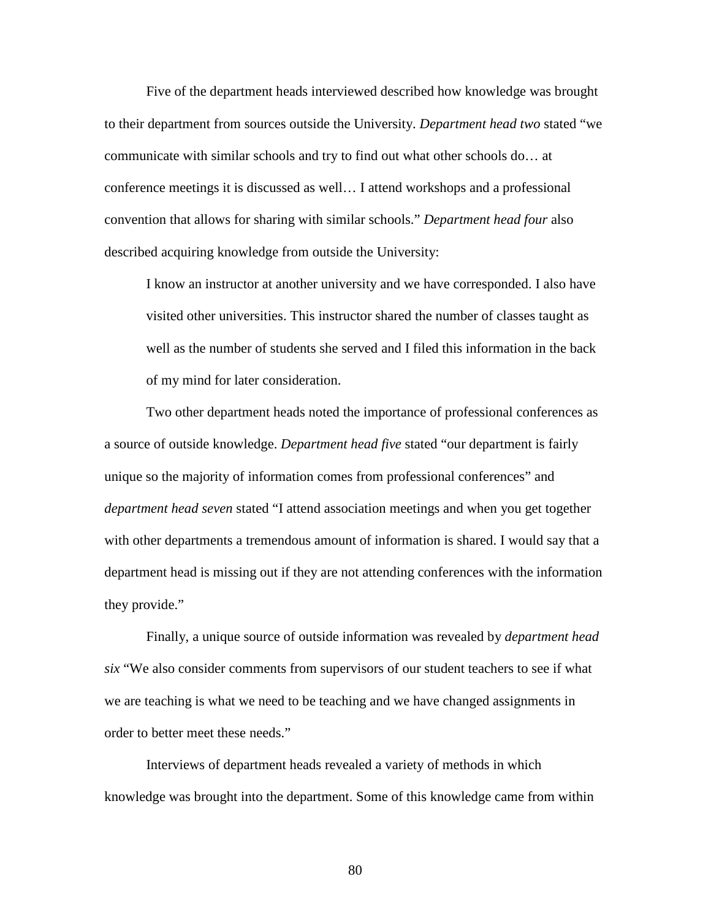Five of the department heads interviewed described how knowledge was brought to their department from sources outside the University. *Department head two* stated "we communicate with similar schools and try to find out what other schools do… at conference meetings it is discussed as well… I attend workshops and a professional convention that allows for sharing with similar schools." *Department head four* also described acquiring knowledge from outside the University:

I know an instructor at another university and we have corresponded. I also have visited other universities. This instructor shared the number of classes taught as well as the number of students she served and I filed this information in the back of my mind for later consideration.

Two other department heads noted the importance of professional conferences as a source of outside knowledge. *Department head five* stated "our department is fairly unique so the majority of information comes from professional conferences" and *department head seven* stated "I attend association meetings and when you get together with other departments a tremendous amount of information is shared. I would say that a department head is missing out if they are not attending conferences with the information they provide."

 Finally, a unique source of outside information was revealed by *department head six* "We also consider comments from supervisors of our student teachers to see if what we are teaching is what we need to be teaching and we have changed assignments in order to better meet these needs."

 Interviews of department heads revealed a variety of methods in which knowledge was brought into the department. Some of this knowledge came from within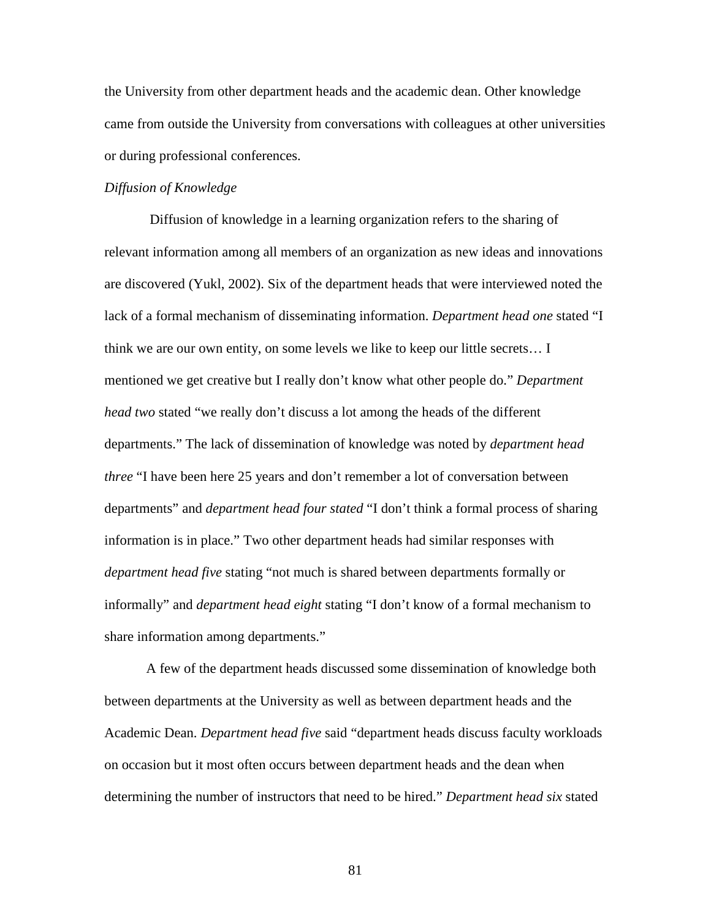the University from other department heads and the academic dean. Other knowledge came from outside the University from conversations with colleagues at other universities or during professional conferences.

## *Diffusion of Knowledge*

Diffusion of knowledge in a learning organization refers to the sharing of relevant information among all members of an organization as new ideas and innovations are discovered (Yukl, 2002). Six of the department heads that were interviewed noted the lack of a formal mechanism of disseminating information. *Department head one* stated "I think we are our own entity, on some levels we like to keep our little secrets… I mentioned we get creative but I really don't know what other people do." *Department head two* stated "we really don't discuss a lot among the heads of the different departments." The lack of dissemination of knowledge was noted by *department head three* "I have been here 25 years and don't remember a lot of conversation between departments" and *department head four stated* "I don't think a formal process of sharing information is in place." Two other department heads had similar responses with *department head five* stating "not much is shared between departments formally or informally" and *department head eight* stating "I don't know of a formal mechanism to share information among departments."

A few of the department heads discussed some dissemination of knowledge both between departments at the University as well as between department heads and the Academic Dean. *Department head five* said "department heads discuss faculty workloads on occasion but it most often occurs between department heads and the dean when determining the number of instructors that need to be hired." *Department head six* stated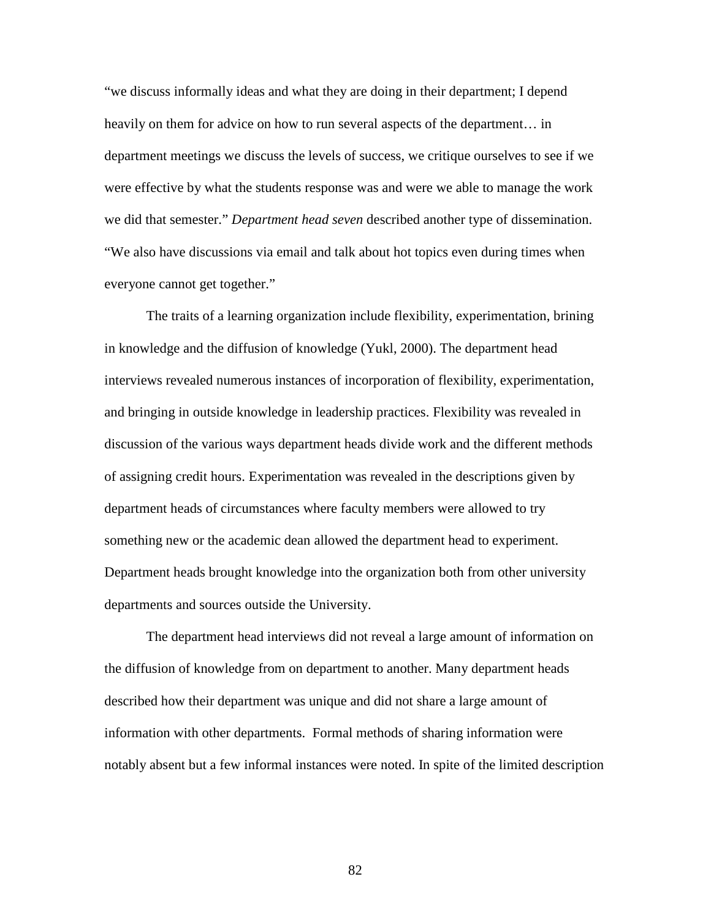"we discuss informally ideas and what they are doing in their department; I depend heavily on them for advice on how to run several aspects of the department… in department meetings we discuss the levels of success, we critique ourselves to see if we were effective by what the students response was and were we able to manage the work we did that semester." *Department head seven* described another type of dissemination. "We also have discussions via email and talk about hot topics even during times when everyone cannot get together."

The traits of a learning organization include flexibility, experimentation, brining in knowledge and the diffusion of knowledge (Yukl, 2000). The department head interviews revealed numerous instances of incorporation of flexibility, experimentation, and bringing in outside knowledge in leadership practices. Flexibility was revealed in discussion of the various ways department heads divide work and the different methods of assigning credit hours. Experimentation was revealed in the descriptions given by department heads of circumstances where faculty members were allowed to try something new or the academic dean allowed the department head to experiment. Department heads brought knowledge into the organization both from other university departments and sources outside the University.

The department head interviews did not reveal a large amount of information on the diffusion of knowledge from on department to another. Many department heads described how their department was unique and did not share a large amount of information with other departments. Formal methods of sharing information were notably absent but a few informal instances were noted. In spite of the limited description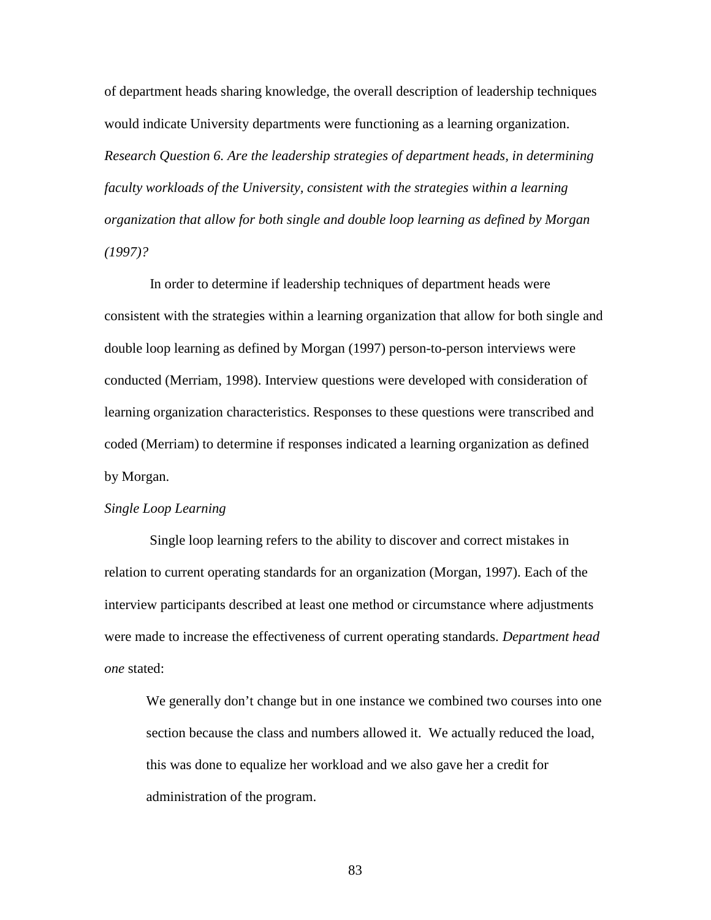of department heads sharing knowledge, the overall description of leadership techniques would indicate University departments were functioning as a learning organization. *Research Question 6. Are the leadership strategies of department heads, in determining faculty workloads of the University, consistent with the strategies within a learning organization that allow for both single and double loop learning as defined by Morgan (1997)?* 

In order to determine if leadership techniques of department heads were consistent with the strategies within a learning organization that allow for both single and double loop learning as defined by Morgan (1997) person-to-person interviews were conducted (Merriam, 1998). Interview questions were developed with consideration of learning organization characteristics. Responses to these questions were transcribed and coded (Merriam) to determine if responses indicated a learning organization as defined by Morgan.

### *Single Loop Learning*

Single loop learning refers to the ability to discover and correct mistakes in relation to current operating standards for an organization (Morgan, 1997). Each of the interview participants described at least one method or circumstance where adjustments were made to increase the effectiveness of current operating standards. *Department head one* stated:

We generally don't change but in one instance we combined two courses into one section because the class and numbers allowed it. We actually reduced the load, this was done to equalize her workload and we also gave her a credit for administration of the program.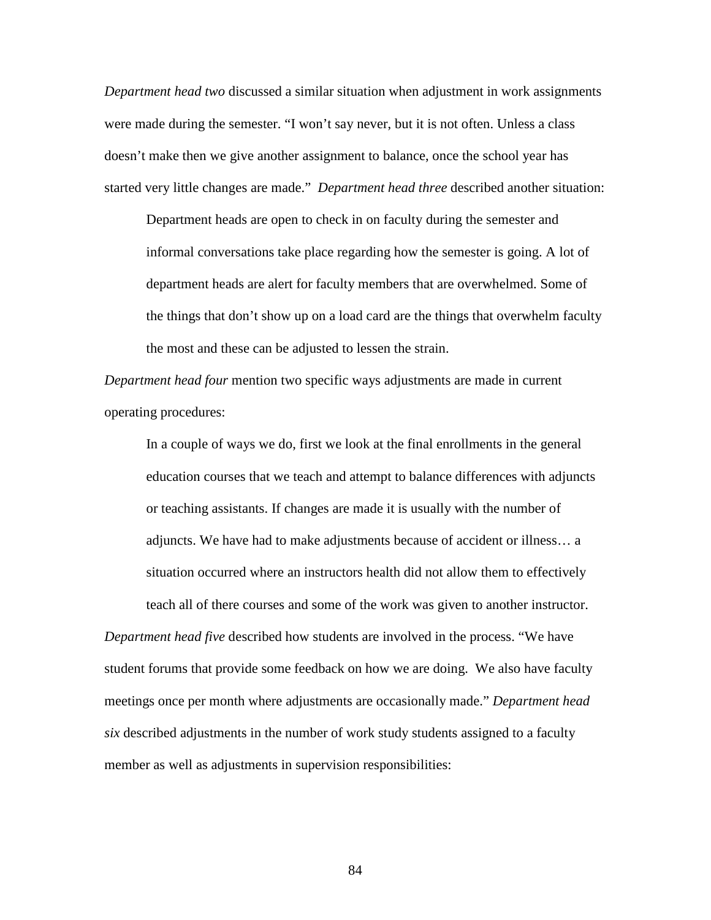*Department head two* discussed a similar situation when adjustment in work assignments were made during the semester. "I won't say never, but it is not often. Unless a class doesn't make then we give another assignment to balance, once the school year has started very little changes are made." *Department head three* described another situation:

Department heads are open to check in on faculty during the semester and informal conversations take place regarding how the semester is going. A lot of department heads are alert for faculty members that are overwhelmed. Some of the things that don't show up on a load card are the things that overwhelm faculty the most and these can be adjusted to lessen the strain.

*Department head four* mention two specific ways adjustments are made in current operating procedures:

In a couple of ways we do, first we look at the final enrollments in the general education courses that we teach and attempt to balance differences with adjuncts or teaching assistants. If changes are made it is usually with the number of adjuncts. We have had to make adjustments because of accident or illness… a situation occurred where an instructors health did not allow them to effectively teach all of there courses and some of the work was given to another instructor.

*Department head five* described how students are involved in the process. "We have student forums that provide some feedback on how we are doing. We also have faculty meetings once per month where adjustments are occasionally made." *Department head six* described adjustments in the number of work study students assigned to a faculty member as well as adjustments in supervision responsibilities: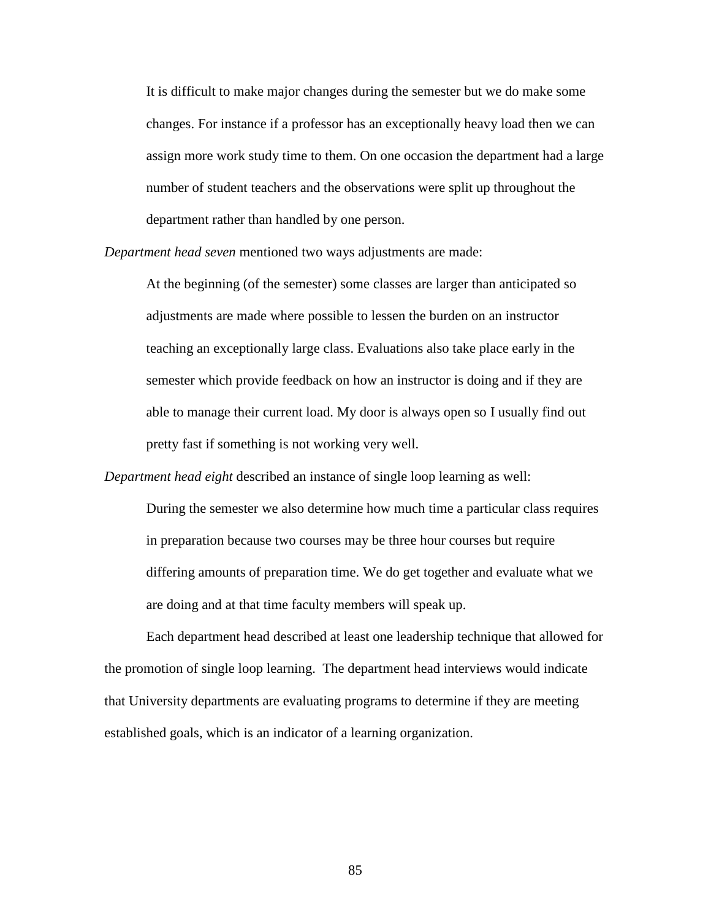It is difficult to make major changes during the semester but we do make some changes. For instance if a professor has an exceptionally heavy load then we can assign more work study time to them. On one occasion the department had a large number of student teachers and the observations were split up throughout the department rather than handled by one person.

*Department head seven* mentioned two ways adjustments are made:

At the beginning (of the semester) some classes are larger than anticipated so adjustments are made where possible to lessen the burden on an instructor teaching an exceptionally large class. Evaluations also take place early in the semester which provide feedback on how an instructor is doing and if they are able to manage their current load. My door is always open so I usually find out pretty fast if something is not working very well.

*Department head eight* described an instance of single loop learning as well:

During the semester we also determine how much time a particular class requires in preparation because two courses may be three hour courses but require differing amounts of preparation time. We do get together and evaluate what we are doing and at that time faculty members will speak up.

Each department head described at least one leadership technique that allowed for the promotion of single loop learning. The department head interviews would indicate that University departments are evaluating programs to determine if they are meeting established goals, which is an indicator of a learning organization.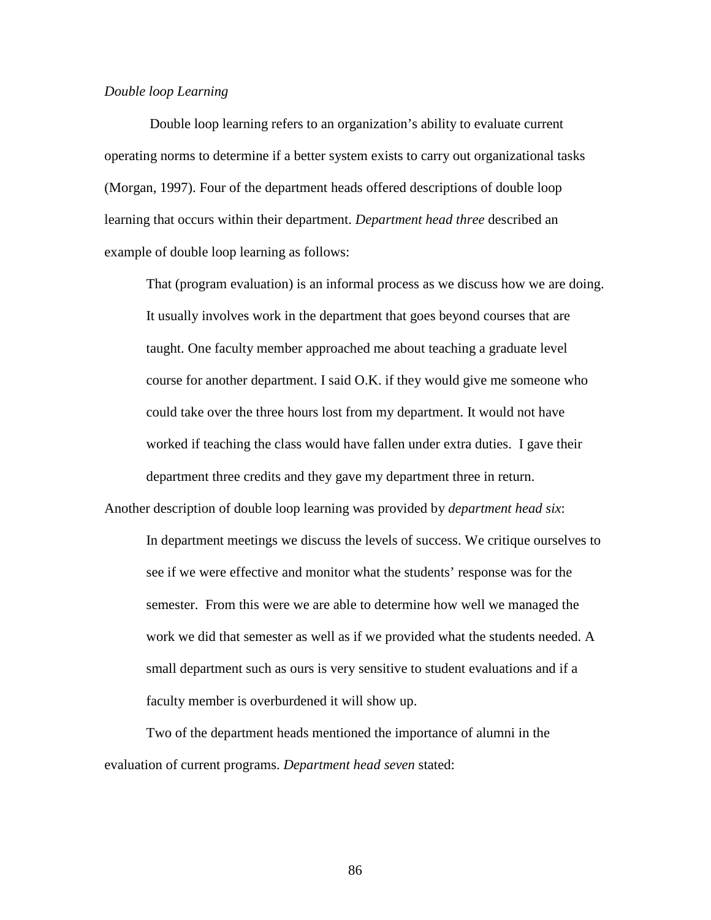#### *Double loop Learning*

Double loop learning refers to an organization's ability to evaluate current operating norms to determine if a better system exists to carry out organizational tasks (Morgan, 1997). Four of the department heads offered descriptions of double loop learning that occurs within their department. *Department head three* described an example of double loop learning as follows:

That (program evaluation) is an informal process as we discuss how we are doing. It usually involves work in the department that goes beyond courses that are taught. One faculty member approached me about teaching a graduate level course for another department. I said O.K. if they would give me someone who could take over the three hours lost from my department. It would not have worked if teaching the class would have fallen under extra duties. I gave their department three credits and they gave my department three in return.

In department meetings we discuss the levels of success. We critique ourselves to see if we were effective and monitor what the students' response was for the semester. From this were we are able to determine how well we managed the work we did that semester as well as if we provided what the students needed. A small department such as ours is very sensitive to student evaluations and if a faculty member is overburdened it will show up.

Another description of double loop learning was provided by *department head six*:

Two of the department heads mentioned the importance of alumni in the evaluation of current programs. *Department head seven* stated: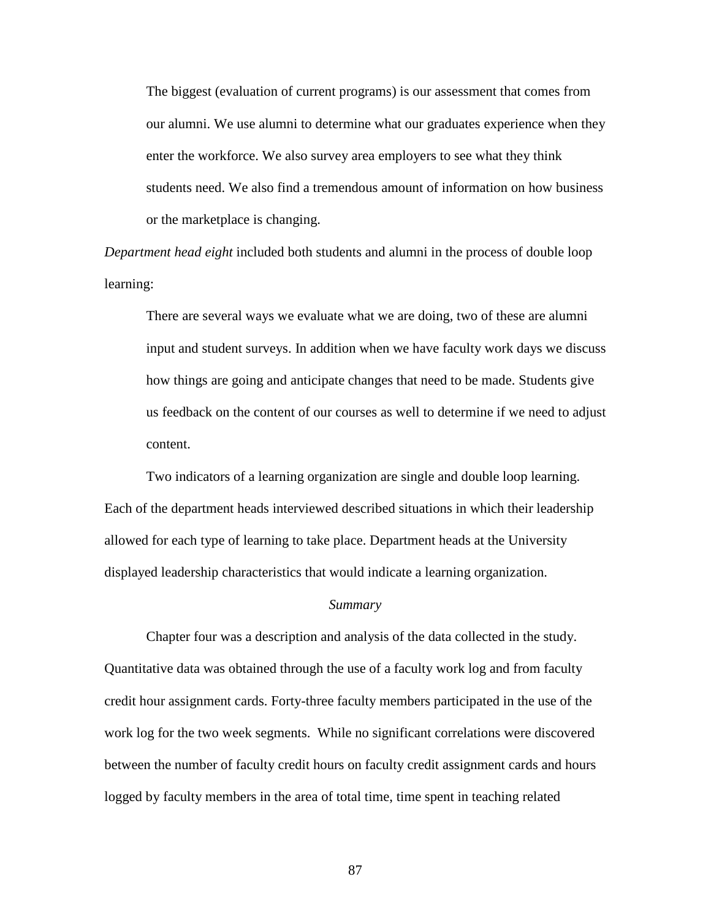The biggest (evaluation of current programs) is our assessment that comes from our alumni. We use alumni to determine what our graduates experience when they enter the workforce. We also survey area employers to see what they think students need. We also find a tremendous amount of information on how business or the marketplace is changing.

*Department head eight* included both students and alumni in the process of double loop learning:

There are several ways we evaluate what we are doing, two of these are alumni input and student surveys. In addition when we have faculty work days we discuss how things are going and anticipate changes that need to be made. Students give us feedback on the content of our courses as well to determine if we need to adjust content.

 Two indicators of a learning organization are single and double loop learning. Each of the department heads interviewed described situations in which their leadership allowed for each type of learning to take place. Department heads at the University displayed leadership characteristics that would indicate a learning organization.

#### *Summary*

 Chapter four was a description and analysis of the data collected in the study. Quantitative data was obtained through the use of a faculty work log and from faculty credit hour assignment cards. Forty-three faculty members participated in the use of the work log for the two week segments. While no significant correlations were discovered between the number of faculty credit hours on faculty credit assignment cards and hours logged by faculty members in the area of total time, time spent in teaching related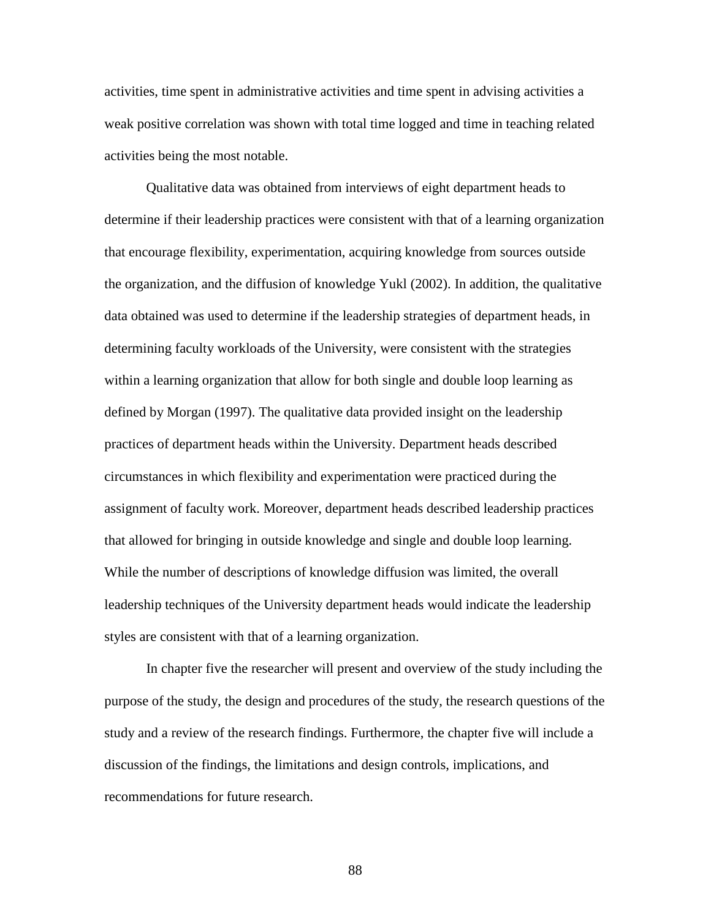activities, time spent in administrative activities and time spent in advising activities a weak positive correlation was shown with total time logged and time in teaching related activities being the most notable.

 Qualitative data was obtained from interviews of eight department heads to determine if their leadership practices were consistent with that of a learning organization that encourage flexibility, experimentation, acquiring knowledge from sources outside the organization, and the diffusion of knowledge Yukl (2002). In addition, the qualitative data obtained was used to determine if the leadership strategies of department heads, in determining faculty workloads of the University, were consistent with the strategies within a learning organization that allow for both single and double loop learning as defined by Morgan (1997). The qualitative data provided insight on the leadership practices of department heads within the University. Department heads described circumstances in which flexibility and experimentation were practiced during the assignment of faculty work. Moreover, department heads described leadership practices that allowed for bringing in outside knowledge and single and double loop learning. While the number of descriptions of knowledge diffusion was limited, the overall leadership techniques of the University department heads would indicate the leadership styles are consistent with that of a learning organization.

 In chapter five the researcher will present and overview of the study including the purpose of the study, the design and procedures of the study, the research questions of the study and a review of the research findings. Furthermore, the chapter five will include a discussion of the findings, the limitations and design controls, implications, and recommendations for future research.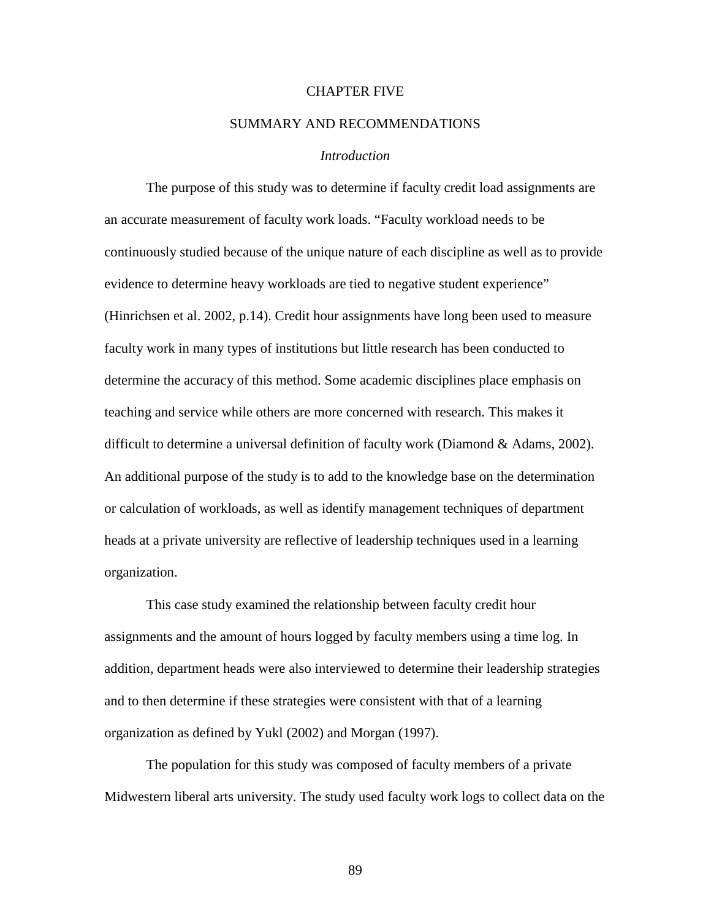# CHAPTER FIVE

# SUMMARY AND RECOMMENDATIONS

## *Introduction*

The purpose of this study was to determine if faculty credit load assignments are an accurate measurement of faculty work loads. "Faculty workload needs to be continuously studied because of the unique nature of each discipline as well as to provide evidence to determine heavy workloads are tied to negative student experience" (Hinrichsen et al. 2002, p.14). Credit hour assignments have long been used to measure faculty work in many types of institutions but little research has been conducted to determine the accuracy of this method. Some academic disciplines place emphasis on teaching and service while others are more concerned with research. This makes it difficult to determine a universal definition of faculty work (Diamond & Adams, 2002). An additional purpose of the study is to add to the knowledge base on the determination or calculation of workloads, as well as identify management techniques of department heads at a private university are reflective of leadership techniques used in a learning organization.

This case study examined the relationship between faculty credit hour assignments and the amount of hours logged by faculty members using a time log. In addition, department heads were also interviewed to determine their leadership strategies and to then determine if these strategies were consistent with that of a learning organization as defined by Yukl (2002) and Morgan (1997).

The population for this study was composed of faculty members of a private Midwestern liberal arts university. The study used faculty work logs to collect data on the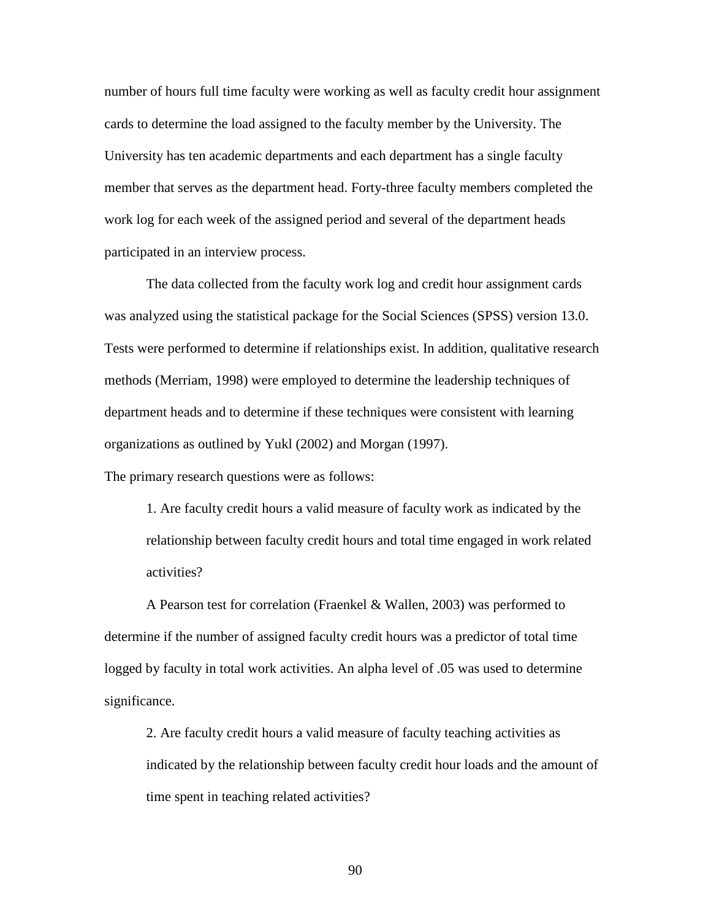number of hours full time faculty were working as well as faculty credit hour assignment cards to determine the load assigned to the faculty member by the University. The University has ten academic departments and each department has a single faculty member that serves as the department head. Forty-three faculty members completed the work log for each week of the assigned period and several of the department heads participated in an interview process.

The data collected from the faculty work log and credit hour assignment cards was analyzed using the statistical package for the Social Sciences (SPSS) version 13.0. Tests were performed to determine if relationships exist. In addition, qualitative research methods (Merriam, 1998) were employed to determine the leadership techniques of department heads and to determine if these techniques were consistent with learning organizations as outlined by Yukl (2002) and Morgan (1997).

The primary research questions were as follows:

1. Are faculty credit hours a valid measure of faculty work as indicated by the relationship between faculty credit hours and total time engaged in work related activities?

A Pearson test for correlation (Fraenkel & Wallen, 2003) was performed to determine if the number of assigned faculty credit hours was a predictor of total time logged by faculty in total work activities. An alpha level of .05 was used to determine significance.

2. Are faculty credit hours a valid measure of faculty teaching activities as indicated by the relationship between faculty credit hour loads and the amount of time spent in teaching related activities?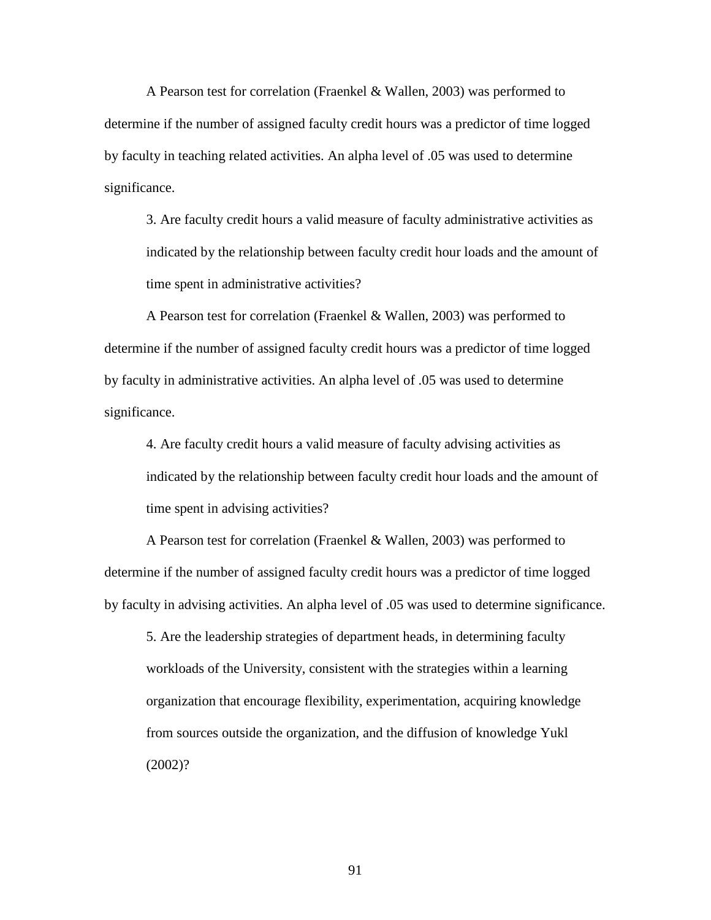A Pearson test for correlation (Fraenkel & Wallen, 2003) was performed to determine if the number of assigned faculty credit hours was a predictor of time logged by faculty in teaching related activities. An alpha level of .05 was used to determine significance.

3. Are faculty credit hours a valid measure of faculty administrative activities as indicated by the relationship between faculty credit hour loads and the amount of time spent in administrative activities?

A Pearson test for correlation (Fraenkel & Wallen, 2003) was performed to determine if the number of assigned faculty credit hours was a predictor of time logged by faculty in administrative activities. An alpha level of .05 was used to determine significance.

4. Are faculty credit hours a valid measure of faculty advising activities as indicated by the relationship between faculty credit hour loads and the amount of time spent in advising activities?

A Pearson test for correlation (Fraenkel & Wallen, 2003) was performed to determine if the number of assigned faculty credit hours was a predictor of time logged by faculty in advising activities. An alpha level of .05 was used to determine significance.

5. Are the leadership strategies of department heads, in determining faculty workloads of the University, consistent with the strategies within a learning organization that encourage flexibility, experimentation, acquiring knowledge from sources outside the organization, and the diffusion of knowledge Yukl (2002)?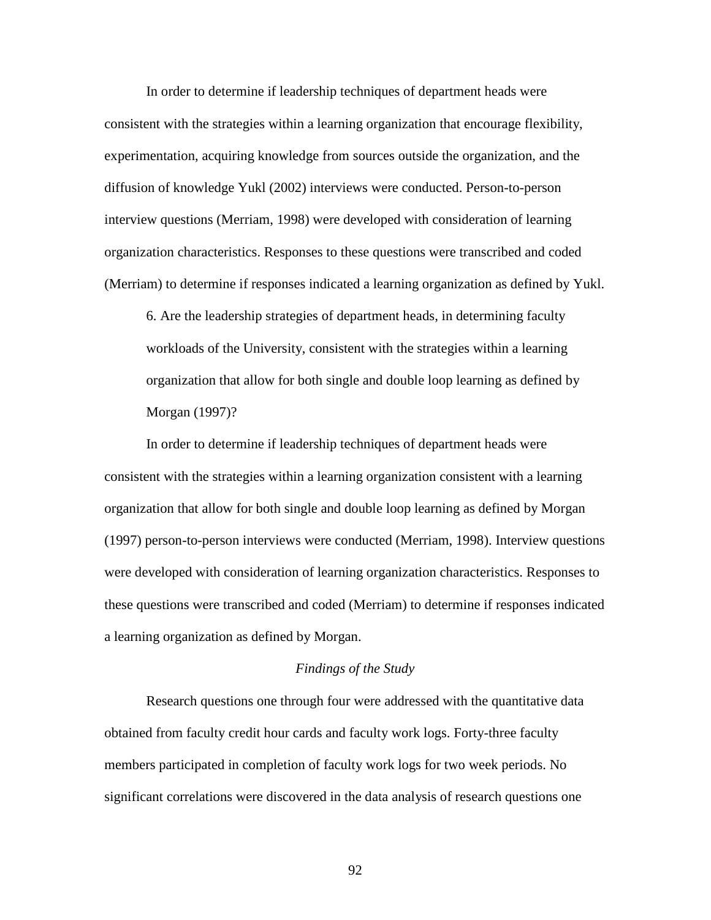In order to determine if leadership techniques of department heads were consistent with the strategies within a learning organization that encourage flexibility, experimentation, acquiring knowledge from sources outside the organization, and the diffusion of knowledge Yukl (2002) interviews were conducted. Person-to-person interview questions (Merriam, 1998) were developed with consideration of learning organization characteristics. Responses to these questions were transcribed and coded (Merriam) to determine if responses indicated a learning organization as defined by Yukl.

6. Are the leadership strategies of department heads, in determining faculty workloads of the University, consistent with the strategies within a learning organization that allow for both single and double loop learning as defined by Morgan (1997)?

In order to determine if leadership techniques of department heads were consistent with the strategies within a learning organization consistent with a learning organization that allow for both single and double loop learning as defined by Morgan (1997) person-to-person interviews were conducted (Merriam, 1998). Interview questions were developed with consideration of learning organization characteristics. Responses to these questions were transcribed and coded (Merriam) to determine if responses indicated a learning organization as defined by Morgan.

#### *Findings of the Study*

 Research questions one through four were addressed with the quantitative data obtained from faculty credit hour cards and faculty work logs. Forty-three faculty members participated in completion of faculty work logs for two week periods. No significant correlations were discovered in the data analysis of research questions one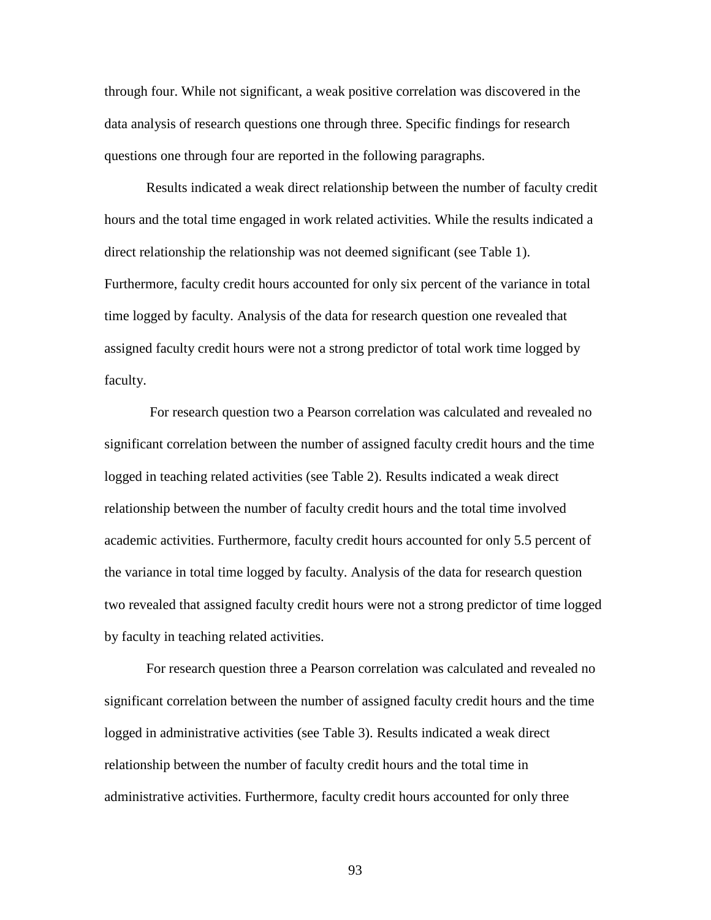through four. While not significant, a weak positive correlation was discovered in the data analysis of research questions one through three. Specific findings for research questions one through four are reported in the following paragraphs.

Results indicated a weak direct relationship between the number of faculty credit hours and the total time engaged in work related activities. While the results indicated a direct relationship the relationship was not deemed significant (see Table 1). Furthermore, faculty credit hours accounted for only six percent of the variance in total time logged by faculty. Analysis of the data for research question one revealed that assigned faculty credit hours were not a strong predictor of total work time logged by faculty.

 For research question two a Pearson correlation was calculated and revealed no significant correlation between the number of assigned faculty credit hours and the time logged in teaching related activities (see Table 2). Results indicated a weak direct relationship between the number of faculty credit hours and the total time involved academic activities. Furthermore, faculty credit hours accounted for only 5.5 percent of the variance in total time logged by faculty. Analysis of the data for research question two revealed that assigned faculty credit hours were not a strong predictor of time logged by faculty in teaching related activities.

For research question three a Pearson correlation was calculated and revealed no significant correlation between the number of assigned faculty credit hours and the time logged in administrative activities (see Table 3). Results indicated a weak direct relationship between the number of faculty credit hours and the total time in administrative activities. Furthermore, faculty credit hours accounted for only three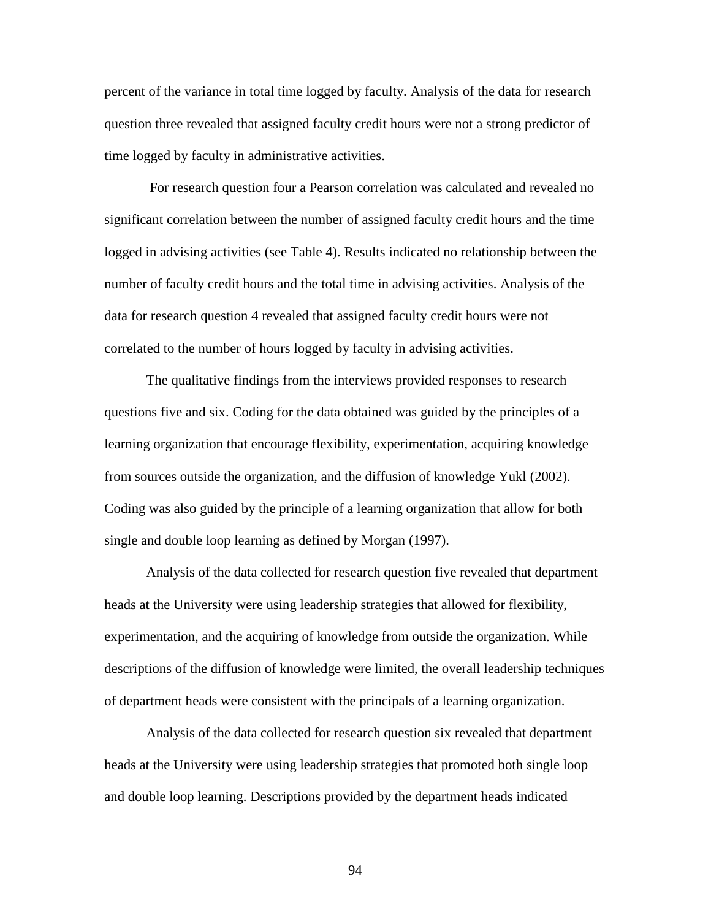percent of the variance in total time logged by faculty. Analysis of the data for research question three revealed that assigned faculty credit hours were not a strong predictor of time logged by faculty in administrative activities.

 For research question four a Pearson correlation was calculated and revealed no significant correlation between the number of assigned faculty credit hours and the time logged in advising activities (see Table 4). Results indicated no relationship between the number of faculty credit hours and the total time in advising activities. Analysis of the data for research question 4 revealed that assigned faculty credit hours were not correlated to the number of hours logged by faculty in advising activities.

 The qualitative findings from the interviews provided responses to research questions five and six. Coding for the data obtained was guided by the principles of a learning organization that encourage flexibility, experimentation, acquiring knowledge from sources outside the organization, and the diffusion of knowledge Yukl (2002). Coding was also guided by the principle of a learning organization that allow for both single and double loop learning as defined by Morgan (1997).

 Analysis of the data collected for research question five revealed that department heads at the University were using leadership strategies that allowed for flexibility, experimentation, and the acquiring of knowledge from outside the organization. While descriptions of the diffusion of knowledge were limited, the overall leadership techniques of department heads were consistent with the principals of a learning organization.

 Analysis of the data collected for research question six revealed that department heads at the University were using leadership strategies that promoted both single loop and double loop learning. Descriptions provided by the department heads indicated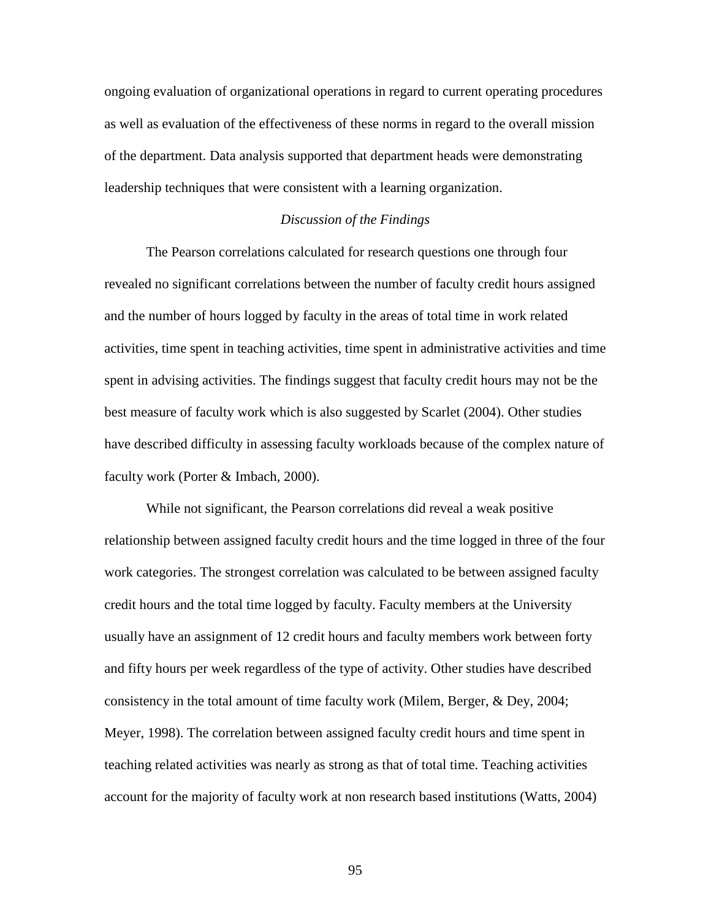ongoing evaluation of organizational operations in regard to current operating procedures as well as evaluation of the effectiveness of these norms in regard to the overall mission of the department. Data analysis supported that department heads were demonstrating leadership techniques that were consistent with a learning organization.

### *Discussion of the Findings*

 The Pearson correlations calculated for research questions one through four revealed no significant correlations between the number of faculty credit hours assigned and the number of hours logged by faculty in the areas of total time in work related activities, time spent in teaching activities, time spent in administrative activities and time spent in advising activities. The findings suggest that faculty credit hours may not be the best measure of faculty work which is also suggested by Scarlet (2004). Other studies have described difficulty in assessing faculty workloads because of the complex nature of faculty work (Porter & Imbach, 2000).

While not significant, the Pearson correlations did reveal a weak positive relationship between assigned faculty credit hours and the time logged in three of the four work categories. The strongest correlation was calculated to be between assigned faculty credit hours and the total time logged by faculty. Faculty members at the University usually have an assignment of 12 credit hours and faculty members work between forty and fifty hours per week regardless of the type of activity. Other studies have described consistency in the total amount of time faculty work (Milem, Berger, & Dey, 2004; Meyer, 1998). The correlation between assigned faculty credit hours and time spent in teaching related activities was nearly as strong as that of total time. Teaching activities account for the majority of faculty work at non research based institutions (Watts, 2004)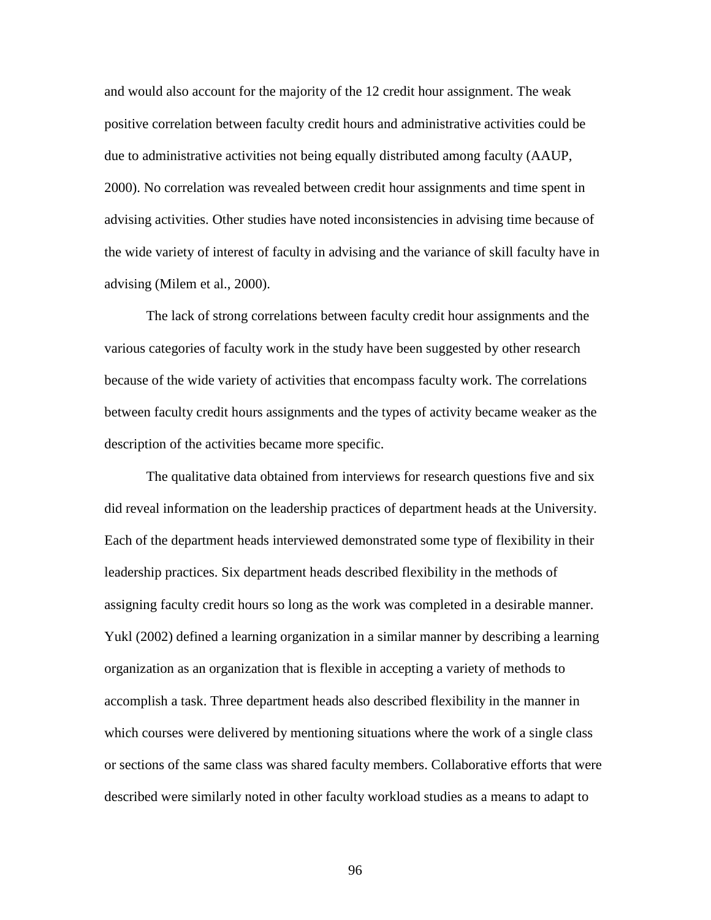and would also account for the majority of the 12 credit hour assignment. The weak positive correlation between faculty credit hours and administrative activities could be due to administrative activities not being equally distributed among faculty (AAUP, 2000). No correlation was revealed between credit hour assignments and time spent in advising activities. Other studies have noted inconsistencies in advising time because of the wide variety of interest of faculty in advising and the variance of skill faculty have in advising (Milem et al., 2000).

The lack of strong correlations between faculty credit hour assignments and the various categories of faculty work in the study have been suggested by other research because of the wide variety of activities that encompass faculty work. The correlations between faculty credit hours assignments and the types of activity became weaker as the description of the activities became more specific.

 The qualitative data obtained from interviews for research questions five and six did reveal information on the leadership practices of department heads at the University. Each of the department heads interviewed demonstrated some type of flexibility in their leadership practices. Six department heads described flexibility in the methods of assigning faculty credit hours so long as the work was completed in a desirable manner. Yukl (2002) defined a learning organization in a similar manner by describing a learning organization as an organization that is flexible in accepting a variety of methods to accomplish a task. Three department heads also described flexibility in the manner in which courses were delivered by mentioning situations where the work of a single class or sections of the same class was shared faculty members. Collaborative efforts that were described were similarly noted in other faculty workload studies as a means to adapt to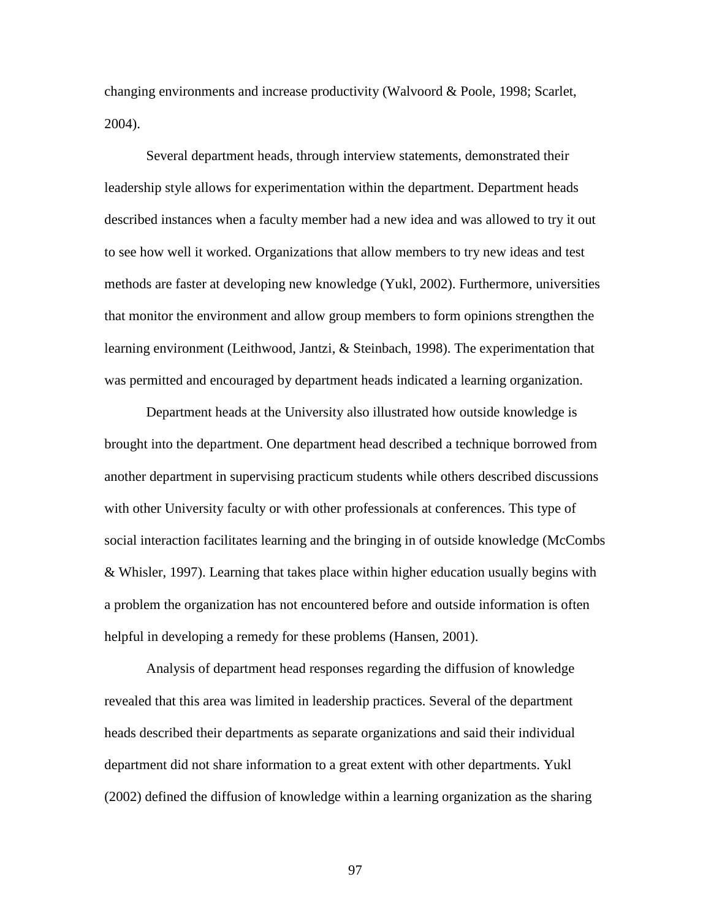changing environments and increase productivity (Walvoord & Poole, 1998; Scarlet, 2004).

 Several department heads, through interview statements, demonstrated their leadership style allows for experimentation within the department. Department heads described instances when a faculty member had a new idea and was allowed to try it out to see how well it worked. Organizations that allow members to try new ideas and test methods are faster at developing new knowledge (Yukl, 2002). Furthermore, universities that monitor the environment and allow group members to form opinions strengthen the learning environment (Leithwood, Jantzi, & Steinbach, 1998). The experimentation that was permitted and encouraged by department heads indicated a learning organization.

 Department heads at the University also illustrated how outside knowledge is brought into the department. One department head described a technique borrowed from another department in supervising practicum students while others described discussions with other University faculty or with other professionals at conferences. This type of social interaction facilitates learning and the bringing in of outside knowledge (McCombs & Whisler, 1997). Learning that takes place within higher education usually begins with a problem the organization has not encountered before and outside information is often helpful in developing a remedy for these problems (Hansen, 2001).

Analysis of department head responses regarding the diffusion of knowledge revealed that this area was limited in leadership practices. Several of the department heads described their departments as separate organizations and said their individual department did not share information to a great extent with other departments. Yukl (2002) defined the diffusion of knowledge within a learning organization as the sharing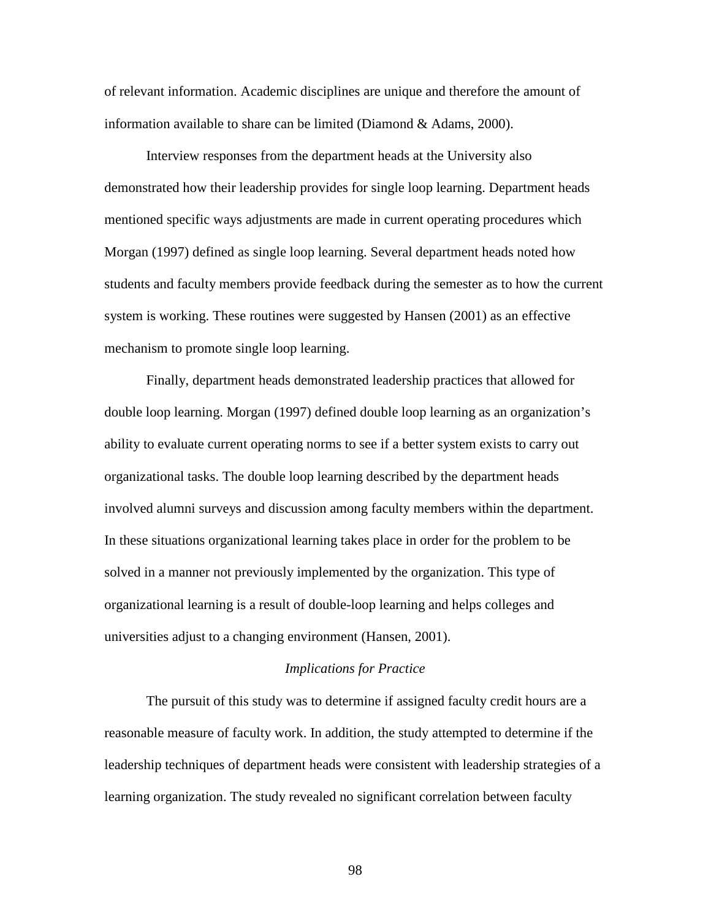of relevant information. Academic disciplines are unique and therefore the amount of information available to share can be limited (Diamond & Adams, 2000).

 Interview responses from the department heads at the University also demonstrated how their leadership provides for single loop learning. Department heads mentioned specific ways adjustments are made in current operating procedures which Morgan (1997) defined as single loop learning. Several department heads noted how students and faculty members provide feedback during the semester as to how the current system is working. These routines were suggested by Hansen (2001) as an effective mechanism to promote single loop learning.

 Finally, department heads demonstrated leadership practices that allowed for double loop learning. Morgan (1997) defined double loop learning as an organization's ability to evaluate current operating norms to see if a better system exists to carry out organizational tasks. The double loop learning described by the department heads involved alumni surveys and discussion among faculty members within the department. In these situations organizational learning takes place in order for the problem to be solved in a manner not previously implemented by the organization. This type of organizational learning is a result of double-loop learning and helps colleges and universities adjust to a changing environment (Hansen, 2001).

## *Implications for Practice*

 The pursuit of this study was to determine if assigned faculty credit hours are a reasonable measure of faculty work. In addition, the study attempted to determine if the leadership techniques of department heads were consistent with leadership strategies of a learning organization. The study revealed no significant correlation between faculty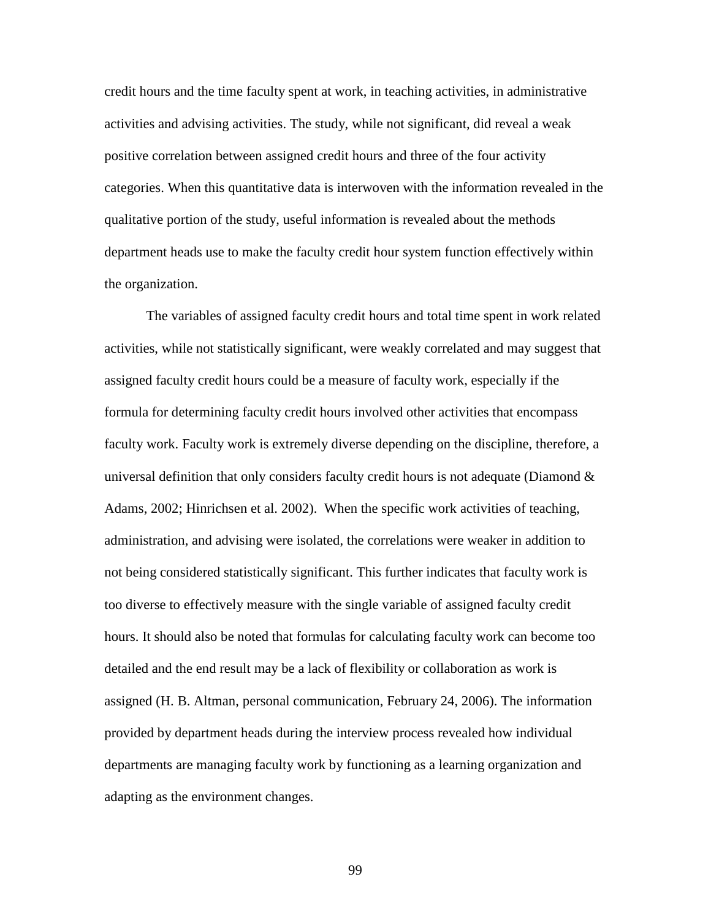credit hours and the time faculty spent at work, in teaching activities, in administrative activities and advising activities. The study, while not significant, did reveal a weak positive correlation between assigned credit hours and three of the four activity categories. When this quantitative data is interwoven with the information revealed in the qualitative portion of the study, useful information is revealed about the methods department heads use to make the faculty credit hour system function effectively within the organization.

 The variables of assigned faculty credit hours and total time spent in work related activities, while not statistically significant, were weakly correlated and may suggest that assigned faculty credit hours could be a measure of faculty work, especially if the formula for determining faculty credit hours involved other activities that encompass faculty work. Faculty work is extremely diverse depending on the discipline, therefore, a universal definition that only considers faculty credit hours is not adequate (Diamond  $\&$ Adams, 2002; Hinrichsen et al. 2002). When the specific work activities of teaching, administration, and advising were isolated, the correlations were weaker in addition to not being considered statistically significant. This further indicates that faculty work is too diverse to effectively measure with the single variable of assigned faculty credit hours. It should also be noted that formulas for calculating faculty work can become too detailed and the end result may be a lack of flexibility or collaboration as work is assigned (H. B. Altman, personal communication, February 24, 2006). The information provided by department heads during the interview process revealed how individual departments are managing faculty work by functioning as a learning organization and adapting as the environment changes.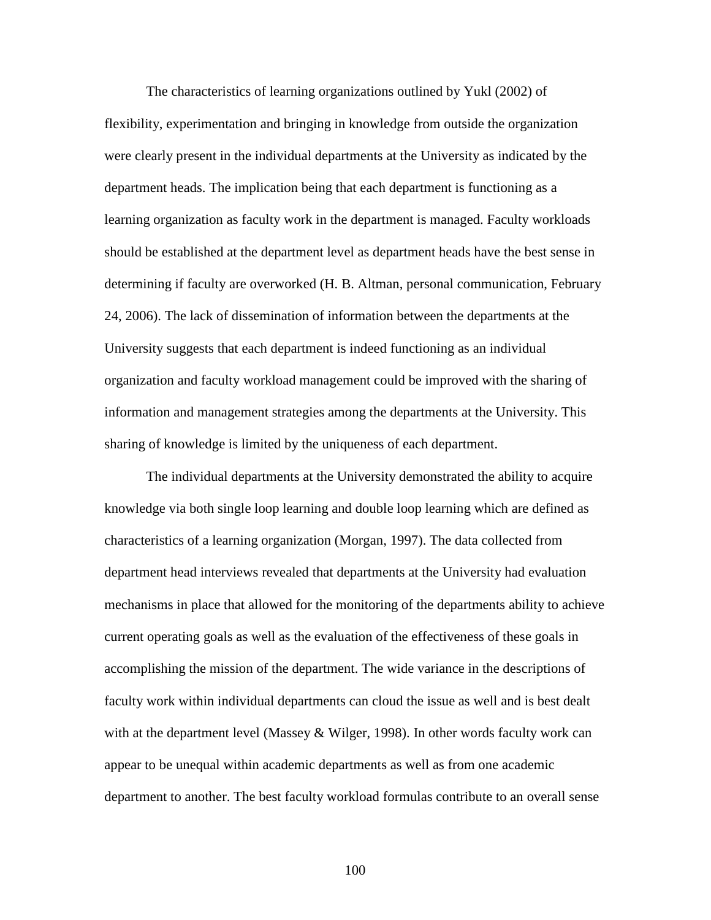The characteristics of learning organizations outlined by Yukl (2002) of flexibility, experimentation and bringing in knowledge from outside the organization were clearly present in the individual departments at the University as indicated by the department heads. The implication being that each department is functioning as a learning organization as faculty work in the department is managed. Faculty workloads should be established at the department level as department heads have the best sense in determining if faculty are overworked (H. B. Altman, personal communication, February 24, 2006). The lack of dissemination of information between the departments at the University suggests that each department is indeed functioning as an individual organization and faculty workload management could be improved with the sharing of information and management strategies among the departments at the University. This sharing of knowledge is limited by the uniqueness of each department.

 The individual departments at the University demonstrated the ability to acquire knowledge via both single loop learning and double loop learning which are defined as characteristics of a learning organization (Morgan, 1997). The data collected from department head interviews revealed that departments at the University had evaluation mechanisms in place that allowed for the monitoring of the departments ability to achieve current operating goals as well as the evaluation of the effectiveness of these goals in accomplishing the mission of the department. The wide variance in the descriptions of faculty work within individual departments can cloud the issue as well and is best dealt with at the department level (Massey & Wilger, 1998). In other words faculty work can appear to be unequal within academic departments as well as from one academic department to another. The best faculty workload formulas contribute to an overall sense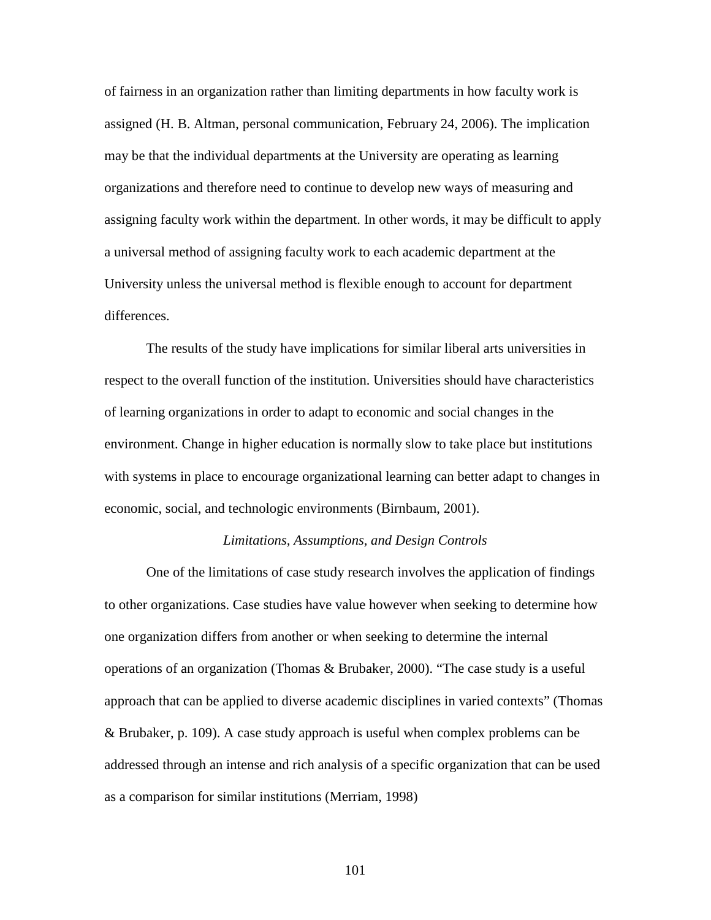of fairness in an organization rather than limiting departments in how faculty work is assigned (H. B. Altman, personal communication, February 24, 2006). The implication may be that the individual departments at the University are operating as learning organizations and therefore need to continue to develop new ways of measuring and assigning faculty work within the department. In other words, it may be difficult to apply a universal method of assigning faculty work to each academic department at the University unless the universal method is flexible enough to account for department differences.

 The results of the study have implications for similar liberal arts universities in respect to the overall function of the institution. Universities should have characteristics of learning organizations in order to adapt to economic and social changes in the environment. Change in higher education is normally slow to take place but institutions with systems in place to encourage organizational learning can better adapt to changes in economic, social, and technologic environments (Birnbaum, 2001).

# *Limitations, Assumptions, and Design Controls*

 One of the limitations of case study research involves the application of findings to other organizations. Case studies have value however when seeking to determine how one organization differs from another or when seeking to determine the internal operations of an organization (Thomas & Brubaker, 2000). "The case study is a useful approach that can be applied to diverse academic disciplines in varied contexts" (Thomas & Brubaker, p. 109). A case study approach is useful when complex problems can be addressed through an intense and rich analysis of a specific organization that can be used as a comparison for similar institutions (Merriam, 1998)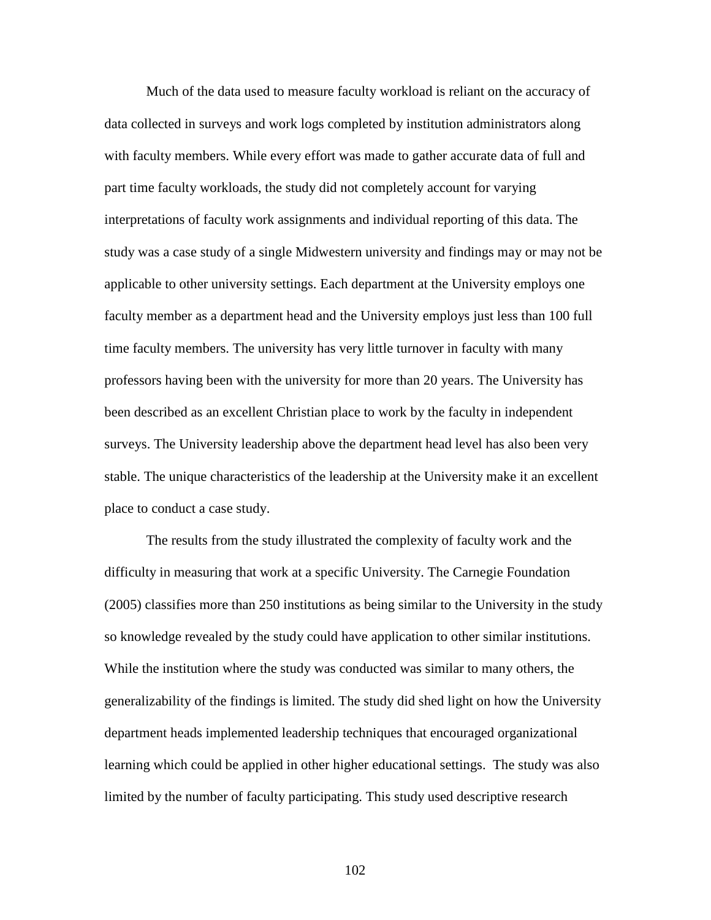Much of the data used to measure faculty workload is reliant on the accuracy of data collected in surveys and work logs completed by institution administrators along with faculty members. While every effort was made to gather accurate data of full and part time faculty workloads, the study did not completely account for varying interpretations of faculty work assignments and individual reporting of this data. The study was a case study of a single Midwestern university and findings may or may not be applicable to other university settings. Each department at the University employs one faculty member as a department head and the University employs just less than 100 full time faculty members. The university has very little turnover in faculty with many professors having been with the university for more than 20 years. The University has been described as an excellent Christian place to work by the faculty in independent surveys. The University leadership above the department head level has also been very stable. The unique characteristics of the leadership at the University make it an excellent place to conduct a case study.

The results from the study illustrated the complexity of faculty work and the difficulty in measuring that work at a specific University. The Carnegie Foundation (2005) classifies more than 250 institutions as being similar to the University in the study so knowledge revealed by the study could have application to other similar institutions. While the institution where the study was conducted was similar to many others, the generalizability of the findings is limited. The study did shed light on how the University department heads implemented leadership techniques that encouraged organizational learning which could be applied in other higher educational settings. The study was also limited by the number of faculty participating. This study used descriptive research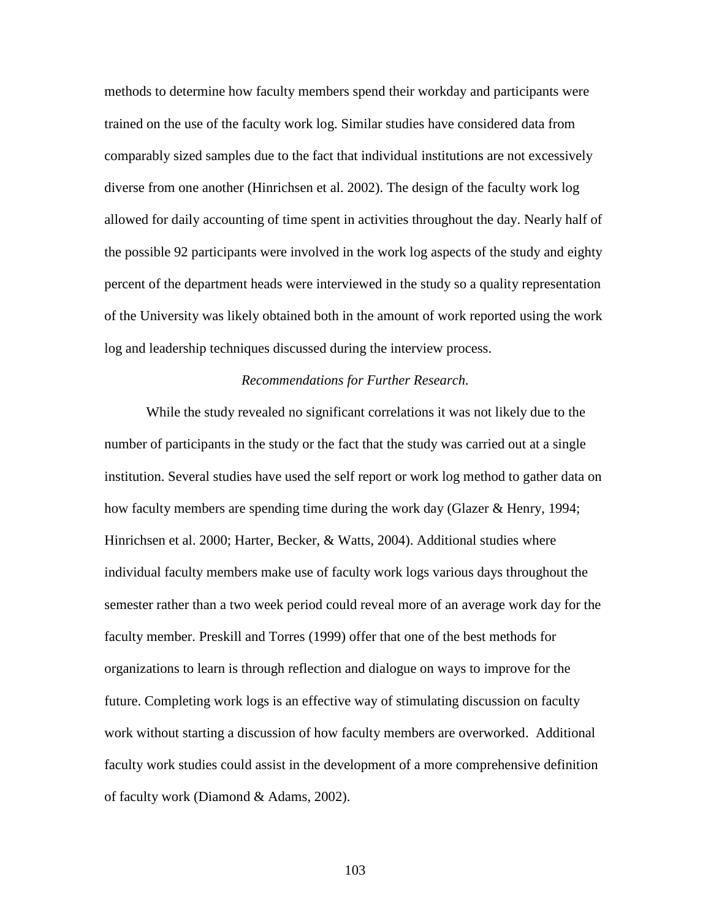methods to determine how faculty members spend their workday and participants were trained on the use of the faculty work log. Similar studies have considered data from comparably sized samples due to the fact that individual institutions are not excessively diverse from one another (Hinrichsen et al. 2002). The design of the faculty work log allowed for daily accounting of time spent in activities throughout the day. Nearly half of the possible 92 participants were involved in the work log aspects of the study and eighty percent of the department heads were interviewed in the study so a quality representation of the University was likely obtained both in the amount of work reported using the work log and leadership techniques discussed during the interview process.

#### *Recommendations for Further Research.*

 While the study revealed no significant correlations it was not likely due to the number of participants in the study or the fact that the study was carried out at a single institution. Several studies have used the self report or work log method to gather data on how faculty members are spending time during the work day (Glazer & Henry, 1994; Hinrichsen et al. 2000; Harter, Becker, & Watts, 2004). Additional studies where individual faculty members make use of faculty work logs various days throughout the semester rather than a two week period could reveal more of an average work day for the faculty member. Preskill and Torres (1999) offer that one of the best methods for organizations to learn is through reflection and dialogue on ways to improve for the future. Completing work logs is an effective way of stimulating discussion on faculty work without starting a discussion of how faculty members are overworked. Additional faculty work studies could assist in the development of a more comprehensive definition of faculty work (Diamond & Adams, 2002).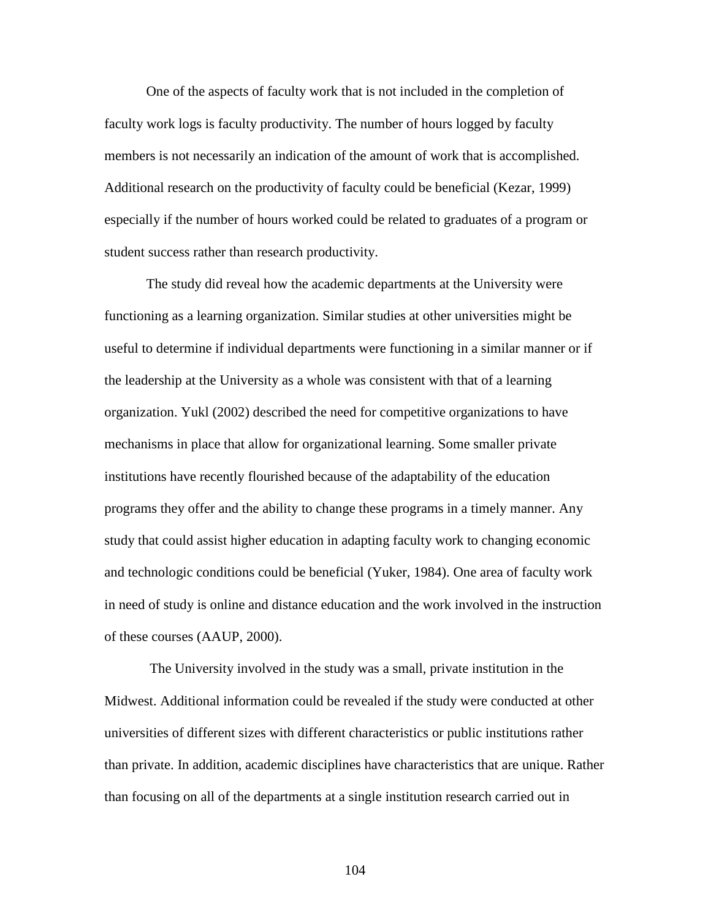One of the aspects of faculty work that is not included in the completion of faculty work logs is faculty productivity. The number of hours logged by faculty members is not necessarily an indication of the amount of work that is accomplished. Additional research on the productivity of faculty could be beneficial (Kezar, 1999) especially if the number of hours worked could be related to graduates of a program or student success rather than research productivity.

The study did reveal how the academic departments at the University were functioning as a learning organization. Similar studies at other universities might be useful to determine if individual departments were functioning in a similar manner or if the leadership at the University as a whole was consistent with that of a learning organization. Yukl (2002) described the need for competitive organizations to have mechanisms in place that allow for organizational learning. Some smaller private institutions have recently flourished because of the adaptability of the education programs they offer and the ability to change these programs in a timely manner. Any study that could assist higher education in adapting faculty work to changing economic and technologic conditions could be beneficial (Yuker, 1984). One area of faculty work in need of study is online and distance education and the work involved in the instruction of these courses (AAUP, 2000).

 The University involved in the study was a small, private institution in the Midwest. Additional information could be revealed if the study were conducted at other universities of different sizes with different characteristics or public institutions rather than private. In addition, academic disciplines have characteristics that are unique. Rather than focusing on all of the departments at a single institution research carried out in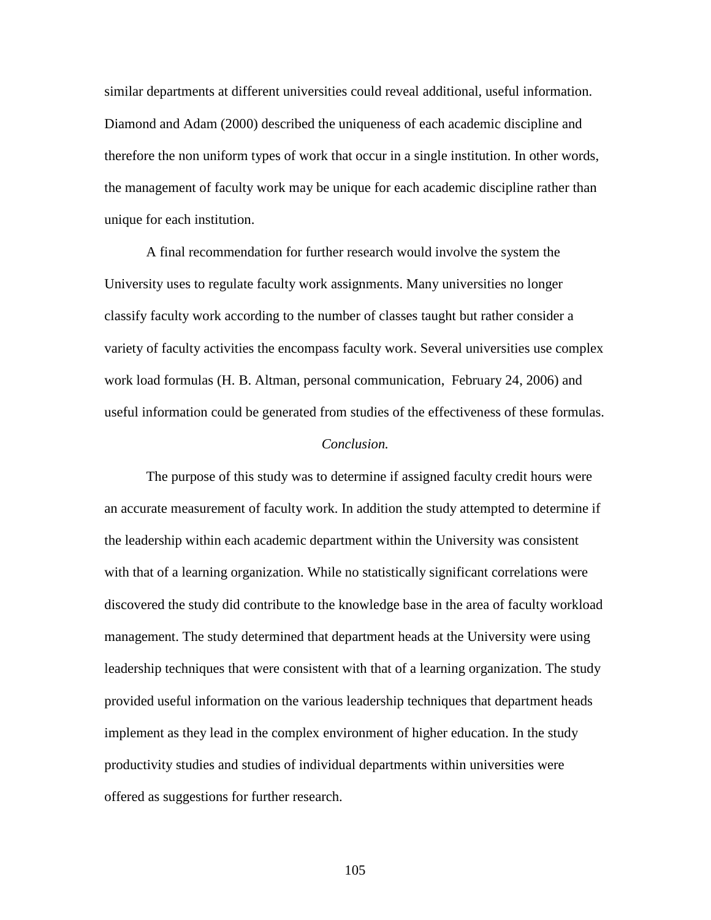similar departments at different universities could reveal additional, useful information. Diamond and Adam (2000) described the uniqueness of each academic discipline and therefore the non uniform types of work that occur in a single institution. In other words, the management of faculty work may be unique for each academic discipline rather than unique for each institution.

 A final recommendation for further research would involve the system the University uses to regulate faculty work assignments. Many universities no longer classify faculty work according to the number of classes taught but rather consider a variety of faculty activities the encompass faculty work. Several universities use complex work load formulas (H. B. Altman, personal communication, February 24, 2006) and useful information could be generated from studies of the effectiveness of these formulas.

### *Conclusion.*

 The purpose of this study was to determine if assigned faculty credit hours were an accurate measurement of faculty work. In addition the study attempted to determine if the leadership within each academic department within the University was consistent with that of a learning organization. While no statistically significant correlations were discovered the study did contribute to the knowledge base in the area of faculty workload management. The study determined that department heads at the University were using leadership techniques that were consistent with that of a learning organization. The study provided useful information on the various leadership techniques that department heads implement as they lead in the complex environment of higher education. In the study productivity studies and studies of individual departments within universities were offered as suggestions for further research.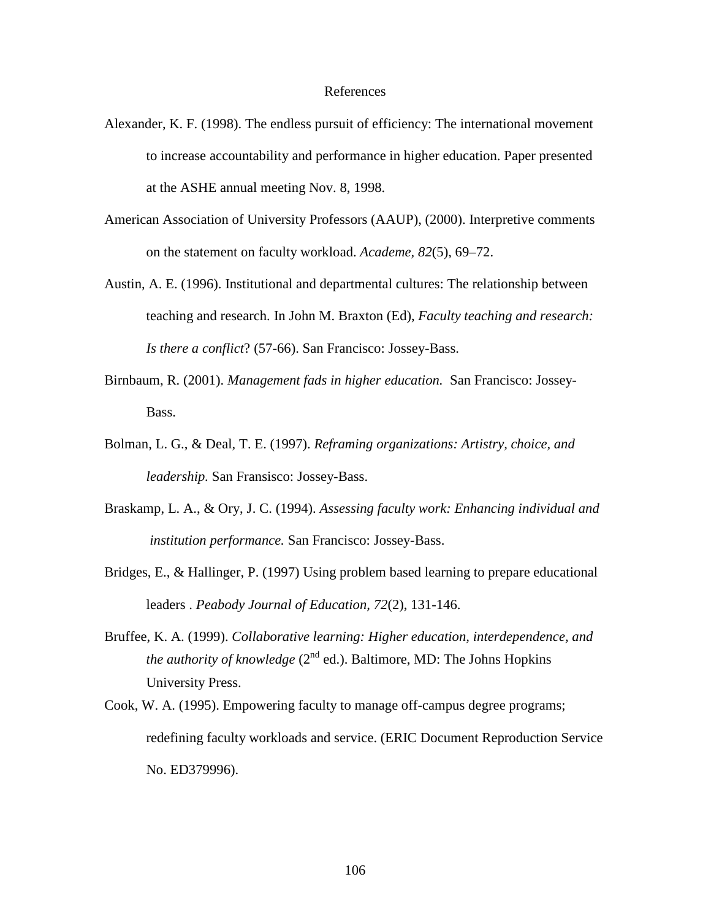#### References

- Alexander, K. F. (1998). The endless pursuit of efficiency: The international movement to increase accountability and performance in higher education. Paper presented at the ASHE annual meeting Nov. 8, 1998.
- American Association of University Professors (AAUP), (2000). Interpretive comments on the statement on faculty workload. *Academe, 82*(5), 69–72.
- Austin, A. E. (1996). Institutional and departmental cultures: The relationship between teaching and research. In John M. Braxton (Ed), *Faculty teaching and research: Is there a conflict*? (57-66). San Francisco: Jossey-Bass.
- Birnbaum, R. (2001). *Management fads in higher education.* San Francisco: Jossey-Bass.
- Bolman, L. G., & Deal, T. E. (1997). *Reframing organizations: Artistry, choice, and leadership.* San Fransisco: Jossey-Bass.
- Braskamp, L. A., & Ory, J. C. (1994). *Assessing faculty work: Enhancing individual and institution performance.* San Francisco: Jossey-Bass.
- Bridges, E., & Hallinger, P. (1997) Using problem based learning to prepare educational leaders . *Peabody Journal of Education, 72*(2), 131-146.
- Bruffee, K. A. (1999). *Collaborative learning: Higher education, interdependence, and the authority of knowledge*  $(2^{nd}$  ed.). Baltimore, MD: The Johns Hopkins University Press.
- Cook, W. A. (1995). Empowering faculty to manage off-campus degree programs; redefining faculty workloads and service. (ERIC Document Reproduction Service No. ED379996).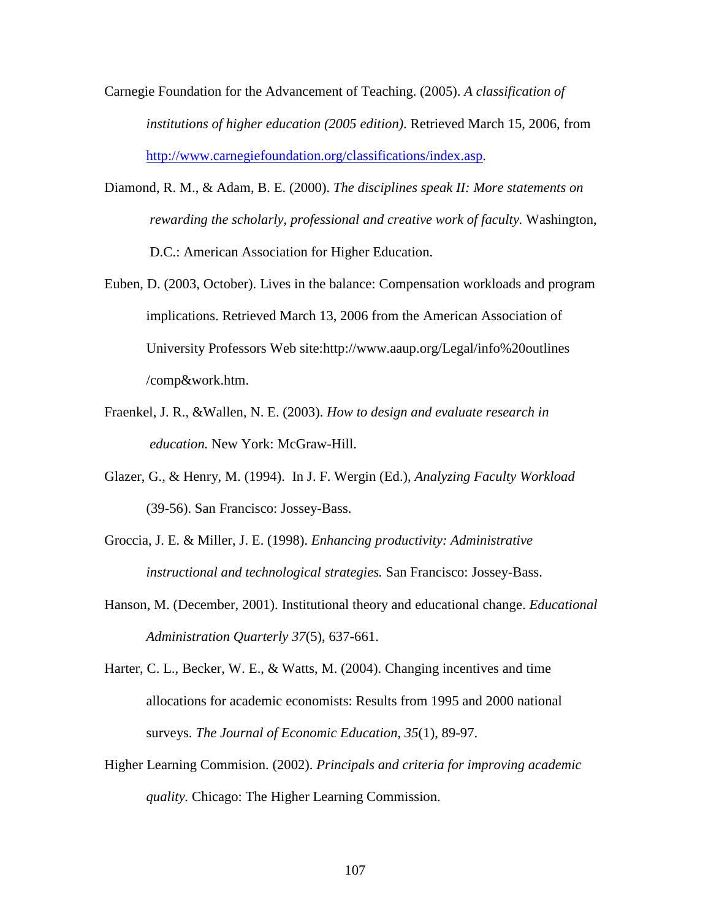- Carnegie Foundation for the Advancement of Teaching. (2005). *A classification of institutions of higher education (2005 edition)*. Retrieved March 15, 2006, from http://www.carnegiefoundation.org/classifications/index.asp.
- Diamond, R. M., & Adam, B. E. (2000). *The disciplines speak II: More statements on rewarding the scholarly, professional and creative work of faculty.* Washington, D.C.: American Association for Higher Education.
- Euben, D. (2003, October). Lives in the balance: Compensation workloads and program implications. Retrieved March 13, 2006 from the American Association of University Professors Web site:http://www.aaup.org/Legal/info%20outlines /comp&work.htm.
- Fraenkel, J. R., &Wallen, N. E. (2003). *How to design and evaluate research in education.* New York: McGraw-Hill.
- Glazer, G., & Henry, M. (1994). In J. F. Wergin (Ed.), *Analyzing Faculty Workload* (39-56). San Francisco: Jossey-Bass.
- Groccia, J. E. & Miller, J. E. (1998). *Enhancing productivity: Administrative instructional and technological strategies.* San Francisco: Jossey-Bass.
- Hanson, M. (December, 2001). Institutional theory and educational change. *Educational Administration Quarterly 37*(5), 637-661.
- Harter, C. L., Becker, W. E., & Watts, M. (2004). Changing incentives and time allocations for academic economists: Results from 1995 and 2000 national surveys. *The Journal of Economic Education, 35*(1), 89-97.
- Higher Learning Commision. (2002). *Principals and criteria for improving academic quality.* Chicago: The Higher Learning Commission.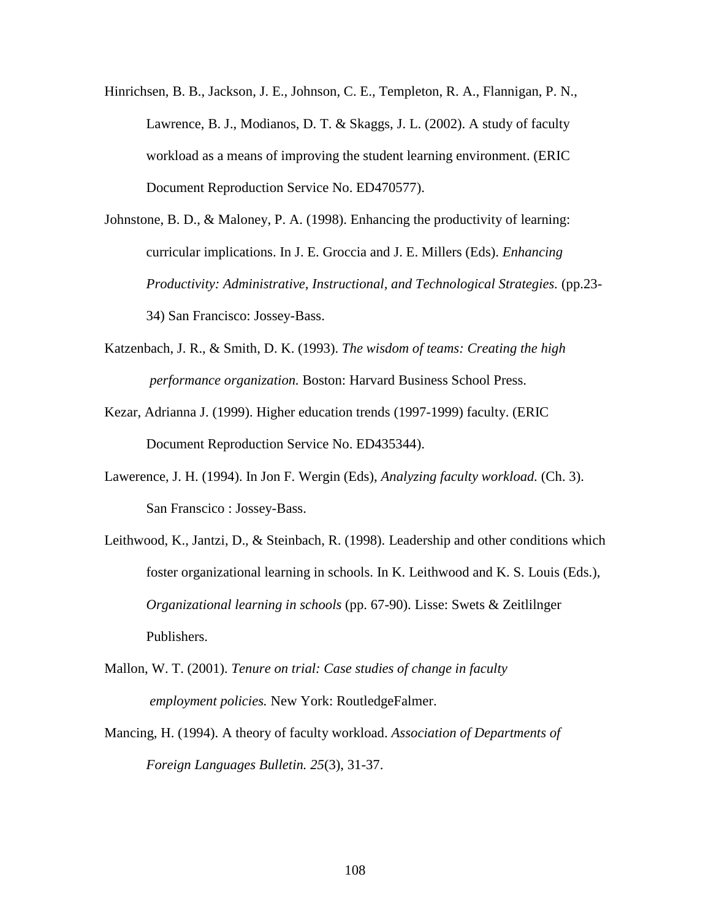- Hinrichsen, B. B., Jackson, J. E., Johnson, C. E., Templeton, R. A., Flannigan, P. N., Lawrence, B. J., Modianos, D. T. & Skaggs, J. L. (2002). A study of faculty workload as a means of improving the student learning environment. (ERIC Document Reproduction Service No. ED470577).
- Johnstone, B. D., & Maloney, P. A. (1998). Enhancing the productivity of learning: curricular implications. In J. E. Groccia and J. E. Millers (Eds). *Enhancing Productivity: Administrative, Instructional, and Technological Strategies.* (pp.23- 34) San Francisco: Jossey-Bass.
- Katzenbach, J. R., & Smith, D. K. (1993). *The wisdom of teams: Creating the high performance organization.* Boston: Harvard Business School Press.
- Kezar, Adrianna J. (1999). Higher education trends (1997-1999) faculty. (ERIC Document Reproduction Service No. ED435344).
- Lawerence, J. H. (1994). In Jon F. Wergin (Eds), *Analyzing faculty workload.* (Ch. 3). San Franscico : Jossey-Bass.
- Leithwood, K., Jantzi, D., & Steinbach, R. (1998). Leadership and other conditions which foster organizational learning in schools. In K. Leithwood and K. S. Louis (Eds.), *Organizational learning in schools* (pp. 67-90). Lisse: Swets & Zeitlilnger Publishers.
- Mallon, W. T. (2001). *Tenure on trial: Case studies of change in faculty employment policies.* New York: RoutledgeFalmer.
- Mancing, H. (1994). A theory of faculty workload. *Association of Departments of Foreign Languages Bulletin. 25*(3), 31-37.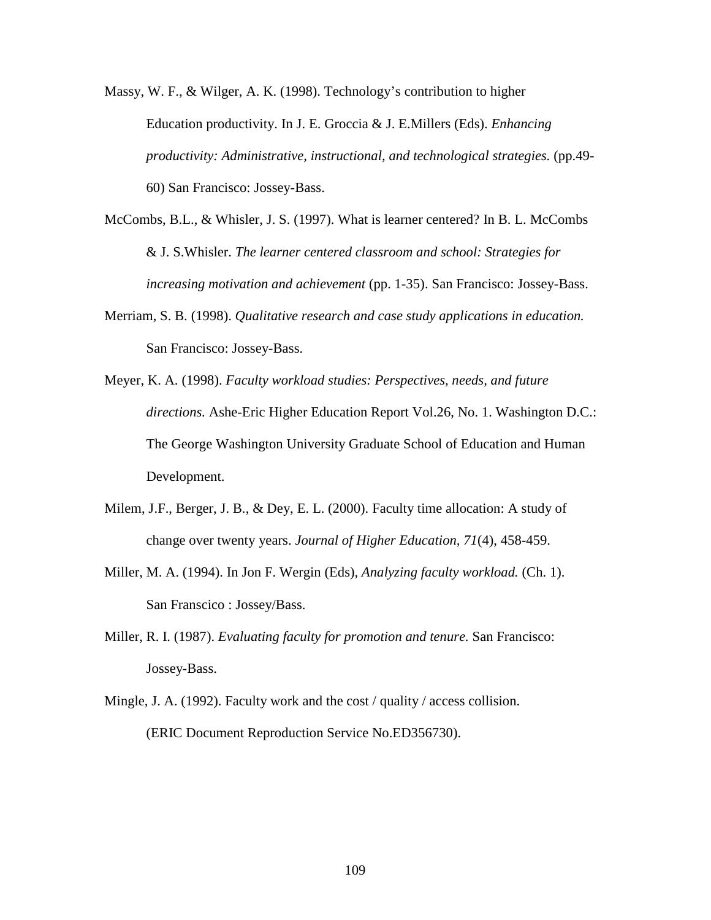Massy, W. F., & Wilger, A. K. (1998). Technology's contribution to higher Education productivity. In J. E. Groccia & J. E.Millers (Eds). *Enhancing productivity: Administrative, instructional, and technological strategies.* (pp.49- 60) San Francisco: Jossey-Bass.

- McCombs, B.L., & Whisler, J. S. (1997). What is learner centered? In B. L. McCombs & J. S.Whisler. *The learner centered classroom and school: Strategies for increasing motivation and achievement* (pp. 1-35). San Francisco: Jossey-Bass.
- Merriam, S. B. (1998). *Qualitative research and case study applications in education.*  San Francisco: Jossey-Bass.
- Meyer, K. A. (1998). *Faculty workload studies: Perspectives, needs, and future directions.* Ashe-Eric Higher Education Report Vol.26, No. 1. Washington D.C.: The George Washington University Graduate School of Education and Human Development.
- Milem, J.F., Berger, J. B., & Dey, E. L. (2000). Faculty time allocation: A study of change over twenty years. *Journal of Higher Education, 71*(4), 458-459.
- Miller, M. A. (1994). In Jon F. Wergin (Eds), *Analyzing faculty workload.* (Ch. 1). San Franscico : Jossey/Bass.
- Miller, R. I. (1987). *Evaluating faculty for promotion and tenure.* San Francisco: Jossey-Bass.
- Mingle, J. A. (1992). Faculty work and the cost / quality / access collision. (ERIC Document Reproduction Service No.ED356730).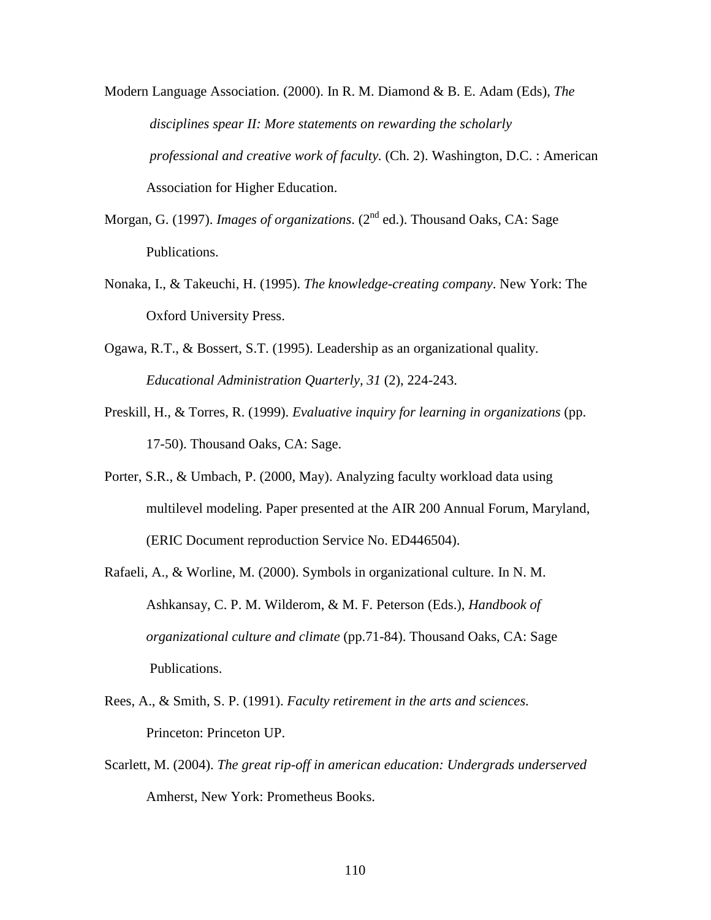Modern Language Association. (2000). In R. M. Diamond & B. E. Adam (Eds), *The disciplines spear II: More statements on rewarding the scholarly professional and creative work of faculty.* (Ch. 2). Washington, D.C. : American Association for Higher Education.

- Morgan, G. (1997). *Images of organizations*. (2<sup>nd</sup> ed.). Thousand Oaks, CA: Sage Publications.
- Nonaka, I., & Takeuchi, H. (1995). *The knowledge-creating company*. New York: The Oxford University Press.
- Ogawa, R.T., & Bossert, S.T. (1995). Leadership as an organizational quality. *Educational Administration Quarterly, 31* (2), 224-243.
- Preskill, H., & Torres, R. (1999). *Evaluative inquiry for learning in organizations* (pp. 17-50). Thousand Oaks, CA: Sage.
- Porter, S.R., & Umbach, P. (2000, May). Analyzing faculty workload data using multilevel modeling. Paper presented at the AIR 200 Annual Forum, Maryland, (ERIC Document reproduction Service No. ED446504).
- Rafaeli, A., & Worline, M. (2000). Symbols in organizational culture. In N. M. Ashkansay, C. P. M. Wilderom, & M. F. Peterson (Eds.), *Handbook of organizational culture and climate* (pp.71-84). Thousand Oaks, CA: Sage Publications.
- Rees, A., & Smith, S. P. (1991). *Faculty retirement in the arts and sciences.*  Princeton: Princeton UP.
- Scarlett, M. (2004). *The great rip-off in american education: Undergrads underserved*  Amherst, New York: Prometheus Books.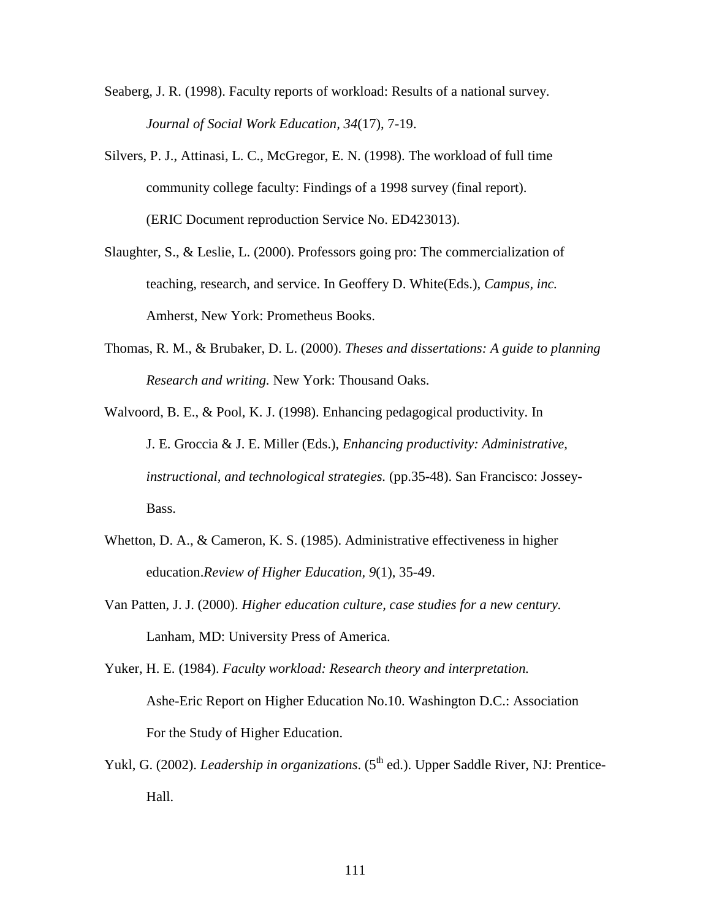- Seaberg, J. R. (1998). Faculty reports of workload: Results of a national survey. *Journal of Social Work Education, 34*(17), 7-19.
- Silvers, P. J., Attinasi, L. C., McGregor, E. N. (1998). The workload of full time community college faculty: Findings of a 1998 survey (final report). (ERIC Document reproduction Service No. ED423013).
- Slaughter, S., & Leslie, L. (2000). Professors going pro: The commercialization of teaching, research, and service. In Geoffery D. White(Eds.), *Campus, inc.* Amherst, New York: Prometheus Books.
- Thomas, R. M., & Brubaker, D. L. (2000). *Theses and dissertations: A guide to planning Research and writing.* New York: Thousand Oaks.
- Walvoord, B. E., & Pool, K. J. (1998). Enhancing pedagogical productivity. In J. E. Groccia & J. E. Miller (Eds.), *Enhancing productivity: Administrative, instructional, and technological strategies.* (pp.35-48). San Francisco: Jossey-Bass.
- Whetton, D. A., & Cameron, K. S. (1985). Administrative effectiveness in higher education.*Review of Higher Education, 9*(1), 35-49.
- Van Patten, J. J. (2000). *Higher education culture, case studies for a new century.*  Lanham, MD: University Press of America.
- Yuker, H. E. (1984). *Faculty workload: Research theory and interpretation.*  Ashe-Eric Report on Higher Education No.10. Washington D.C.: Association For the Study of Higher Education.
- Yukl, G. (2002). *Leadership in organizations*. (5<sup>th</sup> ed.). Upper Saddle River, NJ: Prentice-Hall.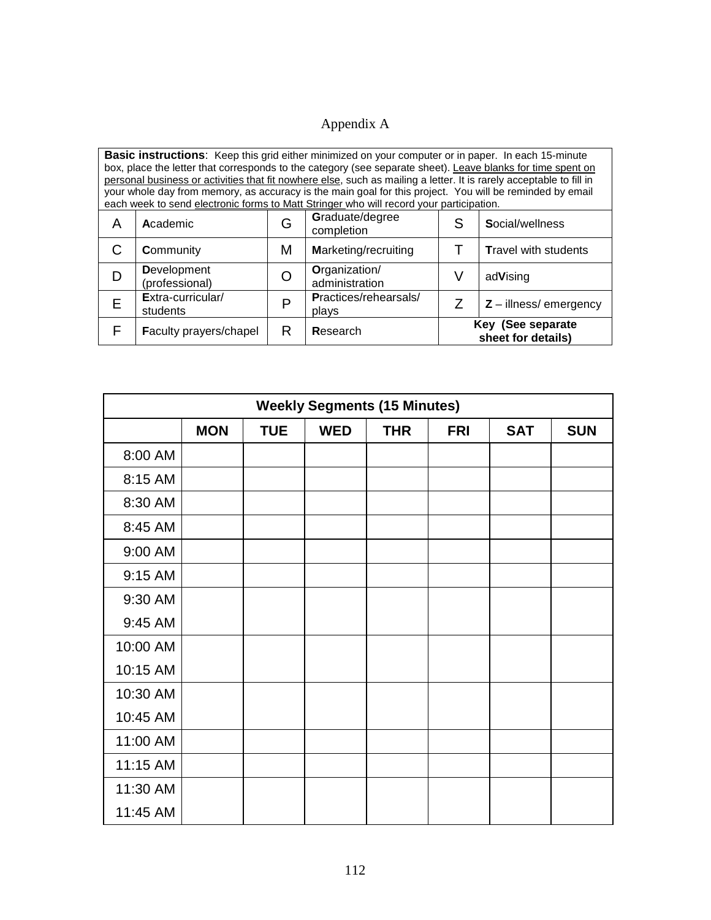# Appendix A

| <b>Basic instructions:</b> Keep this grid either minimized on your computer or in paper. In each 15-minute<br>box, place the letter that corresponds to the category (see separate sheet). Leave blanks for time spent on<br>personal business or activities that fit nowhere else, such as mailing a letter. It is rarely acceptable to fill in<br>your whole day from memory, as accuracy is the main goal for this project. You will be reminded by email<br>each week to send electronic forms to Matt Stringer who will record your participation. |                                                                                                  |   |                                                       |                             |  |  |  |  |
|---------------------------------------------------------------------------------------------------------------------------------------------------------------------------------------------------------------------------------------------------------------------------------------------------------------------------------------------------------------------------------------------------------------------------------------------------------------------------------------------------------------------------------------------------------|--------------------------------------------------------------------------------------------------|---|-------------------------------------------------------|-----------------------------|--|--|--|--|
| A                                                                                                                                                                                                                                                                                                                                                                                                                                                                                                                                                       | Academic                                                                                         | G | Graduate/degree<br>S<br>Social/wellness<br>completion |                             |  |  |  |  |
|                                                                                                                                                                                                                                                                                                                                                                                                                                                                                                                                                         | Community                                                                                        | M | <b>Marketing/recruiting</b>                           | <b>Travel with students</b> |  |  |  |  |
| D                                                                                                                                                                                                                                                                                                                                                                                                                                                                                                                                                       | <b>Development</b><br>(professional)                                                             |   | Organization/<br>administration                       | V<br>adVising               |  |  |  |  |
| Е                                                                                                                                                                                                                                                                                                                                                                                                                                                                                                                                                       | Extra-curricular/<br>Practices/rehearsals/<br>D<br>$Z$ – illness/ emergency<br>students<br>plays |   |                                                       |                             |  |  |  |  |
|                                                                                                                                                                                                                                                                                                                                                                                                                                                                                                                                                         | Key (See separate<br>Faculty prayers/chapel<br>R<br>Research<br>sheet for details)               |   |                                                       |                             |  |  |  |  |

| <b>Weekly Segments (15 Minutes)</b> |                                                                                  |  |  |  |  |  |  |  |  |
|-------------------------------------|----------------------------------------------------------------------------------|--|--|--|--|--|--|--|--|
|                                     | <b>MON</b><br><b>WED</b><br><b>THR</b><br><b>TUE</b><br><b>FRI</b><br><b>SAT</b> |  |  |  |  |  |  |  |  |
| 8:00 AM                             |                                                                                  |  |  |  |  |  |  |  |  |
| 8:15 AM                             |                                                                                  |  |  |  |  |  |  |  |  |
| 8:30 AM                             |                                                                                  |  |  |  |  |  |  |  |  |
| 8:45 AM                             |                                                                                  |  |  |  |  |  |  |  |  |
| 9:00 AM                             |                                                                                  |  |  |  |  |  |  |  |  |
| 9:15 AM                             |                                                                                  |  |  |  |  |  |  |  |  |
| 9:30 AM                             |                                                                                  |  |  |  |  |  |  |  |  |
| 9:45 AM                             |                                                                                  |  |  |  |  |  |  |  |  |
| 10:00 AM                            |                                                                                  |  |  |  |  |  |  |  |  |
| 10:15 AM                            |                                                                                  |  |  |  |  |  |  |  |  |
| 10:30 AM                            |                                                                                  |  |  |  |  |  |  |  |  |
| 10:45 AM                            |                                                                                  |  |  |  |  |  |  |  |  |
| 11:00 AM                            |                                                                                  |  |  |  |  |  |  |  |  |
| 11:15 AM                            |                                                                                  |  |  |  |  |  |  |  |  |
| 11:30 AM                            |                                                                                  |  |  |  |  |  |  |  |  |
| 11:45 AM                            |                                                                                  |  |  |  |  |  |  |  |  |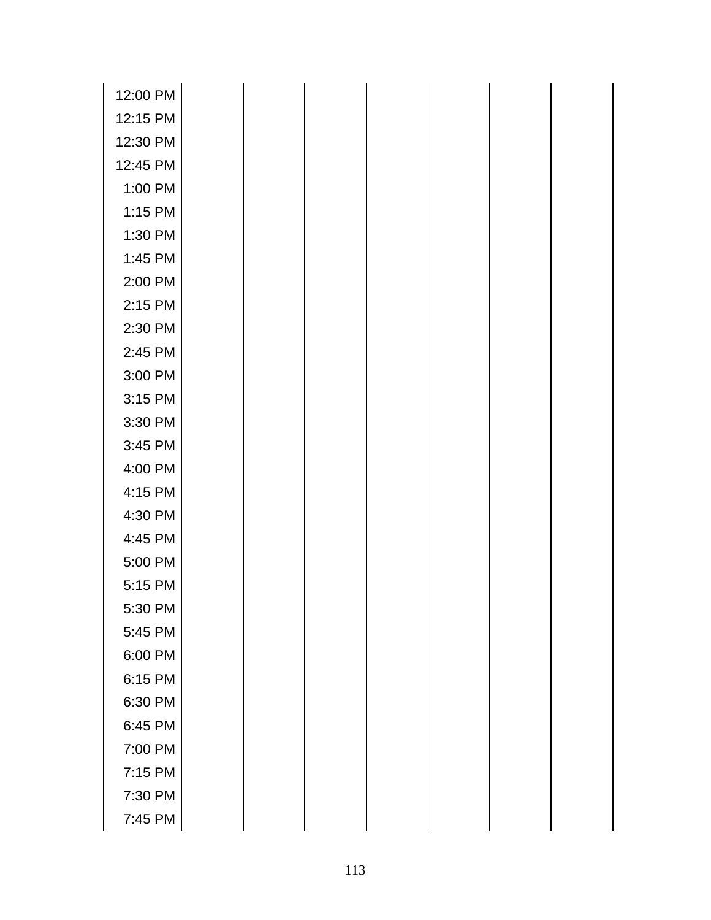| 12:00 PM |  |  |  |  |
|----------|--|--|--|--|
| 12:15 PM |  |  |  |  |
| 12:30 PM |  |  |  |  |
| 12:45 PM |  |  |  |  |
| 1:00 PM  |  |  |  |  |
| 1:15 PM  |  |  |  |  |
| 1:30 PM  |  |  |  |  |
| 1:45 PM  |  |  |  |  |
| 2:00 PM  |  |  |  |  |
| 2:15 PM  |  |  |  |  |
| 2:30 PM  |  |  |  |  |
| 2:45 PM  |  |  |  |  |
| 3:00 PM  |  |  |  |  |
| 3:15 PM  |  |  |  |  |
| 3:30 PM  |  |  |  |  |
| 3:45 PM  |  |  |  |  |
| 4:00 PM  |  |  |  |  |
| 4:15 PM  |  |  |  |  |
| 4:30 PM  |  |  |  |  |
| 4:45 PM  |  |  |  |  |
| 5:00 PM  |  |  |  |  |
| 5:15 PM  |  |  |  |  |
| 5:30 PM  |  |  |  |  |
| 5:45 PM  |  |  |  |  |
| 6:00 PM  |  |  |  |  |
| 6:15 PM  |  |  |  |  |
| 6:30 PM  |  |  |  |  |
| 6:45 PM  |  |  |  |  |
| 7:00 PM  |  |  |  |  |
| 7:15 PM  |  |  |  |  |
| 7:30 PM  |  |  |  |  |
| 7:45 PM  |  |  |  |  |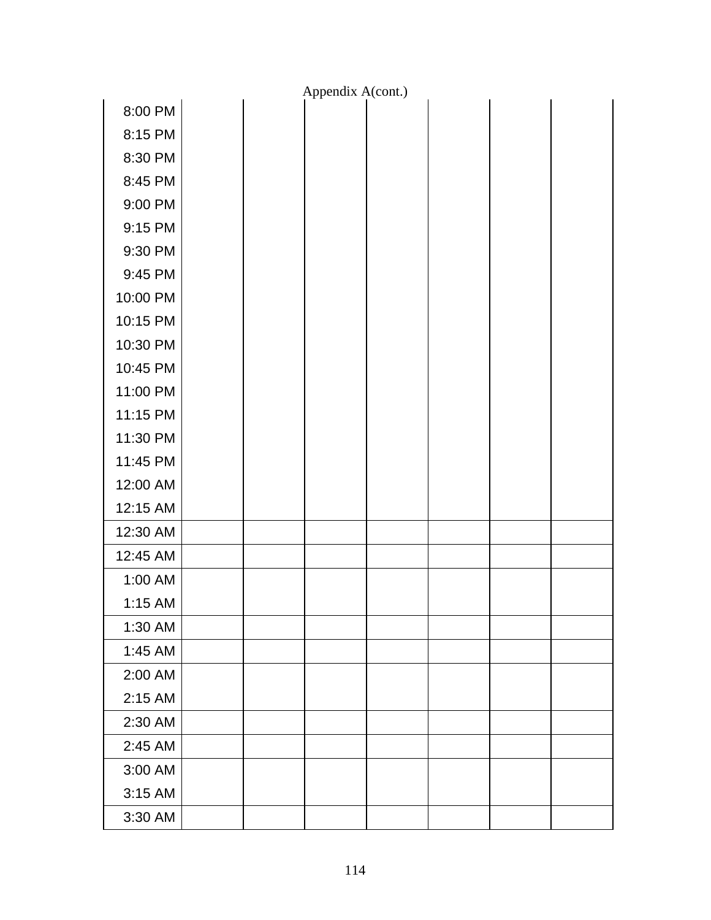|          |  | Appendix A(cont.) |  |  |
|----------|--|-------------------|--|--|
| 8:00 PM  |  |                   |  |  |
| 8:15 PM  |  |                   |  |  |
| 8:30 PM  |  |                   |  |  |
| 8:45 PM  |  |                   |  |  |
| 9:00 PM  |  |                   |  |  |
| 9:15 PM  |  |                   |  |  |
| 9:30 PM  |  |                   |  |  |
| 9:45 PM  |  |                   |  |  |
| 10:00 PM |  |                   |  |  |
| 10:15 PM |  |                   |  |  |
| 10:30 PM |  |                   |  |  |
| 10:45 PM |  |                   |  |  |
| 11:00 PM |  |                   |  |  |
| 11:15 PM |  |                   |  |  |
| 11:30 PM |  |                   |  |  |
| 11:45 PM |  |                   |  |  |
| 12:00 AM |  |                   |  |  |
| 12:15 AM |  |                   |  |  |
| 12:30 AM |  |                   |  |  |
| 12:45 AM |  |                   |  |  |
| 1:00 AM  |  |                   |  |  |
| 1:15 AM  |  |                   |  |  |
| 1:30 AM  |  |                   |  |  |
| 1:45 AM  |  |                   |  |  |
| 2:00 AM  |  |                   |  |  |
| 2:15 AM  |  |                   |  |  |
| 2:30 AM  |  |                   |  |  |
| 2:45 AM  |  |                   |  |  |
| 3:00 AM  |  |                   |  |  |
| 3:15 AM  |  |                   |  |  |
| 3:30 AM  |  |                   |  |  |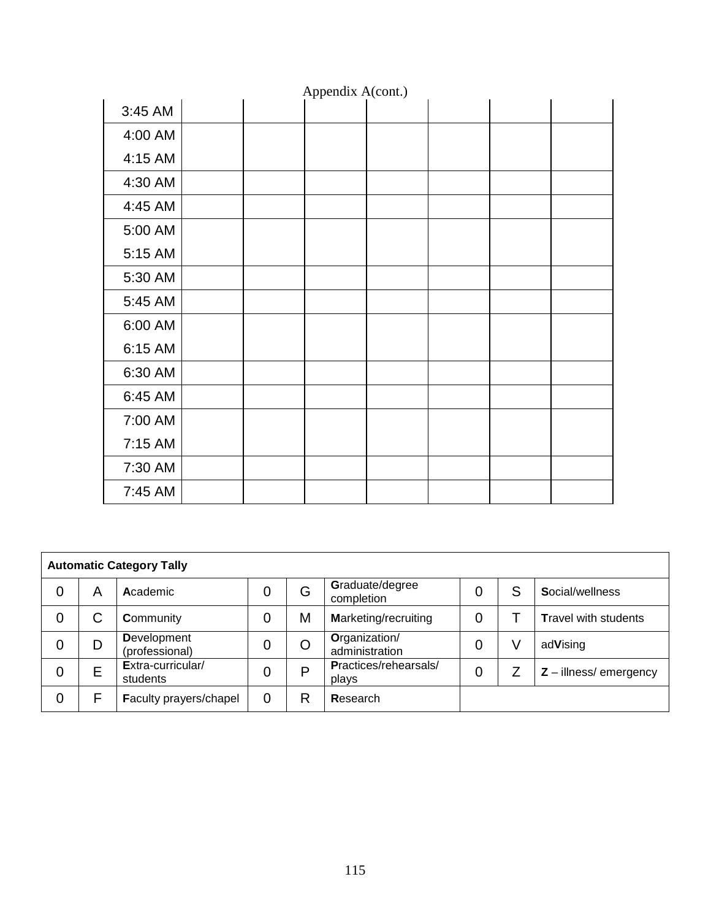| Appendix A(cont.) |  |  |  |  |  |  |  |  |
|-------------------|--|--|--|--|--|--|--|--|
| 3:45 AM           |  |  |  |  |  |  |  |  |
| 4:00 AM           |  |  |  |  |  |  |  |  |
| 4:15 AM           |  |  |  |  |  |  |  |  |
| 4:30 AM           |  |  |  |  |  |  |  |  |
| 4:45 AM           |  |  |  |  |  |  |  |  |
| 5:00 AM           |  |  |  |  |  |  |  |  |
| 5:15 AM           |  |  |  |  |  |  |  |  |
| 5:30 AM           |  |  |  |  |  |  |  |  |
| 5:45 AM           |  |  |  |  |  |  |  |  |
| 6:00 AM           |  |  |  |  |  |  |  |  |
| 6:15 AM           |  |  |  |  |  |  |  |  |
| 6:30 AM           |  |  |  |  |  |  |  |  |
| 6:45 AM           |  |  |  |  |  |  |  |  |
| 7:00 AM           |  |  |  |  |  |  |  |  |
| 7:15 AM           |  |  |  |  |  |  |  |  |
| 7:30 AM           |  |  |  |  |  |  |  |  |
| 7:45 AM           |  |  |  |  |  |  |  |  |

| <b>Automatic Category Tally</b> |   |                                      |   |   |                                 |   |   |                             |  |
|---------------------------------|---|--------------------------------------|---|---|---------------------------------|---|---|-----------------------------|--|
| 0                               | Α | Academic                             | 0 | G | Graduate/degree<br>completion   | 0 | S | Social/wellness             |  |
| 0                               | С | Community                            |   | M | <b>Marketing/recruiting</b>     | 0 |   | <b>Travel with students</b> |  |
| 0                               | D | <b>Development</b><br>(professional) |   |   | Organization/<br>administration | 0 |   | adVising                    |  |
| 0                               | E | Extra-curricular/<br>students        | 0 | D | Practices/rehearsals/<br>plays  | 0 |   | $Z$ – illness/ emergency    |  |
| 0                               | F | Faculty prayers/chapel               | 0 | R | Research                        |   |   |                             |  |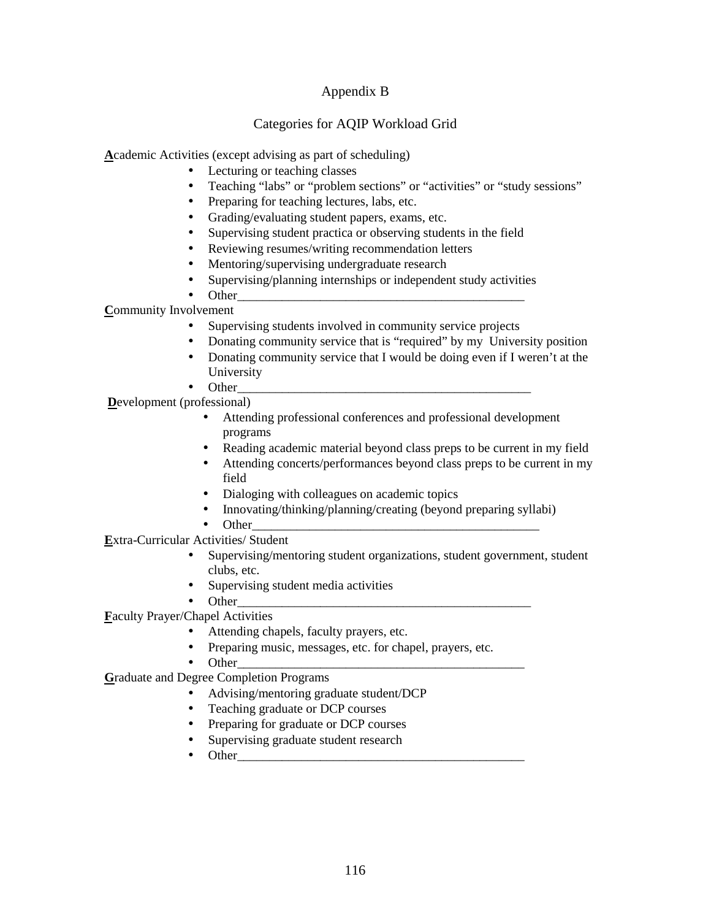# Appendix B

# Categories for AQIP Workload Grid

**A**cademic Activities (except advising as part of scheduling)

- Lecturing or teaching classes
- Teaching "labs" or "problem sections" or "activities" or "study sessions"
- Preparing for teaching lectures, labs, etc.
- Grading/evaluating student papers, exams, etc.
- Supervising student practica or observing students in the field
- Reviewing resumes/writing recommendation letters
- Mentoring/supervising undergraduate research
- Supervising/planning internships or independent study activities
- Other\_\_\_\_\_\_\_\_\_\_\_\_\_\_\_\_\_\_\_\_\_\_\_\_\_\_\_\_\_\_\_\_\_\_\_\_\_\_\_\_\_\_\_\_\_

# **C**ommunity Involvement

- Supervising students involved in community service projects
- Donating community service that is "required" by my University position
- Donating community service that I would be doing even if I weren't at the University
- Other\_\_\_\_\_\_\_\_\_\_\_\_\_\_\_\_\_\_\_\_\_\_\_\_\_\_\_\_\_\_\_\_\_\_\_\_\_\_\_\_\_\_\_\_\_\_

**D**evelopment (professional)

- Attending professional conferences and professional development programs
- Reading academic material beyond class preps to be current in my field
- Attending concerts/performances beyond class preps to be current in my field
- Dialoging with colleagues on academic topics
- Innovating/thinking/planning/creating (beyond preparing syllabi)
- Other

**E**xtra-Curricular Activities/ Student

- Supervising/mentoring student organizations, student government, student clubs, etc.
- Supervising student media activities
- Other\_\_\_\_\_\_\_\_\_\_\_\_\_\_\_\_\_\_\_\_\_\_\_\_\_\_\_\_\_\_\_\_\_\_\_\_\_\_\_\_\_\_\_\_\_\_

**F**aculty Prayer/Chapel Activities

- Attending chapels, faculty prayers, etc.
- Preparing music, messages, etc. for chapel, prayers, etc.
- Other\_\_\_\_\_\_\_\_\_\_\_\_\_\_\_\_\_\_\_\_\_\_\_\_\_\_\_\_\_\_\_\_\_\_\_\_\_\_\_\_\_\_\_\_\_

**G**raduate and Degree Completion Programs

- Advising/mentoring graduate student/DCP
- Teaching graduate or DCP courses
- Preparing for graduate or DCP courses
- Supervising graduate student research
- Other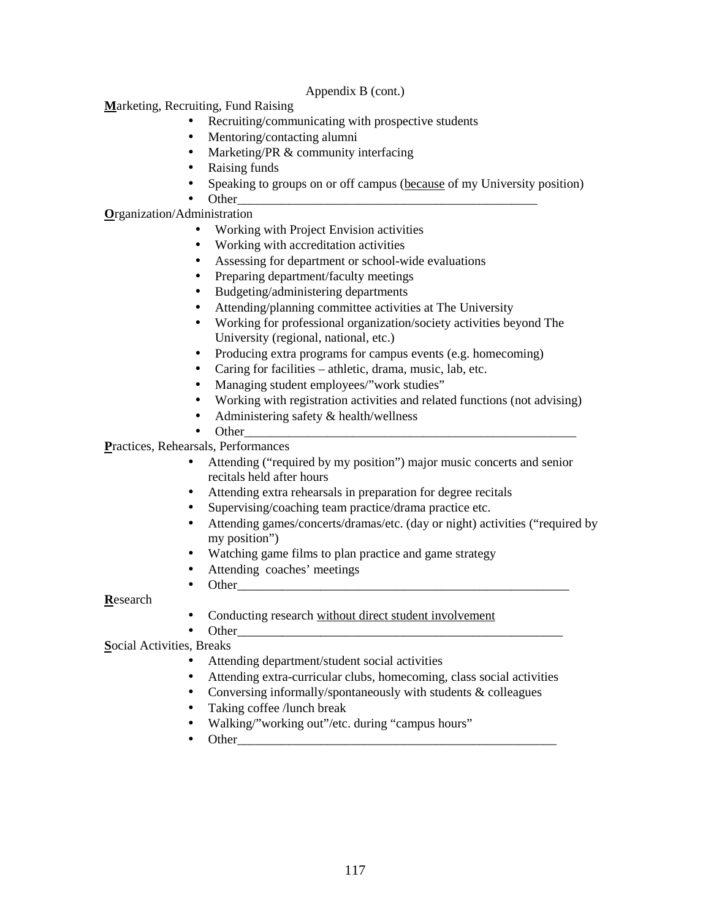## Appendix B (cont.)

**M**arketing, Recruiting, Fund Raising

- Recruiting/communicating with prospective students
- Mentoring/contacting alumni
- Marketing/PR & community interfacing
- Raising funds
- Speaking to groups on or off campus (because of my University position)
- Other\_\_\_\_\_\_\_\_\_\_\_\_\_\_\_\_\_\_\_\_\_\_\_\_\_\_\_\_\_\_\_\_\_\_\_\_\_\_\_\_\_\_\_\_\_\_\_

**O**rganization/Administration

- Working with Project Envision activities
- Working with accreditation activities
- Assessing for department or school-wide evaluations
- Preparing department/faculty meetings
- Budgeting/administering departments
- Attending/planning committee activities at The University
- Working for professional organization/society activities beyond The University (regional, national, etc.)
- Producing extra programs for campus events (e.g. homecoming)
- Caring for facilities athletic, drama, music, lab, etc.
- Managing student employees/"work studies"
- Working with registration activities and related functions (not advising)
- Administering safety & health/wellness
- Other\_\_\_\_\_\_\_\_\_\_\_\_\_\_\_\_\_\_\_\_\_\_\_\_\_\_\_\_\_\_\_\_\_\_\_\_\_\_\_\_\_\_\_\_\_\_\_\_\_\_\_\_

**P**ractices, Rehearsals, Performances

- Attending ("required by my position") major music concerts and senior recitals held after hours
- Attending extra rehearsals in preparation for degree recitals
- Supervising/coaching team practice/drama practice etc.
- Attending games/concerts/dramas/etc. (day or night) activities ("required by my position")
- Watching game films to plan practice and game strategy
- Attending coaches' meetings
- Other

**R**esearch

• Conducting research without direct student involvement

• Other\_\_\_\_\_\_\_\_\_\_\_\_\_\_\_\_\_\_\_\_\_\_\_\_\_\_\_\_\_\_\_\_\_\_\_\_\_\_\_\_\_\_\_\_\_\_\_\_\_\_\_ **S**ocial Activities, Breaks

- Attending department/student social activities
- Attending extra-curricular clubs, homecoming, class social activities
- Conversing informally/spontaneously with students  $&$  colleagues
- Taking coffee /lunch break
- Walking/"working out"/etc. during "campus hours"
- Other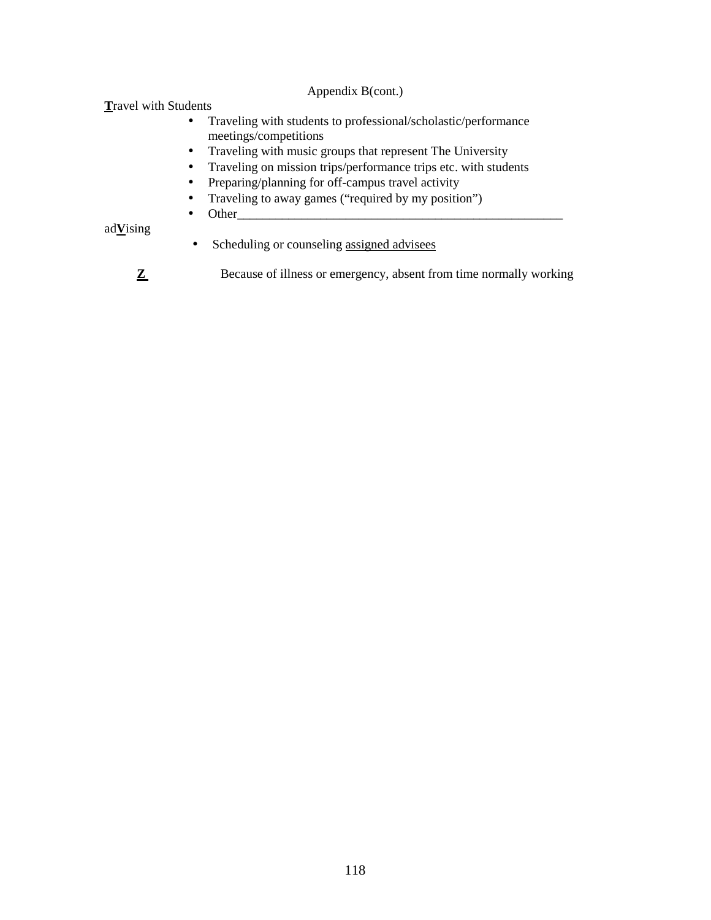# Appendix B(cont.)

**T**ravel with Students

- Traveling with students to professional/scholastic/performance meetings/competitions
- Traveling with music groups that represent The University
- Traveling on mission trips/performance trips etc. with students
- Preparing/planning for off-campus travel activity
- Traveling to away games ("required by my position")
- Other

ad**V**ising

- Scheduling or counseling <u>assigned</u> advisees
- **Z** Because of illness or emergency, absent from time normally working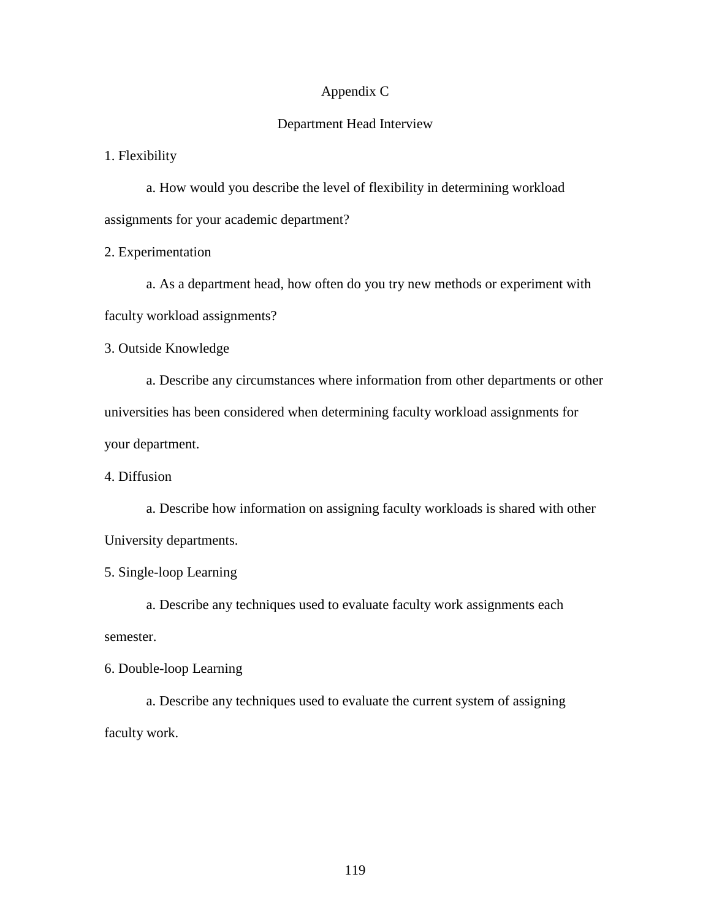# Appendix C

## Department Head Interview

1. Flexibility

 a. How would you describe the level of flexibility in determining workload assignments for your academic department?

2. Experimentation

 a. As a department head, how often do you try new methods or experiment with faculty workload assignments?

3. Outside Knowledge

 a. Describe any circumstances where information from other departments or other universities has been considered when determining faculty workload assignments for your department.

4. Diffusion

 a. Describe how information on assigning faculty workloads is shared with other University departments.

5. Single-loop Learning

 a. Describe any techniques used to evaluate faculty work assignments each semester.

6. Double-loop Learning

 a. Describe any techniques used to evaluate the current system of assigning faculty work.